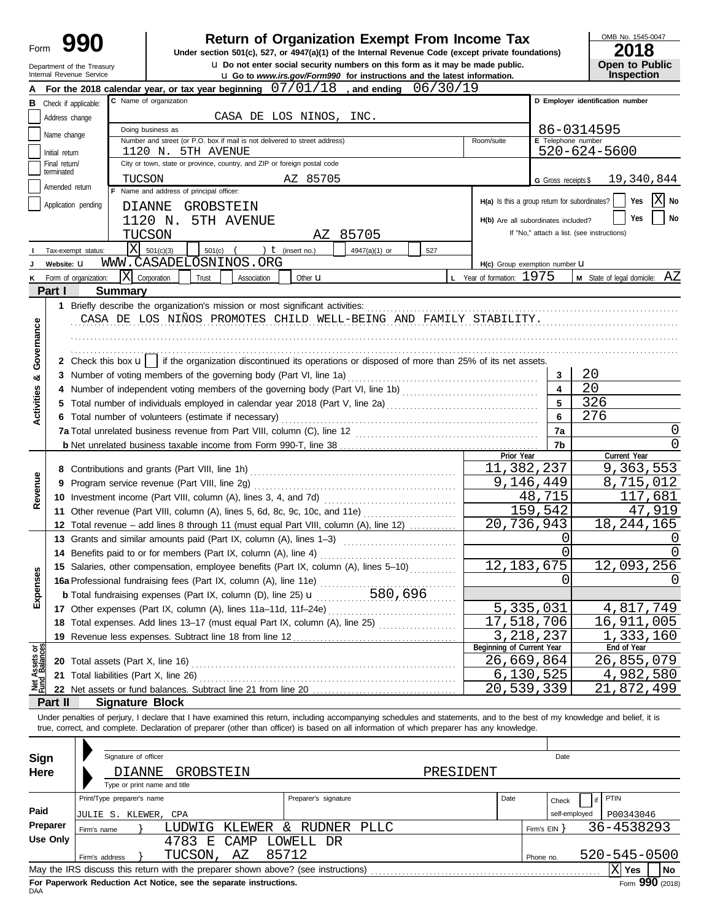| 990<br>Form                    |                                                                                                         |                                                                  | <b>Return of Organization Exempt From Income Tax</b><br>Under section 501(c), 527, or 4947(a)(1) of the Internal Revenue Code (except private foundations)                                                                                                                                                               |                           |                                            | OMB No. 1545-0047<br>2018              |  |  |  |  |  |  |  |
|--------------------------------|---------------------------------------------------------------------------------------------------------|------------------------------------------------------------------|--------------------------------------------------------------------------------------------------------------------------------------------------------------------------------------------------------------------------------------------------------------------------------------------------------------------------|---------------------------|--------------------------------------------|----------------------------------------|--|--|--|--|--|--|--|
|                                |                                                                                                         | Department of the Treasury                                       | <b>u</b> Do not enter social security numbers on this form as it may be made public.                                                                                                                                                                                                                                     |                           |                                            | Open to Public                         |  |  |  |  |  |  |  |
|                                |                                                                                                         | Internal Revenue Service                                         | <b>u</b> Go to www.irs.gov/Form990 for instructions and the latest information.                                                                                                                                                                                                                                          |                           |                                            | Inspection                             |  |  |  |  |  |  |  |
|                                |                                                                                                         |                                                                  | For the 2018 calendar year, or tax year beginning $07/01/18$ , and ending<br>06/30/19                                                                                                                                                                                                                                    |                           |                                            | D Employer identification number       |  |  |  |  |  |  |  |
| в                              |                                                                                                         | Check if applicable:                                             | C Name of organization                                                                                                                                                                                                                                                                                                   |                           |                                            |                                        |  |  |  |  |  |  |  |
|                                | Address change                                                                                          |                                                                  | CASA DE LOS NINOS, INC.<br>Doing business as                                                                                                                                                                                                                                                                             |                           |                                            | 86-0314595                             |  |  |  |  |  |  |  |
|                                | Name change                                                                                             | E Telephone number                                               |                                                                                                                                                                                                                                                                                                                          |                           |                                            |                                        |  |  |  |  |  |  |  |
|                                | Initial return                                                                                          | $520 - 624 - 5600$                                               |                                                                                                                                                                                                                                                                                                                          |                           |                                            |                                        |  |  |  |  |  |  |  |
|                                | Final return/<br>terminated                                                                             |                                                                  |                                                                                                                                                                                                                                                                                                                          |                           |                                            |                                        |  |  |  |  |  |  |  |
|                                | TUCSON<br>AZ 85705<br>G Gross receipts \$<br>Amended return<br>F Name and address of principal officer: |                                                                  |                                                                                                                                                                                                                                                                                                                          |                           |                                            |                                        |  |  |  |  |  |  |  |
|                                |                                                                                                         | $ X $ No<br>Yes<br>H(a) Is this a group return for subordinates? |                                                                                                                                                                                                                                                                                                                          |                           |                                            |                                        |  |  |  |  |  |  |  |
|                                |                                                                                                         | Application pending                                              | DIANNE GROBSTEIN                                                                                                                                                                                                                                                                                                         |                           |                                            | <b>No</b>                              |  |  |  |  |  |  |  |
|                                |                                                                                                         |                                                                  | 1120 N. 5TH AVENUE                                                                                                                                                                                                                                                                                                       |                           | H(b) Are all subordinates included?        | Yes                                    |  |  |  |  |  |  |  |
|                                |                                                                                                         |                                                                  | TUCSON<br>AZ 85705                                                                                                                                                                                                                                                                                                       |                           | If "No," attach a list. (see instructions) |                                        |  |  |  |  |  |  |  |
|                                |                                                                                                         | x <br>Tax-exempt status:                                         | 501(c)(3)<br>) $t$ (insert no.)<br>$501(c)$ (<br>4947(a)(1) or<br>527                                                                                                                                                                                                                                                    |                           |                                            |                                        |  |  |  |  |  |  |  |
|                                | Website: U                                                                                              |                                                                  | WWW.CASADELOSNINOS.ORG                                                                                                                                                                                                                                                                                                   |                           | H(c) Group exemption number U              |                                        |  |  |  |  |  |  |  |
| ĸ                              | Part I                                                                                                  | Form of organization:                                            | $X$ Corporation<br>L Year of formation: $1975$<br>Trust<br>Association<br>Other <b>u</b>                                                                                                                                                                                                                                 |                           |                                            | <b>M</b> State of legal domicile: $AZ$ |  |  |  |  |  |  |  |
|                                |                                                                                                         | <b>Summary</b>                                                   |                                                                                                                                                                                                                                                                                                                          |                           |                                            |                                        |  |  |  |  |  |  |  |
|                                | 1.                                                                                                      |                                                                  | Briefly describe the organization's mission or most significant activities:<br>CASA DE LOS NIÑOS PROMOTES CHILD WELL-BEING AND FAMILY STABILITY.                                                                                                                                                                         |                           |                                            |                                        |  |  |  |  |  |  |  |
|                                |                                                                                                         |                                                                  |                                                                                                                                                                                                                                                                                                                          |                           |                                            |                                        |  |  |  |  |  |  |  |
| Governance                     |                                                                                                         |                                                                  |                                                                                                                                                                                                                                                                                                                          |                           |                                            |                                        |  |  |  |  |  |  |  |
|                                |                                                                                                         |                                                                  | 2 Check this box $\mathbf{u}$   if the organization discontinued its operations or disposed of more than 25% of its net assets.                                                                                                                                                                                          |                           |                                            |                                        |  |  |  |  |  |  |  |
|                                |                                                                                                         |                                                                  |                                                                                                                                                                                                                                                                                                                          |                           | 3                                          | 20                                     |  |  |  |  |  |  |  |
| න්                             |                                                                                                         |                                                                  |                                                                                                                                                                                                                                                                                                                          |                           | $\overline{\mathbf{4}}$                    | 20                                     |  |  |  |  |  |  |  |
| <b>Activities</b>              |                                                                                                         |                                                                  | Total number of individuals employed in calendar year 2018 (Part V, line 2a) [[[[[[[[[[[[[[[[[[[[[[[[[[[[[[[[                                                                                                                                                                                                            |                           | 5                                          | 326                                    |  |  |  |  |  |  |  |
|                                |                                                                                                         | 276                                                              |                                                                                                                                                                                                                                                                                                                          |                           |                                            |                                        |  |  |  |  |  |  |  |
|                                |                                                                                                         |                                                                  | 6 Total number of volunteers (estimate if necessary)                                                                                                                                                                                                                                                                     |                           | 7a                                         | U                                      |  |  |  |  |  |  |  |
|                                |                                                                                                         |                                                                  |                                                                                                                                                                                                                                                                                                                          |                           | 7b                                         | 0                                      |  |  |  |  |  |  |  |
|                                |                                                                                                         |                                                                  |                                                                                                                                                                                                                                                                                                                          | Prior Year                |                                            | Current Year                           |  |  |  |  |  |  |  |
|                                |                                                                                                         |                                                                  |                                                                                                                                                                                                                                                                                                                          |                           | 11,382,237                                 | 9,363,553                              |  |  |  |  |  |  |  |
|                                |                                                                                                         |                                                                  |                                                                                                                                                                                                                                                                                                                          |                           | 9,146,449                                  | 8,715,012                              |  |  |  |  |  |  |  |
| Revenue                        |                                                                                                         |                                                                  |                                                                                                                                                                                                                                                                                                                          |                           | 48,715                                     | 117,681                                |  |  |  |  |  |  |  |
|                                |                                                                                                         |                                                                  | 11 Other revenue (Part VIII, column (A), lines 5, 6d, 8c, 9c, 10c, and 11e)                                                                                                                                                                                                                                              |                           | 159,542                                    | 47,919                                 |  |  |  |  |  |  |  |
|                                |                                                                                                         |                                                                  | 12 Total revenue - add lines 8 through 11 (must equal Part VIII, column (A), line 12)                                                                                                                                                                                                                                    |                           | 20,736,943                                 | 18, 244, 165                           |  |  |  |  |  |  |  |
|                                |                                                                                                         |                                                                  | 13 Grants and similar amounts paid (Part IX, column (A), lines 1-3)                                                                                                                                                                                                                                                      |                           | O<br>$\Omega$                              |                                        |  |  |  |  |  |  |  |
|                                |                                                                                                         |                                                                  | 14 Benefits paid to or for members (Part IX, column (A), line 4)                                                                                                                                                                                                                                                         |                           |                                            | 0<br>12,093,256                        |  |  |  |  |  |  |  |
|                                |                                                                                                         |                                                                  | 15 Salaries, other compensation, employee benefits (Part IX, column (A), lines 5-10)                                                                                                                                                                                                                                     |                           | 12, 183, 675<br>0                          |                                        |  |  |  |  |  |  |  |
| Expenses                       |                                                                                                         |                                                                  |                                                                                                                                                                                                                                                                                                                          |                           |                                            |                                        |  |  |  |  |  |  |  |
|                                |                                                                                                         |                                                                  |                                                                                                                                                                                                                                                                                                                          |                           | 5,335,031                                  | 4,817,749                              |  |  |  |  |  |  |  |
|                                |                                                                                                         |                                                                  | 18 Total expenses. Add lines 13-17 (must equal Part IX, column (A), line 25) [                                                                                                                                                                                                                                           |                           | 17,518,706                                 | 16,911,005                             |  |  |  |  |  |  |  |
|                                |                                                                                                         |                                                                  |                                                                                                                                                                                                                                                                                                                          |                           | 3, 218, 237                                | 1,333,160                              |  |  |  |  |  |  |  |
|                                |                                                                                                         |                                                                  |                                                                                                                                                                                                                                                                                                                          | Beginning of Current Year |                                            | End of Year                            |  |  |  |  |  |  |  |
| Net Assets or<br>Fund Balances |                                                                                                         | <b>20</b> Total assets (Part X, line 16)                         |                                                                                                                                                                                                                                                                                                                          |                           | 26,669,864                                 | 26,855,079                             |  |  |  |  |  |  |  |
|                                |                                                                                                         | 21 Total liabilities (Part X, line 26)                           |                                                                                                                                                                                                                                                                                                                          |                           | 6,130,525                                  | 4,982,580                              |  |  |  |  |  |  |  |
|                                |                                                                                                         |                                                                  |                                                                                                                                                                                                                                                                                                                          |                           | 20,539,339                                 | 21,872,499                             |  |  |  |  |  |  |  |
|                                | Part II                                                                                                 | <b>Signature Block</b>                                           |                                                                                                                                                                                                                                                                                                                          |                           |                                            |                                        |  |  |  |  |  |  |  |
|                                |                                                                                                         |                                                                  | Under penalties of perjury, I declare that I have examined this return, including accompanying schedules and statements, and to the best of my knowledge and belief, it is<br>true, correct, and complete. Declaration of preparer (other than officer) is based on all information of which preparer has any knowledge. |                           |                                            |                                        |  |  |  |  |  |  |  |
|                                |                                                                                                         |                                                                  |                                                                                                                                                                                                                                                                                                                          |                           |                                            |                                        |  |  |  |  |  |  |  |
| <b>Sign</b>                    |                                                                                                         | Signature of officer                                             |                                                                                                                                                                                                                                                                                                                          |                           | Date                                       |                                        |  |  |  |  |  |  |  |
| Here                           |                                                                                                         | DIANNE                                                           | PRESIDENT<br>GROBSTEIN                                                                                                                                                                                                                                                                                                   |                           |                                            |                                        |  |  |  |  |  |  |  |
|                                |                                                                                                         |                                                                  | Type or print name and title                                                                                                                                                                                                                                                                                             |                           |                                            |                                        |  |  |  |  |  |  |  |
|                                |                                                                                                         | Print/Type preparer's name                                       | Preparer's signature                                                                                                                                                                                                                                                                                                     | Date                      | Check                                      | PTIN<br>if                             |  |  |  |  |  |  |  |
| Paid                           |                                                                                                         | JULIE S. KLEWER, CPA                                             |                                                                                                                                                                                                                                                                                                                          |                           | self-employed                              | P00343046                              |  |  |  |  |  |  |  |
|                                | Preparer                                                                                                | Firm's name                                                      | LUDWIG KLEWER & RUDNER PLLC                                                                                                                                                                                                                                                                                              |                           | Firm's $EIN$ }                             | 36-4538293                             |  |  |  |  |  |  |  |
|                                | <b>Use Only</b>                                                                                         |                                                                  | 4783 E CAMP LOWELL DR                                                                                                                                                                                                                                                                                                    |                           |                                            |                                        |  |  |  |  |  |  |  |
|                                |                                                                                                         | Firm's address                                                   | 85712<br>TUCSON, AZ                                                                                                                                                                                                                                                                                                      |                           | Phone no.                                  | 520-545-0500                           |  |  |  |  |  |  |  |
|                                |                                                                                                         |                                                                  |                                                                                                                                                                                                                                                                                                                          |                           |                                            | $ \mathrm{X} $ Yes<br>  No             |  |  |  |  |  |  |  |

| Sign     |                            | Signature of officer         |                                                                                   | Date                 |           |      |              |               |      |              |           |
|----------|----------------------------|------------------------------|-----------------------------------------------------------------------------------|----------------------|-----------|------|--------------|---------------|------|--------------|-----------|
| Here     |                            | DIANNE                       | GROBSTEIN                                                                         |                      | PRESIDENT |      |              |               |      |              |           |
|          |                            | Type or print name and title |                                                                                   |                      |           |      |              |               |      |              |           |
|          | Print/Type preparer's name |                              |                                                                                   | Preparer's signature |           | Date |              | Check         | PTIN |              |           |
| Paid     | UULIE S.                   | KLEWER, CPA                  |                                                                                   |                      |           |      |              | self-employed |      | P00343046    |           |
| Preparer | Firm's name                |                              | I JIDWTG                                                                          | KLEWER & RUDNER PLLC |           |      | Firm's $EIN$ |               |      | 36-4538293   |           |
| Use Only |                            |                              | 4783<br>CAMP<br>E.                                                                | LOWELL DR            |           |      |              |               |      |              |           |
|          | Firm's address             |                              | TUCSON, AZ                                                                        | 85712                |           |      | Phone no.    |               |      | 520-545-0500 |           |
|          |                            |                              | May the IRS discuss this return with the preparer shown above? (see instructions) |                      |           |      |              |               | .XI  | <b>Yes</b>   | <b>No</b> |
|          |                            |                              |                                                                                   |                      |           |      |              |               |      | $- - -$      |           |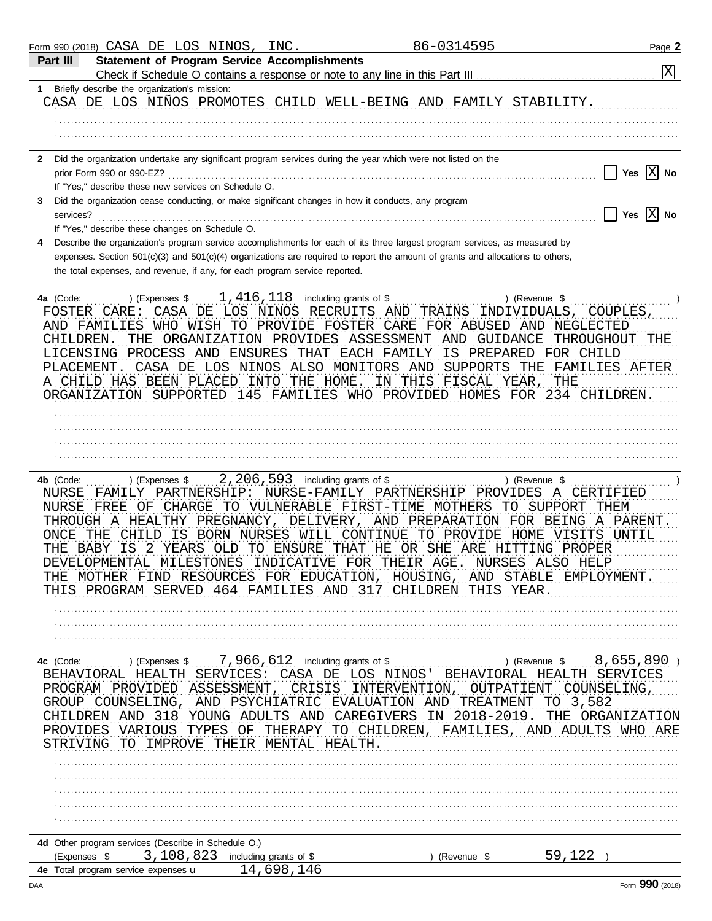| Form 990 (2018) CASA DE LOS NINOS, INC.                                                                                                                                                                                                                                                                                        |                                                                                                                                                                       | 86-0314595                                                                                                               | Page 2                                                                                                                                                                                                                                               |
|--------------------------------------------------------------------------------------------------------------------------------------------------------------------------------------------------------------------------------------------------------------------------------------------------------------------------------|-----------------------------------------------------------------------------------------------------------------------------------------------------------------------|--------------------------------------------------------------------------------------------------------------------------|------------------------------------------------------------------------------------------------------------------------------------------------------------------------------------------------------------------------------------------------------|
| <b>Statement of Program Service Accomplishments</b><br>Part III                                                                                                                                                                                                                                                                |                                                                                                                                                                       |                                                                                                                          | 区                                                                                                                                                                                                                                                    |
| Briefly describe the organization's mission:<br>$\mathbf{1}$                                                                                                                                                                                                                                                                   |                                                                                                                                                                       |                                                                                                                          |                                                                                                                                                                                                                                                      |
| CASA DE LOS NIÑOS PROMOTES CHILD WELL-BEING AND FAMILY STABILITY.                                                                                                                                                                                                                                                              |                                                                                                                                                                       |                                                                                                                          |                                                                                                                                                                                                                                                      |
|                                                                                                                                                                                                                                                                                                                                |                                                                                                                                                                       |                                                                                                                          |                                                                                                                                                                                                                                                      |
|                                                                                                                                                                                                                                                                                                                                |                                                                                                                                                                       |                                                                                                                          |                                                                                                                                                                                                                                                      |
| Did the organization undertake any significant program services during the year which were not listed on the<br>$\mathbf{2}$                                                                                                                                                                                                   |                                                                                                                                                                       |                                                                                                                          |                                                                                                                                                                                                                                                      |
| prior Form 990 or 990-EZ?                                                                                                                                                                                                                                                                                                      |                                                                                                                                                                       |                                                                                                                          | Yes $ X $ No                                                                                                                                                                                                                                         |
| If "Yes," describe these new services on Schedule O.                                                                                                                                                                                                                                                                           |                                                                                                                                                                       |                                                                                                                          |                                                                                                                                                                                                                                                      |
| Did the organization cease conducting, or make significant changes in how it conducts, any program<br>3<br>services?                                                                                                                                                                                                           |                                                                                                                                                                       |                                                                                                                          | Yes $ X $ No                                                                                                                                                                                                                                         |
| If "Yes," describe these changes on Schedule O.                                                                                                                                                                                                                                                                                |                                                                                                                                                                       |                                                                                                                          |                                                                                                                                                                                                                                                      |
| Describe the organization's program service accomplishments for each of its three largest program services, as measured by<br>4                                                                                                                                                                                                |                                                                                                                                                                       |                                                                                                                          |                                                                                                                                                                                                                                                      |
| expenses. Section 501(c)(3) and 501(c)(4) organizations are required to report the amount of grants and allocations to others,<br>the total expenses, and revenue, if any, for each program service reported.                                                                                                                  |                                                                                                                                                                       |                                                                                                                          |                                                                                                                                                                                                                                                      |
|                                                                                                                                                                                                                                                                                                                                |                                                                                                                                                                       |                                                                                                                          |                                                                                                                                                                                                                                                      |
| ) (Expenses \$<br>4a (Code:                                                                                                                                                                                                                                                                                                    | 1,416,118                                                                                                                                                             | including grants of \$                                                                                                   | ) (Revenue \$                                                                                                                                                                                                                                        |
| FOSTER CARE:<br>AND FAMILIES WHO WISH TO PROVIDE FOSTER CARE FOR ABUSED AND NEGLECTED<br>CHILDREN.<br>LICENSING PROCESS AND ENSURES THAT EACH FAMILY<br>PLACEMENT.<br>A CHILD HAS BEEN PLACED INTO THE HOME.<br>ORGANIZATION SUPPORTED 145 FAMILIES WHO PROVIDED HOMES FOR 234 CHILDREN.                                       | CASA DE LOS NINOS RECRUITS AND                                                                                                                                        | TRAINS<br>THE ORGANIZATION PROVIDES ASSESSMENT<br>CASA DE LOS NINOS ALSO MONITORS AND<br>SUPPORTS<br>IN THIS FISCAL YEAR | INDIVIDUALS,<br><b>COUPLES</b><br>AND GUIDANCE<br>THROUGHOUT THE<br>IS PREPARED FOR CHILD<br>THE<br>FAMILIES AFTER<br>THE                                                                                                                            |
|                                                                                                                                                                                                                                                                                                                                |                                                                                                                                                                       |                                                                                                                          |                                                                                                                                                                                                                                                      |
|                                                                                                                                                                                                                                                                                                                                |                                                                                                                                                                       |                                                                                                                          |                                                                                                                                                                                                                                                      |
|                                                                                                                                                                                                                                                                                                                                |                                                                                                                                                                       |                                                                                                                          |                                                                                                                                                                                                                                                      |
|                                                                                                                                                                                                                                                                                                                                |                                                                                                                                                                       |                                                                                                                          |                                                                                                                                                                                                                                                      |
| 4b (Code:<br>) (Expenses $$$<br>NURSE<br>NURSE FREE OF CHARGE<br>THROUGH A HEALTHY PREGNANCY, DELIVERY,<br>CHILD<br>ONCE.<br>THE<br>THE BABY IS 2 YEARS OLD TO ENSURE THAT HE OR SHE ARE HITTING PROPER<br>MILESTONES<br>DEVELOPMENTAL<br>MOTHER FIND RESOURCES FOR EDUCATION,<br>THE.<br>THIS PROGRAM SERVED 464 FAMILIES AND | 2, 206, 593 including grants of \$<br>INDICATIVE                                                                                                                      | TO VULNERABLE FIRST-TIME MOTHERS<br>AND PREPARATION FOR BEING<br>FOR<br>AGE<br>THEIR<br>HOUSING<br>317<br>CHILDREN       | ) (Revenue \$<br>FAMILY PARTNERSHIP: NURSE-FAMILY PARTNERSHIP PROVIDES A CERTIFIED<br>TO SUPPORT<br>THEM<br>A PARENT.<br>IS BORN NURSES WILL CONTINUE TO PROVIDE HOME VISITS UNTIL<br>NURSES ALSO HELP<br>STABLE<br>AND<br>EMPLOYMENT.<br>THIS YEAR. |
|                                                                                                                                                                                                                                                                                                                                |                                                                                                                                                                       |                                                                                                                          |                                                                                                                                                                                                                                                      |
|                                                                                                                                                                                                                                                                                                                                |                                                                                                                                                                       |                                                                                                                          |                                                                                                                                                                                                                                                      |
|                                                                                                                                                                                                                                                                                                                                |                                                                                                                                                                       |                                                                                                                          |                                                                                                                                                                                                                                                      |
| 4c (Code:<br>) (Expenses \$<br>HEALTH<br>BEHAVIORAL<br>PROGRAM PROVIDED<br>COUNSELING<br>GROUP<br>CHILDREN AND<br>318<br>YOUNG<br>VARIOUS<br>TYPES<br>PROVIDES<br>IMPROVE<br>STRIVING<br>TO.                                                                                                                                   | 7,966,612 including grants of \$<br>SERVICES: CASA DE<br>ASSESSMENT<br>CRISIS<br>AND PSYCHIATRIC EVALUATION<br>ADULTS<br>AND<br>THERAPY<br>OF<br>THEIR MENTAL HEALTH. | LOS NINOS' BEHAVIORAL<br>INTERVENTION,<br>AND<br>IN 2018-2019<br>CAREGIVERS<br>TO CHILDREN,<br>FAMILIES.                 | $8,655,890$ )<br>) (Revenue \$<br>HEALTH SERVICES<br>OUTPATIENT<br>COUNSELING,<br>TO 3,582<br>TREATMENT<br>THE ORGANIZATION<br>AND ADULTS WHO ARE                                                                                                    |
|                                                                                                                                                                                                                                                                                                                                |                                                                                                                                                                       |                                                                                                                          |                                                                                                                                                                                                                                                      |
|                                                                                                                                                                                                                                                                                                                                |                                                                                                                                                                       |                                                                                                                          |                                                                                                                                                                                                                                                      |
|                                                                                                                                                                                                                                                                                                                                |                                                                                                                                                                       |                                                                                                                          |                                                                                                                                                                                                                                                      |
| 4d Other program services (Describe in Schedule O.)                                                                                                                                                                                                                                                                            |                                                                                                                                                                       |                                                                                                                          |                                                                                                                                                                                                                                                      |
| 3,108,823<br>(Expenses \$                                                                                                                                                                                                                                                                                                      | including grants of \$                                                                                                                                                | (Revenue \$                                                                                                              | 59,122                                                                                                                                                                                                                                               |
| 4e Total program service expenses u                                                                                                                                                                                                                                                                                            | 14,698,146                                                                                                                                                            |                                                                                                                          |                                                                                                                                                                                                                                                      |
| DAA                                                                                                                                                                                                                                                                                                                            |                                                                                                                                                                       |                                                                                                                          | Form 990 (2018)                                                                                                                                                                                                                                      |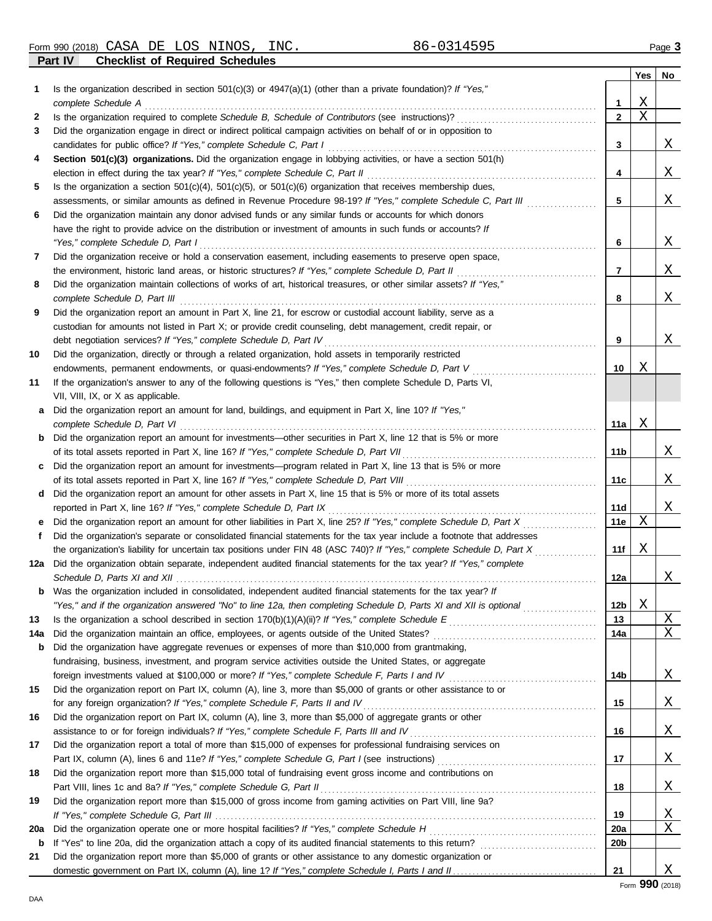**Part IV Checklist of Required Schedules** Form 990 (2018) Page **3** CASA DE LOS NINOS, INC. 86-0314595

|        |                                                                                                                                                                                                                                                   |                   | Yes | No       |
|--------|---------------------------------------------------------------------------------------------------------------------------------------------------------------------------------------------------------------------------------------------------|-------------------|-----|----------|
| 1.     | Is the organization described in section $501(c)(3)$ or $4947(a)(1)$ (other than a private foundation)? If "Yes,"                                                                                                                                 |                   | Χ   |          |
|        | complete Schedule A                                                                                                                                                                                                                               | 1<br>$\mathbf{2}$ | X   |          |
| 2<br>3 | Did the organization engage in direct or indirect political campaign activities on behalf of or in opposition to                                                                                                                                  |                   |     |          |
|        | candidates for public office? If "Yes," complete Schedule C, Part I                                                                                                                                                                               | 3                 |     | Χ        |
| 4      | Section 501(c)(3) organizations. Did the organization engage in lobbying activities, or have a section 501(h)                                                                                                                                     |                   |     |          |
|        | election in effect during the tax year? If "Yes," complete Schedule C, Part II                                                                                                                                                                    | 4                 |     | Χ        |
| 5      | Is the organization a section $501(c)(4)$ , $501(c)(5)$ , or $501(c)(6)$ organization that receives membership dues,                                                                                                                              |                   |     |          |
|        |                                                                                                                                                                                                                                                   | 5                 |     | Χ        |
| 6      | Did the organization maintain any donor advised funds or any similar funds or accounts for which donors                                                                                                                                           |                   |     |          |
|        | have the right to provide advice on the distribution or investment of amounts in such funds or accounts? If                                                                                                                                       |                   |     |          |
|        | "Yes," complete Schedule D, Part I                                                                                                                                                                                                                | 6                 |     | Χ        |
| 7      | Did the organization receive or hold a conservation easement, including easements to preserve open space,                                                                                                                                         |                   |     |          |
|        | the environment, historic land areas, or historic structures? If "Yes," complete Schedule D, Part II                                                                                                                                              | 7                 |     | Χ        |
| 8      | Did the organization maintain collections of works of art, historical treasures, or other similar assets? If "Yes,"                                                                                                                               |                   |     |          |
|        | complete Schedule D, Part III                                                                                                                                                                                                                     | 8                 |     | Χ        |
| 9      | Did the organization report an amount in Part X, line 21, for escrow or custodial account liability, serve as a                                                                                                                                   |                   |     |          |
|        | custodian for amounts not listed in Part X; or provide credit counseling, debt management, credit repair, or                                                                                                                                      |                   |     |          |
|        | debt negotiation services? If "Yes," complete Schedule D, Part IV                                                                                                                                                                                 | 9                 |     | Χ        |
| 10     | Did the organization, directly or through a related organization, hold assets in temporarily restricted                                                                                                                                           |                   |     |          |
|        | endowments, permanent endowments, or quasi-endowments? If "Yes," complete Schedule D, Part V                                                                                                                                                      | 10                | Χ   |          |
| 11     | If the organization's answer to any of the following questions is "Yes," then complete Schedule D, Parts VI,                                                                                                                                      |                   |     |          |
|        | VII, VIII, IX, or X as applicable.                                                                                                                                                                                                                |                   |     |          |
| a      | Did the organization report an amount for land, buildings, and equipment in Part X, line 10? If "Yes,"                                                                                                                                            |                   |     |          |
|        | complete Schedule D, Part VI                                                                                                                                                                                                                      | 11a               | Χ   |          |
| b      | Did the organization report an amount for investments—other securities in Part X, line 12 that is 5% or more                                                                                                                                      |                   |     |          |
|        | of its total assets reported in Part X, line 16? If "Yes," complete Schedule D, Part VII                                                                                                                                                          | 11b               |     | Χ        |
|        | Did the organization report an amount for investments—program related in Part X, line 13 that is 5% or more                                                                                                                                       |                   |     |          |
|        | of its total assets reported in Part X, line 16? If "Yes," complete Schedule D, Part VIII                                                                                                                                                         | 11c               |     | Χ        |
| d      | Did the organization report an amount for other assets in Part X, line 15 that is 5% or more of its total assets                                                                                                                                  |                   |     |          |
|        | reported in Part X, line 16? If "Yes," complete Schedule D, Part IX                                                                                                                                                                               | 11d               | Χ   | Χ        |
| е      | Did the organization report an amount for other liabilities in Part X, line 25? If "Yes," complete Schedule D, Part X                                                                                                                             | 11e               |     |          |
| f      | Did the organization's separate or consolidated financial statements for the tax year include a footnote that addresses<br>the organization's liability for uncertain tax positions under FIN 48 (ASC 740)? If "Yes," complete Schedule D, Part X | 11f               | Χ   |          |
| 12a    | Did the organization obtain separate, independent audited financial statements for the tax year? If "Yes," complete                                                                                                                               |                   |     |          |
|        | Schedule D, Parts XI and XII                                                                                                                                                                                                                      | 12a               |     | Χ        |
|        | <b>b</b> Was the organization included in consolidated, independent audited financial statements for the tax year? If                                                                                                                             |                   |     |          |
|        | "Yes," and if the organization answered "No" to line 12a, then completing Schedule D, Parts XI and XII is optional                                                                                                                                | 12 <sub>b</sub>   | Χ   |          |
| 13     |                                                                                                                                                                                                                                                   | 13                |     | <u>X</u> |
| 14a    |                                                                                                                                                                                                                                                   | 14a               |     | Χ        |
| b      | Did the organization have aggregate revenues or expenses of more than \$10,000 from grantmaking,                                                                                                                                                  |                   |     |          |
|        | fundraising, business, investment, and program service activities outside the United States, or aggregate                                                                                                                                         |                   |     |          |
|        |                                                                                                                                                                                                                                                   | 14b               |     | X        |
| 15     | Did the organization report on Part IX, column (A), line 3, more than \$5,000 of grants or other assistance to or                                                                                                                                 |                   |     |          |
|        | for any foreign organization? If "Yes," complete Schedule F, Parts II and IV                                                                                                                                                                      | 15                |     | X        |
| 16     | Did the organization report on Part IX, column (A), line 3, more than \$5,000 of aggregate grants or other                                                                                                                                        |                   |     |          |
|        | assistance to or for foreign individuals? If "Yes," complete Schedule F, Parts III and IV                                                                                                                                                         | 16                |     | X        |
| 17     | Did the organization report a total of more than \$15,000 of expenses for professional fundraising services on                                                                                                                                    |                   |     |          |
|        |                                                                                                                                                                                                                                                   | 17                |     | X        |
| 18     | Did the organization report more than \$15,000 total of fundraising event gross income and contributions on                                                                                                                                       |                   |     |          |
|        |                                                                                                                                                                                                                                                   | 18                |     | X        |
| 19     | Did the organization report more than \$15,000 of gross income from gaming activities on Part VIII, line 9a?                                                                                                                                      |                   |     |          |
|        |                                                                                                                                                                                                                                                   | 19                |     | X        |
| 20a    |                                                                                                                                                                                                                                                   | 20a               |     | Χ        |
| b      |                                                                                                                                                                                                                                                   | 20 <sub>b</sub>   |     |          |
| 21     | Did the organization report more than \$5,000 of grants or other assistance to any domestic organization or                                                                                                                                       |                   |     |          |
|        |                                                                                                                                                                                                                                                   | 21                |     | Χ        |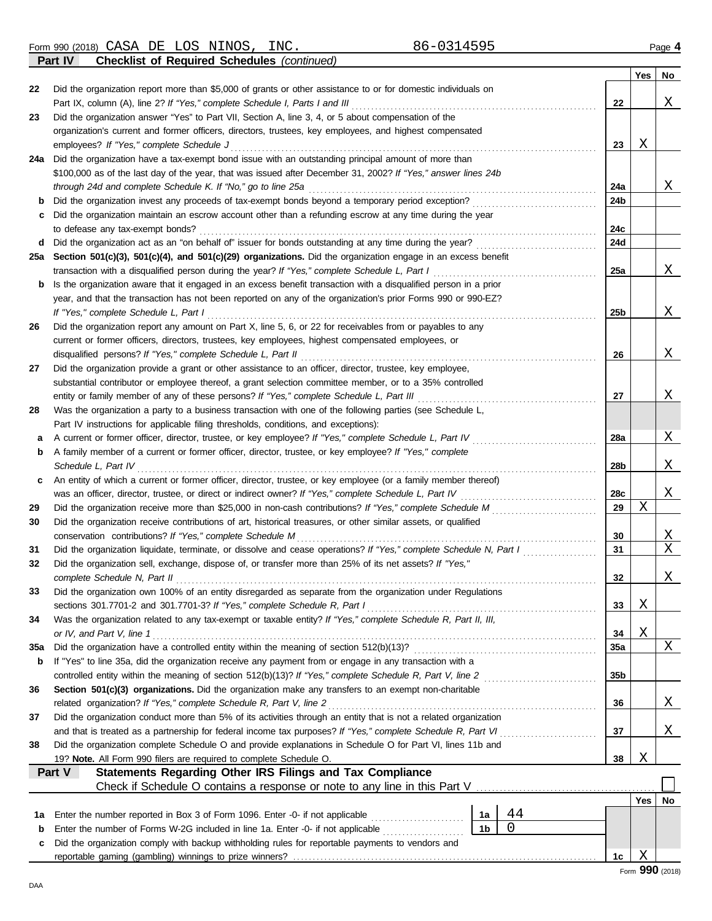Form 990 (2018) Page **4** CASA DE LOS NINOS, INC. 86-0314595

**Part IV Checklist of Required Schedules** *(continued)*

|     |                                                                                                                                                                                                        |                 | <b>Yes</b> | No. |  |  |  |  |  |  |
|-----|--------------------------------------------------------------------------------------------------------------------------------------------------------------------------------------------------------|-----------------|------------|-----|--|--|--|--|--|--|
| 22  | Did the organization report more than \$5,000 of grants or other assistance to or for domestic individuals on                                                                                          |                 |            |     |  |  |  |  |  |  |
|     | Part IX, column (A), line 2? If "Yes," complete Schedule I, Parts I and III                                                                                                                            | 22              |            | X   |  |  |  |  |  |  |
| 23  | Did the organization answer "Yes" to Part VII, Section A, line 3, 4, or 5 about compensation of the                                                                                                    |                 |            |     |  |  |  |  |  |  |
|     | organization's current and former officers, directors, trustees, key employees, and highest compensated                                                                                                |                 |            |     |  |  |  |  |  |  |
|     | employees? If "Yes," complete Schedule J                                                                                                                                                               | 23              | Χ          |     |  |  |  |  |  |  |
| 24a | Did the organization have a tax-exempt bond issue with an outstanding principal amount of more than                                                                                                    |                 |            |     |  |  |  |  |  |  |
|     | \$100,000 as of the last day of the year, that was issued after December 31, 2002? If "Yes," answer lines 24b                                                                                          |                 |            |     |  |  |  |  |  |  |
|     | through 24d and complete Schedule K. If "No," go to line 25a                                                                                                                                           | 24a             |            | Χ   |  |  |  |  |  |  |
| b   | Did the organization invest any proceeds of tax-exempt bonds beyond a temporary period exception?<br>24b                                                                                               |                 |            |     |  |  |  |  |  |  |
| c   | Did the organization maintain an escrow account other than a refunding escrow at any time during the year                                                                                              |                 |            |     |  |  |  |  |  |  |
|     | to defease any tax-exempt bonds?                                                                                                                                                                       | 24c             |            |     |  |  |  |  |  |  |
| d   | Did the organization act as an "on behalf of" issuer for bonds outstanding at any time during the year?                                                                                                | 24d             |            |     |  |  |  |  |  |  |
| 25a | Section 501(c)(3), 501(c)(4), and 501(c)(29) organizations. Did the organization engage in an excess benefit                                                                                           |                 |            |     |  |  |  |  |  |  |
|     | transaction with a disqualified person during the year? If "Yes," complete Schedule L, Part I                                                                                                          | 25a             |            | Χ   |  |  |  |  |  |  |
| b   | Is the organization aware that it engaged in an excess benefit transaction with a disqualified person in a prior                                                                                       |                 |            |     |  |  |  |  |  |  |
|     | year, and that the transaction has not been reported on any of the organization's prior Forms 990 or 990-EZ?                                                                                           |                 |            |     |  |  |  |  |  |  |
|     | If "Yes," complete Schedule L, Part I                                                                                                                                                                  | 25b             |            | Χ   |  |  |  |  |  |  |
| 26  | Did the organization report any amount on Part X, line 5, 6, or 22 for receivables from or payables to any                                                                                             |                 |            |     |  |  |  |  |  |  |
|     | current or former officers, directors, trustees, key employees, highest compensated employees, or                                                                                                      |                 |            |     |  |  |  |  |  |  |
|     | disqualified persons? If "Yes," complete Schedule L, Part II                                                                                                                                           | 26              |            | Χ   |  |  |  |  |  |  |
| 27  | Did the organization provide a grant or other assistance to an officer, director, trustee, key employee,                                                                                               |                 |            |     |  |  |  |  |  |  |
|     | substantial contributor or employee thereof, a grant selection committee member, or to a 35% controlled                                                                                                |                 |            |     |  |  |  |  |  |  |
|     | entity or family member of any of these persons? If "Yes," complete Schedule L, Part III                                                                                                               | 27              |            | Χ   |  |  |  |  |  |  |
| 28  | Was the organization a party to a business transaction with one of the following parties (see Schedule L,                                                                                              |                 |            |     |  |  |  |  |  |  |
|     | Part IV instructions for applicable filing thresholds, conditions, and exceptions):                                                                                                                    |                 |            |     |  |  |  |  |  |  |
| а   | A current or former officer, director, trustee, or key employee? If "Yes," complete Schedule L, Part IV                                                                                                | 28a             |            | Χ   |  |  |  |  |  |  |
| b   | A family member of a current or former officer, director, trustee, or key employee? If "Yes," complete<br>Schedule L, Part IV                                                                          | 28 <sub>b</sub> |            | Χ   |  |  |  |  |  |  |
|     | An entity of which a current or former officer, director, trustee, or key employee (or a family member thereof)                                                                                        |                 |            |     |  |  |  |  |  |  |
| c   | was an officer, director, trustee, or direct or indirect owner? If "Yes," complete Schedule L, Part IV                                                                                                 | 28c             |            | Χ   |  |  |  |  |  |  |
| 29  | Did the organization receive more than \$25,000 in non-cash contributions? If "Yes," complete Schedule M                                                                                               | 29              | Χ          |     |  |  |  |  |  |  |
| 30  | Did the organization receive contributions of art, historical treasures, or other similar assets, or qualified                                                                                         |                 |            |     |  |  |  |  |  |  |
|     | conservation contributions? If "Yes," complete Schedule M                                                                                                                                              | 30              |            | X   |  |  |  |  |  |  |
| 31  | Did the organization liquidate, terminate, or dissolve and cease operations? If "Yes," complete Schedule N, Part I                                                                                     | 31              |            | Χ   |  |  |  |  |  |  |
| 32  | Did the organization sell, exchange, dispose of, or transfer more than 25% of its net assets? If "Yes,"                                                                                                |                 |            |     |  |  |  |  |  |  |
|     | complete Schedule N, Part II                                                                                                                                                                           | 32              |            | Χ   |  |  |  |  |  |  |
| 33  | Did the organization own 100% of an entity disregarded as separate from the organization under Regulations                                                                                             |                 |            |     |  |  |  |  |  |  |
|     | sections 301.7701-2 and 301.7701-3? If "Yes," complete Schedule R, Part I                                                                                                                              | 33              | Χ          |     |  |  |  |  |  |  |
| 34  | Was the organization related to any tax-exempt or taxable entity? If "Yes," complete Schedule R, Part II, III,                                                                                         |                 |            |     |  |  |  |  |  |  |
|     | or IV, and Part V, line 1                                                                                                                                                                              | 34              | Χ          |     |  |  |  |  |  |  |
| 35a |                                                                                                                                                                                                        | 35a             |            | Χ   |  |  |  |  |  |  |
| b   | If "Yes" to line 35a, did the organization receive any payment from or engage in any transaction with a                                                                                                |                 |            |     |  |  |  |  |  |  |
|     |                                                                                                                                                                                                        | 35 <sub>b</sub> |            |     |  |  |  |  |  |  |
| 36  | Section 501(c)(3) organizations. Did the organization make any transfers to an exempt non-charitable                                                                                                   |                 |            |     |  |  |  |  |  |  |
|     | related organization? If "Yes," complete Schedule R, Part V, line 2                                                                                                                                    | 36              |            | X   |  |  |  |  |  |  |
| 37  | Did the organization conduct more than 5% of its activities through an entity that is not a related organization                                                                                       |                 |            |     |  |  |  |  |  |  |
|     |                                                                                                                                                                                                        | 37              |            | X   |  |  |  |  |  |  |
| 38  | Did the organization complete Schedule O and provide explanations in Schedule O for Part VI, lines 11b and                                                                                             |                 |            |     |  |  |  |  |  |  |
|     | 19? Note. All Form 990 filers are required to complete Schedule O.                                                                                                                                     | 38              | Χ          |     |  |  |  |  |  |  |
|     | Statements Regarding Other IRS Filings and Tax Compliance<br>Part V                                                                                                                                    |                 |            |     |  |  |  |  |  |  |
|     | Check if Schedule O contains a response or note to any line in this Part V                                                                                                                             |                 |            |     |  |  |  |  |  |  |
|     |                                                                                                                                                                                                        |                 | Yes        | No  |  |  |  |  |  |  |
| 1a  | 44<br>Enter the number reported in Box 3 of Form 1096. Enter -0- if not applicable<br>1a                                                                                                               |                 |            |     |  |  |  |  |  |  |
| b   | 0<br>Enter the number of Forms W-2G included in line 1a. Enter -0- if not applicable [1] [1] [1] [1] Enter the number of Forms W-2G included in line 1a. Enter -0- if not applicable<br>1 <sub>b</sub> |                 |            |     |  |  |  |  |  |  |
| с   | Did the organization comply with backup withholding rules for reportable payments to vendors and                                                                                                       |                 |            |     |  |  |  |  |  |  |
|     |                                                                                                                                                                                                        | 1c              | Χ<br>nnn   |     |  |  |  |  |  |  |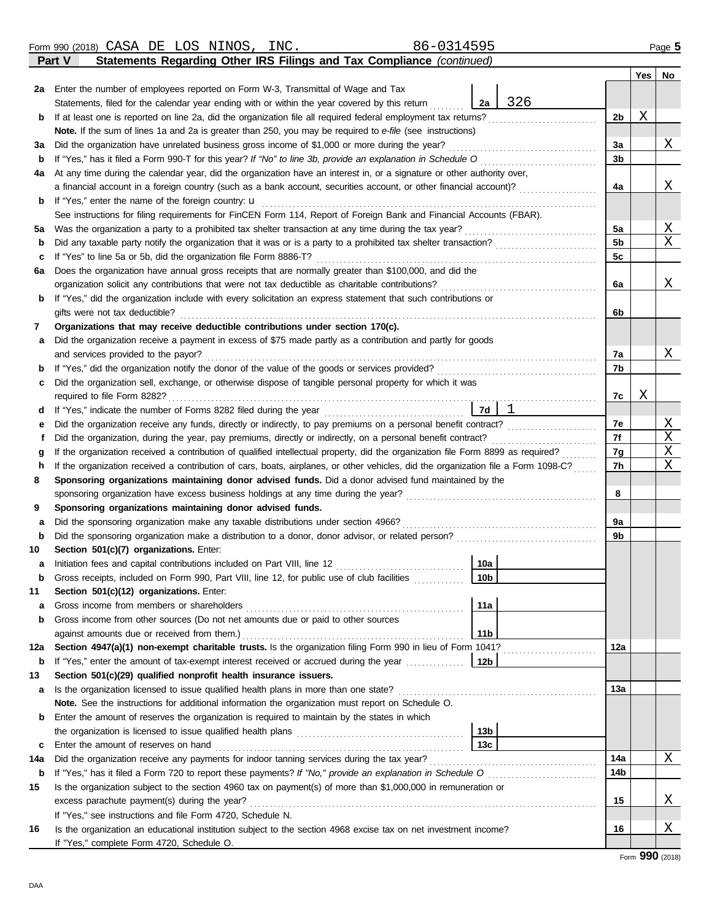|        | 86-0314595<br>Form 990 (2018) CASA DE LOS NINOS,<br>INC.                                                                                                                                                                                         |                    |          |     | Page 5 |
|--------|--------------------------------------------------------------------------------------------------------------------------------------------------------------------------------------------------------------------------------------------------|--------------------|----------|-----|--------|
|        | Statements Regarding Other IRS Filings and Tax Compliance (continued)<br>Part V                                                                                                                                                                  |                    |          |     |        |
|        |                                                                                                                                                                                                                                                  |                    |          | Yes | No     |
| 2a     | Enter the number of employees reported on Form W-3, Transmittal of Wage and Tax                                                                                                                                                                  |                    |          |     |        |
|        | Statements, filed for the calendar year ending with or within the year covered by this return                                                                                                                                                    | 326<br>2a          |          |     |        |
| b      | If at least one is reported on line 2a, did the organization file all required federal employment tax returns?                                                                                                                                   |                    | 2b       | Χ   |        |
|        | Note. If the sum of lines 1a and 2a is greater than 250, you may be required to e-file (see instructions)                                                                                                                                        |                    |          |     |        |
| за     | Did the organization have unrelated business gross income of \$1,000 or more during the year?                                                                                                                                                    |                    | 3a       |     | Χ      |
| b      | If "Yes," has it filed a Form 990-T for this year? If "No" to line 3b, provide an explanation in Schedule O                                                                                                                                      |                    | 3b       |     |        |
| 4a     | At any time during the calendar year, did the organization have an interest in, or a signature or other authority over,                                                                                                                          |                    |          |     |        |
|        | a financial account in a foreign country (such as a bank account, securities account, or other financial account)?                                                                                                                               |                    | 4a       |     | Χ      |
| b      | If "Yes," enter the name of the foreign country: <b>u</b>                                                                                                                                                                                        |                    |          |     |        |
|        | See instructions for filing requirements for FinCEN Form 114, Report of Foreign Bank and Financial Accounts (FBAR).                                                                                                                              |                    |          |     |        |
| 5a     | Was the organization a party to a prohibited tax shelter transaction at any time during the tax year?                                                                                                                                            |                    | 5a       |     | Χ      |
| b      |                                                                                                                                                                                                                                                  |                    | 5b       |     | X      |
| с      | If "Yes" to line 5a or 5b, did the organization file Form 8886-T?                                                                                                                                                                                |                    | 5c       |     |        |
| 6a     | Does the organization have annual gross receipts that are normally greater than \$100,000, and did the                                                                                                                                           |                    |          |     |        |
|        | organization solicit any contributions that were not tax deductible as charitable contributions?                                                                                                                                                 |                    | 6a       |     | Χ      |
| b      | If "Yes," did the organization include with every solicitation an express statement that such contributions or                                                                                                                                   |                    |          |     |        |
|        | gifts were not tax deductible?                                                                                                                                                                                                                   |                    | 6b       |     |        |
| 7      | Organizations that may receive deductible contributions under section 170(c).                                                                                                                                                                    |                    |          |     |        |
| a      | Did the organization receive a payment in excess of \$75 made partly as a contribution and partly for goods                                                                                                                                      |                    |          |     |        |
|        | and services provided to the payor?                                                                                                                                                                                                              |                    | 7а       |     | Χ      |
| b      |                                                                                                                                                                                                                                                  |                    | 7b       |     |        |
| c      | Did the organization sell, exchange, or otherwise dispose of tangible personal property for which it was                                                                                                                                         |                    |          |     |        |
|        |                                                                                                                                                                                                                                                  | $\mathbf{1}$<br>7d | 7c       | Χ   |        |
| d      |                                                                                                                                                                                                                                                  |                    |          |     | Χ      |
| е<br>f |                                                                                                                                                                                                                                                  |                    | 7e<br>7f |     | X      |
|        | Did the organization, during the year, pay premiums, directly or indirectly, on a personal benefit contract?<br>If the organization received a contribution of qualified intellectual property, did the organization file Form 8899 as required? |                    | 7g       |     | Χ      |
| g<br>h | If the organization received a contribution of cars, boats, airplanes, or other vehicles, did the organization file a Form 1098-C?                                                                                                               |                    | 7h       |     | Χ      |
| 8      | Sponsoring organizations maintaining donor advised funds. Did a donor advised fund maintained by the                                                                                                                                             |                    |          |     |        |
|        |                                                                                                                                                                                                                                                  |                    | 8        |     |        |
| 9      | Sponsoring organizations maintaining donor advised funds.                                                                                                                                                                                        |                    |          |     |        |
| а      | Did the sponsoring organization make any taxable distributions under section 4966?                                                                                                                                                               |                    | 9a       |     |        |
| b      |                                                                                                                                                                                                                                                  |                    | 9b       |     |        |
| 10     | Section 501(c)(7) organizations. Enter:                                                                                                                                                                                                          |                    |          |     |        |
|        | Initiation fees and capital contributions included on Part VIII, line 12 [11] [11] [11] [12] [11] [12] [11] [1                                                                                                                                   | 10a                |          |     |        |
| b      | Gross receipts, included on Form 990, Part VIII, line 12, for public use of club facilities                                                                                                                                                      | 10 <sub>b</sub>    |          |     |        |
| 11     | Section 501(c)(12) organizations. Enter:                                                                                                                                                                                                         |                    |          |     |        |
| a      | Gross income from members or shareholders                                                                                                                                                                                                        | 11a                |          |     |        |
| b      | Gross income from other sources (Do not net amounts due or paid to other sources                                                                                                                                                                 |                    |          |     |        |
|        | against amounts due or received from them.)                                                                                                                                                                                                      | 11 <sub>b</sub>    |          |     |        |
| 12a    | Section 4947(a)(1) non-exempt charitable trusts. Is the organization filing Form 990 in lieu of Form 1041?                                                                                                                                       |                    | 12a      |     |        |
| b      | If "Yes," enter the amount of tax-exempt interest received or accrued during the year                                                                                                                                                            | 12b                |          |     |        |
| 13     | Section 501(c)(29) qualified nonprofit health insurance issuers.                                                                                                                                                                                 |                    |          |     |        |
| а      | Is the organization licensed to issue qualified health plans in more than one state?                                                                                                                                                             |                    | 13а      |     |        |
|        | <b>Note.</b> See the instructions for additional information the organization must report on Schedule O.                                                                                                                                         |                    |          |     |        |
| b      | Enter the amount of reserves the organization is required to maintain by the states in which                                                                                                                                                     |                    |          |     |        |
|        |                                                                                                                                                                                                                                                  | 13 <sub>b</sub>    |          |     |        |
| c      | Enter the amount of reserves on hand                                                                                                                                                                                                             | 13c                |          |     |        |
| 14a    | Did the organization receive any payments for indoor tanning services during the tax year?                                                                                                                                                       |                    | 14a      |     | Χ      |
| b      | If "Yes," has it filed a Form 720 to report these payments? If "No," provide an explanation in Schedule O                                                                                                                                        |                    | 14b      |     |        |
| 15     | Is the organization subject to the section 4960 tax on payment(s) of more than \$1,000,000 in remuneration or                                                                                                                                    |                    |          |     |        |
|        | excess parachute payment(s) during the year?                                                                                                                                                                                                     |                    | 15       |     | Χ      |
|        | If "Yes," see instructions and file Form 4720, Schedule N.                                                                                                                                                                                       |                    |          |     |        |
| 16     | Is the organization an educational institution subject to the section 4968 excise tax on net investment income?                                                                                                                                  |                    | 16       |     | Χ      |
|        | If "Yes," complete Form 4720, Schedule O.                                                                                                                                                                                                        |                    |          |     |        |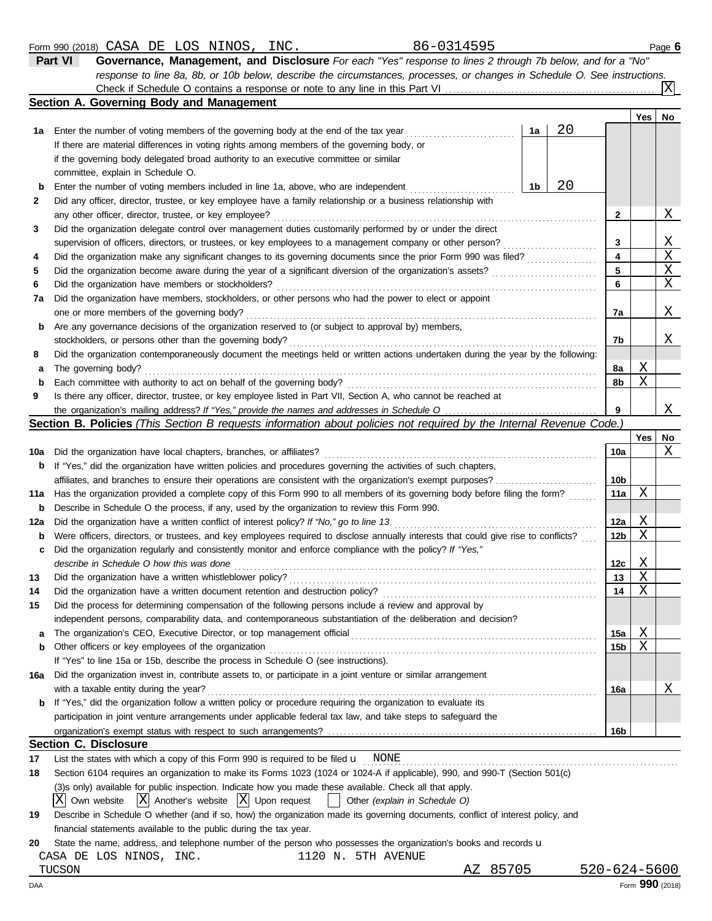|              | 86-0314595<br>Form 990 (2018) CASA DE LOS NINOS,<br>INC.                                                                            |              |     | Page $6$        |
|--------------|-------------------------------------------------------------------------------------------------------------------------------------|--------------|-----|-----------------|
|              | Governance, Management, and Disclosure For each "Yes" response to lines 2 through 7b below, and for a "No"<br>Part VI               |              |     |                 |
|              | response to line 8a, 8b, or 10b below, describe the circumstances, processes, or changes in Schedule O. See instructions.           |              |     |                 |
|              |                                                                                                                                     |              |     | X               |
|              | Section A. Governing Body and Management                                                                                            |              |     |                 |
|              |                                                                                                                                     |              | Yes | No              |
| 1а           | 20<br>1a<br>Enter the number of voting members of the governing body at the end of the tax year                                     |              |     |                 |
|              | If there are material differences in voting rights among members of the governing body, or                                          |              |     |                 |
|              | if the governing body delegated broad authority to an executive committee or similar                                                |              |     |                 |
|              | committee, explain in Schedule O.                                                                                                   |              |     |                 |
| b            | 20<br>1b<br>Enter the number of voting members included in line 1a, above, who are independent                                      |              |     |                 |
| $\mathbf{2}$ | Did any officer, director, trustee, or key employee have a family relationship or a business relationship with                      |              |     |                 |
|              | any other officer, director, trustee, or key employee?                                                                              | 2            |     | Χ               |
| 3            | Did the organization delegate control over management duties customarily performed by or under the direct                           |              |     |                 |
|              | supervision of officers, directors, or trustees, or key employees to a management company or other person?                          | 3            |     | Χ               |
| 4            | Did the organization make any significant changes to its governing documents since the prior Form 990 was filed?                    | 4            |     | X               |
| 5            | Did the organization become aware during the year of a significant diversion of the organization's assets?                          | 5            |     | Χ               |
| 6            | Did the organization have members or stockholders?                                                                                  | 6            |     | Χ               |
| 7а           | Did the organization have members, stockholders, or other persons who had the power to elect or appoint                             |              |     |                 |
|              | one or more members of the governing body?                                                                                          | 7а           |     | Χ               |
| b            | Are any governance decisions of the organization reserved to (or subject to approval by) members,                                   |              |     |                 |
|              | stockholders, or persons other than the governing body?                                                                             | 7b           |     | Χ               |
| 8            | Did the organization contemporaneously document the meetings held or written actions undertaken during the year by the following:   |              |     |                 |
| а            | The governing body?                                                                                                                 | 8а           | Χ   |                 |
| b            | Each committee with authority to act on behalf of the governing body?                                                               | 8b           | Χ   |                 |
| 9            | Is there any officer, director, trustee, or key employee listed in Part VII, Section A, who cannot be reached at                    |              |     |                 |
|              |                                                                                                                                     | 9            |     | Χ               |
|              | <b>Section B. Policies</b> (This Section B requests information about policies not required by the Internal Revenue Code.)          |              |     |                 |
|              |                                                                                                                                     |              | Yes | No              |
| 10a          | Did the organization have local chapters, branches, or affiliates?                                                                  | 10a          |     | Χ               |
| b            | If "Yes," did the organization have written policies and procedures governing the activities of such chapters,                      |              |     |                 |
|              | affiliates, and branches to ensure their operations are consistent with the organization's exempt purposes?                         | 10b          |     |                 |
| 11a          | Has the organization provided a complete copy of this Form 990 to all members of its governing body before filing the form?         | 11a          | Χ   |                 |
| b            | Describe in Schedule O the process, if any, used by the organization to review this Form 990.                                       |              |     |                 |
| 12a          | Did the organization have a written conflict of interest policy? If "No," go to line 13                                             | 12a          | Χ   |                 |
| b            | Were officers, directors, or trustees, and key employees required to disclose annually interests that could give rise to conflicts? | 12b          | Χ   |                 |
| c            | Did the organization regularly and consistently monitor and enforce compliance with the policy? If "Yes,"                           |              |     |                 |
|              | describe in Schedule O how this was done                                                                                            | 12c          | Χ   |                 |
| 13           | Did the organization have a written whistleblower policy?                                                                           | 13           | Χ   |                 |
| 14           | Did the organization have a written document retention and destruction policy?                                                      | 14           | Χ   |                 |
| 15           | Did the process for determining compensation of the following persons include a review and approval by                              |              |     |                 |
|              | independent persons, comparability data, and contemporaneous substantiation of the deliberation and decision?                       |              |     |                 |
| а            |                                                                                                                                     | 15a          | Χ   |                 |
| b            | Other officers or key employees of the organization                                                                                 | 15b          | Χ   |                 |
|              | If "Yes" to line 15a or 15b, describe the process in Schedule O (see instructions).                                                 |              |     |                 |
| 16a          | Did the organization invest in, contribute assets to, or participate in a joint venture or similar arrangement                      |              |     |                 |
|              | with a taxable entity during the year?                                                                                              | 16a          |     | Χ               |
| b            | If "Yes," did the organization follow a written policy or procedure requiring the organization to evaluate its                      |              |     |                 |
|              | participation in joint venture arrangements under applicable federal tax law, and take steps to safeguard the                       |              |     |                 |
|              |                                                                                                                                     | 16b          |     |                 |
|              | <b>Section C. Disclosure</b>                                                                                                        |              |     |                 |
| 17           | List the states with which a copy of this Form 990 is required to be filed $\mathbf{u}$ NONE                                        |              |     |                 |
| 18           | Section 6104 requires an organization to make its Forms 1023 (1024 or 1024-A if applicable), 990, and 990-T (Section 501(c)         |              |     |                 |
|              | (3)s only) available for public inspection. Indicate how you made these available. Check all that apply.                            |              |     |                 |
|              | $ X $ Own website $ X $ Another's website $ X $ Upon request<br>Other (explain in Schedule O)<br>$\blacksquare$                     |              |     |                 |
| 19           | Describe in Schedule O whether (and if so, how) the organization made its governing documents, conflict of interest policy, and     |              |     |                 |
|              | financial statements available to the public during the tax year.                                                                   |              |     |                 |
| 20           | State the name, address, and telephone number of the person who possesses the organization's books and records u                    |              |     |                 |
|              | 1120 N. 5TH AVENUE<br>CASA DE LOS NINOS, INC.                                                                                       |              |     |                 |
|              | AZ 85705<br>TUCSON                                                                                                                  | 520-624-5600 |     |                 |
| DAA          |                                                                                                                                     |              |     | Form 990 (2018) |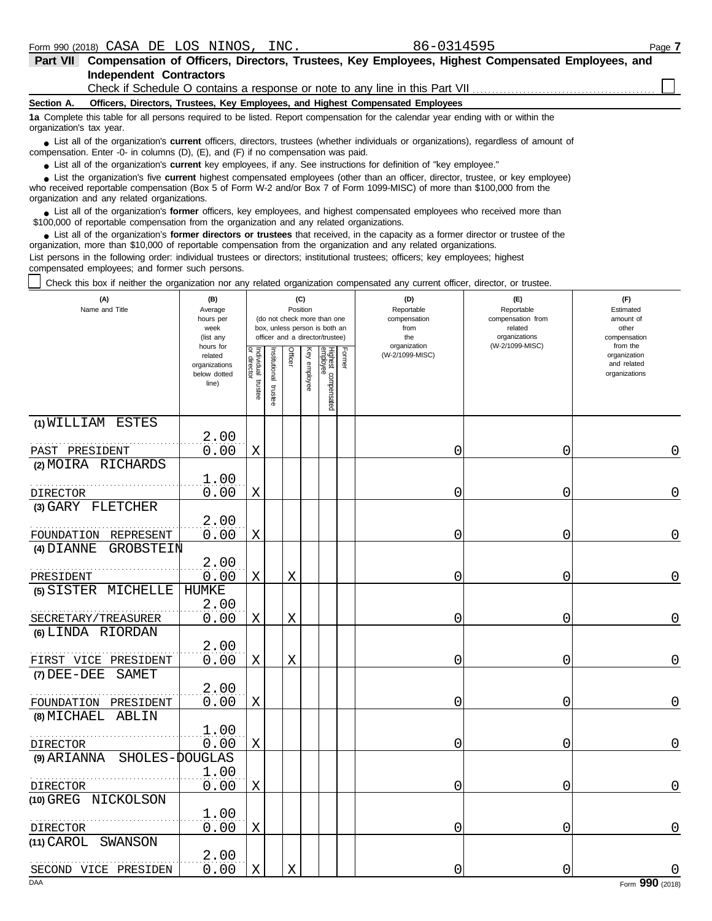| <b>Part VII</b> | Compensation of Officers, Directors, Trustees, Key Employees, Highest Compensated Employees, and                                                                    |
|-----------------|---------------------------------------------------------------------------------------------------------------------------------------------------------------------|
|                 | Independent Contractors                                                                                                                                             |
|                 | Check if Schedule O contains a response or note to any line in this Part VII [11] [12] Check if Schedule O contains a response or note to any line in this Part VII |
| Section A.      | Officers, Directors, Trustees, Key Employees, and Highest Compensated Employees                                                                                     |
|                 | 1a Complete this table for all persons required to be listed. Report compensation for the calendar year ending with or within the                                   |

■ List all of the organization's **current** officers, directors, trustees (whether individuals or organizations), regardless of amount of the companies of amount of compensation. Enter -0- in columns (D), (E), and (F) if no compensation was paid. organization's tax year.

● List all of the organization's **current** key employees, if any. See instructions for definition of "key employee."

who received reportable compensation (Box 5 of Form W-2 and/or Box 7 of Form 1099-MISC) of more than \$100,000 from the organization and any related organizations. ■ List the organization's five **current** highest compensated employees (other than an officer, director, trustee, or key employee)<br> **•** Preceived reportable compensation (Box 5 of Form *M, 2 and/or Box 7 of Form 1000 MISC* 

■ List all of the organization's **former** officers, key employees, and highest compensated employees who received more than<br> **•** 00.000 of reportable compensation from the ergonization and any related ergonizations \$100,000 of reportable compensation from the organization and any related organizations.

■ List all of the organization's **former directors or trustees** that received, in the capacity as a former director or trustee of the<br>paization, more than \$10,000 of reportable compensation from the organization and any r organization, more than \$10,000 of reportable compensation from the organization and any related organizations. List persons in the following order: individual trustees or directors; institutional trustees; officers; key employees; highest

compensated employees; and former such persons.

Check this box if neither the organization nor any related organization compensated any current officer, director, or trustee.

| (A)<br>Name and Title                                 | (B)<br>Average<br>hours per<br>week<br>(list any<br>hours for |                                   |                         | (C)<br>Position |              | (do not check more than one<br>box, unless person is both an<br>officer and a director/trustee) |        | (D)<br>Reportable<br>compensation<br>from<br>the<br>organization | (E)<br>Reportable<br>compensation from<br>related<br>organizations<br>(W-2/1099-MISC) | (F)<br>Estimated<br>amount of<br>other<br>compensation<br>from the |
|-------------------------------------------------------|---------------------------------------------------------------|-----------------------------------|-------------------------|-----------------|--------------|-------------------------------------------------------------------------------------------------|--------|------------------------------------------------------------------|---------------------------------------------------------------------------------------|--------------------------------------------------------------------|
|                                                       | related<br>organizations<br>below dotted<br>line)             | Individual trustee<br>or director | nstitutional<br>trustee | Officer         | Key employee | Highest compensated<br>employee                                                                 | Former | (W-2/1099-MISC)                                                  |                                                                                       | organization<br>and related<br>organizations                       |
| (1) WILLIAM ESTES<br>PAST PRESIDENT                   | 2.00<br>0.00                                                  | Χ                                 |                         |                 |              |                                                                                                 |        | 0                                                                | 0                                                                                     | 0                                                                  |
| (2) MOIRA RICHARDS                                    | 1.00                                                          |                                   |                         |                 |              |                                                                                                 |        |                                                                  |                                                                                       |                                                                    |
| <b>DIRECTOR</b>                                       | 0.00                                                          | X                                 |                         |                 |              |                                                                                                 |        | 0                                                                | 0                                                                                     | $\mathbf 0$                                                        |
| (3) GARY FLETCHER                                     |                                                               |                                   |                         |                 |              |                                                                                                 |        |                                                                  |                                                                                       |                                                                    |
|                                                       | 2.00                                                          |                                   |                         |                 |              |                                                                                                 |        |                                                                  |                                                                                       |                                                                    |
| FOUNDATION<br>REPRESENT                               | 0.00                                                          | X                                 |                         |                 |              |                                                                                                 |        | 0                                                                | 0                                                                                     | 0                                                                  |
| (4) DIANNE<br>GROBSTEIN                               |                                                               |                                   |                         |                 |              |                                                                                                 |        |                                                                  |                                                                                       |                                                                    |
| PRESIDENT                                             | 2.00<br>0.00                                                  | Χ                                 |                         | $\rm X$         |              |                                                                                                 |        | 0                                                                | 0                                                                                     | $\overline{0}$                                                     |
| (5) SISTER<br>MICHELLE                                | <b>HUMKE</b>                                                  |                                   |                         |                 |              |                                                                                                 |        |                                                                  |                                                                                       |                                                                    |
|                                                       | 2.00                                                          |                                   |                         |                 |              |                                                                                                 |        |                                                                  |                                                                                       |                                                                    |
| SECRETARY/TREASURER                                   | 0.00                                                          | X                                 |                         | X               |              |                                                                                                 |        | 0                                                                | 0                                                                                     | $\mathsf{O}\xspace$                                                |
| (6) LINDA RIORDAN                                     |                                                               |                                   |                         |                 |              |                                                                                                 |        |                                                                  |                                                                                       |                                                                    |
|                                                       | 2.00                                                          |                                   |                         |                 |              |                                                                                                 |        |                                                                  |                                                                                       |                                                                    |
| FIRST VICE PRESIDENT<br>$(7)$ DEE-DEE<br><b>SAMET</b> | 0.00                                                          | X                                 |                         | X               |              |                                                                                                 |        | 0                                                                | 0                                                                                     | 0                                                                  |
|                                                       | 2.00                                                          |                                   |                         |                 |              |                                                                                                 |        |                                                                  |                                                                                       |                                                                    |
| FOUNDATION PRESIDENT                                  | 0.00                                                          | X                                 |                         |                 |              |                                                                                                 |        | 0                                                                | 0                                                                                     | 0                                                                  |
| (8) MICHAEL<br>ABLIN                                  |                                                               |                                   |                         |                 |              |                                                                                                 |        |                                                                  |                                                                                       |                                                                    |
|                                                       | 1.00                                                          |                                   |                         |                 |              |                                                                                                 |        |                                                                  |                                                                                       |                                                                    |
| <b>DIRECTOR</b>                                       | 0.00                                                          | $\mathbf X$                       |                         |                 |              |                                                                                                 |        | 0                                                                | 0                                                                                     | $\overline{0}$                                                     |
| SHOLES-DOUGLAS<br>(9) ARIANNA                         |                                                               |                                   |                         |                 |              |                                                                                                 |        |                                                                  |                                                                                       |                                                                    |
|                                                       | 1.00                                                          |                                   |                         |                 |              |                                                                                                 |        |                                                                  |                                                                                       |                                                                    |
| DIRECTOR                                              | 0.00                                                          | Χ                                 |                         |                 |              |                                                                                                 |        | 0                                                                | 0                                                                                     | 0                                                                  |
| (10) GREG NICKOLSON                                   |                                                               |                                   |                         |                 |              |                                                                                                 |        |                                                                  |                                                                                       |                                                                    |
| <b>DIRECTOR</b>                                       | 1.00<br>0.00                                                  | $\mathbf X$                       |                         |                 |              |                                                                                                 |        | 0                                                                | 0                                                                                     | $\mathbf 0$                                                        |
| SWANSON<br>$(11)$ CAROL                               |                                                               |                                   |                         |                 |              |                                                                                                 |        |                                                                  |                                                                                       |                                                                    |
|                                                       | 2.00                                                          |                                   |                         |                 |              |                                                                                                 |        |                                                                  |                                                                                       |                                                                    |
| SECOND VICE PRESIDEN                                  | 0.00                                                          | $\mathbf X$                       |                         | X               |              |                                                                                                 |        | 0                                                                | 0                                                                                     |                                                                    |
| DAA                                                   |                                                               |                                   |                         |                 |              |                                                                                                 |        |                                                                  |                                                                                       | Form 990 (2018)                                                    |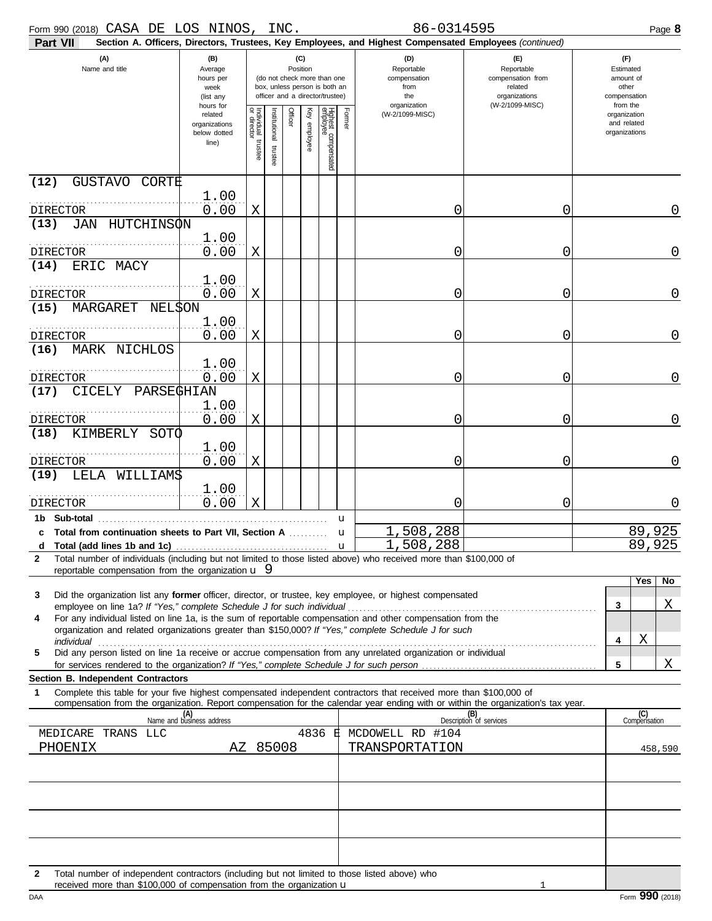| Form 990 (2018) CASA DE LOS NINOS,                                                                                                                                                                                                                                                                |                                                                |                                                                                                                                                                                           |  | INC. |                 |                                                                                                 |                                                  | 86-0314595                                                                                             |                                                                    |                                                                    |                     | Page 8         |
|---------------------------------------------------------------------------------------------------------------------------------------------------------------------------------------------------------------------------------------------------------------------------------------------------|----------------------------------------------------------------|-------------------------------------------------------------------------------------------------------------------------------------------------------------------------------------------|--|------|-----------------|-------------------------------------------------------------------------------------------------|--------------------------------------------------|--------------------------------------------------------------------------------------------------------|--------------------------------------------------------------------|--------------------------------------------------------------------|---------------------|----------------|
| Part VII                                                                                                                                                                                                                                                                                          |                                                                |                                                                                                                                                                                           |  |      |                 |                                                                                                 |                                                  | Section A. Officers, Directors, Trustees, Key Employees, and Highest Compensated Employees (continued) |                                                                    |                                                                    |                     |                |
| (A)<br>Name and title                                                                                                                                                                                                                                                                             | (B)<br>Average<br>hours per<br>week<br>(list any               |                                                                                                                                                                                           |  |      | (C)<br>Position | (do not check more than one<br>box, unless person is both an<br>officer and a director/trustee) | (D)<br>Reportable<br>compensation<br>from<br>the |                                                                                                        | (F)<br>Reportable<br>compensation from<br>related<br>organizations | (F)<br>Estimated<br>amount of<br>other<br>compensation<br>from the |                     |                |
|                                                                                                                                                                                                                                                                                                   | hours for<br>related<br>organizations<br>below dotted<br>line) | organization<br>(W-2/1099-MISC)<br>Individual<br>or director<br>Officer<br>Highest compensated<br>employee<br>Former<br>nstitutional<br>(W-2/1099-MISC)<br>employee<br>trustee<br>trustee |  |      |                 | organization<br>and related<br>organizations                                                    |                                                  |                                                                                                        |                                                                    |                                                                    |                     |                |
| <b>GUSTAVO</b><br>(12)<br>CORTE                                                                                                                                                                                                                                                                   |                                                                |                                                                                                                                                                                           |  |      |                 |                                                                                                 |                                                  |                                                                                                        |                                                                    |                                                                    |                     |                |
| <b>DIRECTOR</b>                                                                                                                                                                                                                                                                                   | 1.00<br>0.00                                                   | Χ                                                                                                                                                                                         |  |      |                 |                                                                                                 |                                                  | 0                                                                                                      | 0                                                                  |                                                                    |                     | 0              |
| JAN HUTCHINSON<br>(13)                                                                                                                                                                                                                                                                            |                                                                |                                                                                                                                                                                           |  |      |                 |                                                                                                 |                                                  |                                                                                                        |                                                                    |                                                                    |                     |                |
|                                                                                                                                                                                                                                                                                                   | 1.00                                                           |                                                                                                                                                                                           |  |      |                 |                                                                                                 |                                                  |                                                                                                        |                                                                    |                                                                    |                     |                |
| <b>DIRECTOR</b><br>ERIC MACY<br>(14)                                                                                                                                                                                                                                                              | 0.00                                                           | Χ                                                                                                                                                                                         |  |      |                 |                                                                                                 |                                                  | 0                                                                                                      | 0                                                                  |                                                                    |                     | $\overline{0}$ |
| <b>DIRECTOR</b>                                                                                                                                                                                                                                                                                   | 1.00<br>0.00                                                   | X                                                                                                                                                                                         |  |      |                 |                                                                                                 |                                                  | 0                                                                                                      | 0                                                                  |                                                                    |                     | $\overline{0}$ |
| <b>MARGARET</b><br>(15)<br>NEL\$ON                                                                                                                                                                                                                                                                |                                                                |                                                                                                                                                                                           |  |      |                 |                                                                                                 |                                                  |                                                                                                        |                                                                    |                                                                    |                     |                |
|                                                                                                                                                                                                                                                                                                   | 1.00                                                           |                                                                                                                                                                                           |  |      |                 |                                                                                                 |                                                  |                                                                                                        |                                                                    |                                                                    |                     |                |
| <b>DIRECTOR</b><br>MARK NICHLOS<br>(16)                                                                                                                                                                                                                                                           | 0.00                                                           | Χ                                                                                                                                                                                         |  |      |                 |                                                                                                 |                                                  | 0                                                                                                      | 0                                                                  |                                                                    |                     | $\overline{0}$ |
|                                                                                                                                                                                                                                                                                                   | 1.00                                                           |                                                                                                                                                                                           |  |      |                 |                                                                                                 |                                                  |                                                                                                        |                                                                    |                                                                    |                     |                |
| <b>DIRECTOR</b>                                                                                                                                                                                                                                                                                   | 0.00                                                           | X                                                                                                                                                                                         |  |      |                 |                                                                                                 |                                                  | 0                                                                                                      | 0                                                                  |                                                                    |                     | 0              |
| CICELY PARSEGHIAN<br>(17)                                                                                                                                                                                                                                                                         | 1.00                                                           |                                                                                                                                                                                           |  |      |                 |                                                                                                 |                                                  |                                                                                                        |                                                                    |                                                                    |                     |                |
| <b>DIRECTOR</b>                                                                                                                                                                                                                                                                                   | 0.00                                                           | Χ                                                                                                                                                                                         |  |      |                 |                                                                                                 |                                                  | 0                                                                                                      | 0                                                                  |                                                                    |                     | 0              |
| KIMBERLY SOTO<br>(18)                                                                                                                                                                                                                                                                             |                                                                |                                                                                                                                                                                           |  |      |                 |                                                                                                 |                                                  |                                                                                                        |                                                                    |                                                                    |                     |                |
|                                                                                                                                                                                                                                                                                                   | 1.00<br>0.00                                                   | Χ                                                                                                                                                                                         |  |      |                 |                                                                                                 |                                                  | 0                                                                                                      | 0                                                                  |                                                                    |                     | 0              |
| <b>DIRECTOR</b><br>LELA<br>WILLIAM\$<br>(19)                                                                                                                                                                                                                                                      |                                                                |                                                                                                                                                                                           |  |      |                 |                                                                                                 |                                                  |                                                                                                        |                                                                    |                                                                    |                     |                |
|                                                                                                                                                                                                                                                                                                   | 1.00                                                           |                                                                                                                                                                                           |  |      |                 |                                                                                                 |                                                  |                                                                                                        |                                                                    |                                                                    |                     |                |
| <b>DIRECTOR</b>                                                                                                                                                                                                                                                                                   | 0.00                                                           | $\mathbf X$                                                                                                                                                                               |  |      |                 |                                                                                                 |                                                  | 0                                                                                                      | 0                                                                  |                                                                    |                     | 0              |
| c Total from continuation sheets to Part VII, Section A                                                                                                                                                                                                                                           |                                                                |                                                                                                                                                                                           |  |      |                 |                                                                                                 | u<br>u                                           | 1,508,288                                                                                              |                                                                    |                                                                    | 89,925              |                |
| d Total (add lines 1b and 1c) $\frac{u}{1,508,288}$                                                                                                                                                                                                                                               |                                                                |                                                                                                                                                                                           |  |      |                 |                                                                                                 |                                                  |                                                                                                        |                                                                    |                                                                    | 89,925              |                |
| Total number of individuals (including but not limited to those listed above) who received more than \$100,000 of<br>2<br>reportable compensation from the organization $\mathbf{u}$ 9                                                                                                            |                                                                |                                                                                                                                                                                           |  |      |                 |                                                                                                 |                                                  |                                                                                                        |                                                                    |                                                                    |                     |                |
|                                                                                                                                                                                                                                                                                                   |                                                                |                                                                                                                                                                                           |  |      |                 |                                                                                                 |                                                  |                                                                                                        |                                                                    |                                                                    | Yes                 | No             |
| Did the organization list any former officer, director, or trustee, key employee, or highest compensated<br>3                                                                                                                                                                                     |                                                                |                                                                                                                                                                                           |  |      |                 |                                                                                                 |                                                  |                                                                                                        |                                                                    | 3                                                                  |                     | Χ              |
| For any individual listed on line 1a, is the sum of reportable compensation and other compensation from the<br>4<br>organization and related organizations greater than \$150,000? If "Yes," complete Schedule J for such                                                                         |                                                                |                                                                                                                                                                                           |  |      |                 |                                                                                                 |                                                  |                                                                                                        |                                                                    |                                                                    |                     |                |
| Did any person listed on line 1a receive or accrue compensation from any unrelated organization or individual<br>5                                                                                                                                                                                |                                                                |                                                                                                                                                                                           |  |      |                 |                                                                                                 |                                                  |                                                                                                        |                                                                    | 4                                                                  | Χ                   |                |
|                                                                                                                                                                                                                                                                                                   |                                                                |                                                                                                                                                                                           |  |      |                 |                                                                                                 |                                                  |                                                                                                        |                                                                    | 5                                                                  |                     | Χ              |
| Section B. Independent Contractors<br>Complete this table for your five highest compensated independent contractors that received more than \$100,000 of<br>1<br>compensation from the organization. Report compensation for the calendar year ending with or within the organization's tax year. |                                                                |                                                                                                                                                                                           |  |      |                 |                                                                                                 |                                                  |                                                                                                        |                                                                    |                                                                    |                     |                |
|                                                                                                                                                                                                                                                                                                   | (A)<br>Name and business address                               |                                                                                                                                                                                           |  |      |                 |                                                                                                 |                                                  |                                                                                                        | (B)<br>Description of services                                     |                                                                    | (C)<br>Compensation |                |
| MEDICARE TRANS LLC                                                                                                                                                                                                                                                                                |                                                                |                                                                                                                                                                                           |  |      |                 | 4836 H                                                                                          |                                                  | MCDOWELL RD #104                                                                                       |                                                                    |                                                                    |                     |                |
| PHOENIX                                                                                                                                                                                                                                                                                           |                                                                | AZ 85008                                                                                                                                                                                  |  |      |                 |                                                                                                 |                                                  | TRANSPORTATION                                                                                         |                                                                    |                                                                    |                     | 458,590        |
|                                                                                                                                                                                                                                                                                                   |                                                                |                                                                                                                                                                                           |  |      |                 |                                                                                                 |                                                  |                                                                                                        |                                                                    |                                                                    |                     |                |
|                                                                                                                                                                                                                                                                                                   |                                                                |                                                                                                                                                                                           |  |      |                 |                                                                                                 |                                                  |                                                                                                        |                                                                    |                                                                    |                     |                |
|                                                                                                                                                                                                                                                                                                   |                                                                |                                                                                                                                                                                           |  |      |                 |                                                                                                 |                                                  |                                                                                                        |                                                                    |                                                                    |                     |                |
| Total number of independent contractors (including but not limited to those listed above) who<br>2<br>received more than \$100,000 of compensation from the organization u                                                                                                                        |                                                                |                                                                                                                                                                                           |  |      |                 |                                                                                                 |                                                  |                                                                                                        |                                                                    |                                                                    |                     |                |

received more than \$100,000 of compensation from the organization u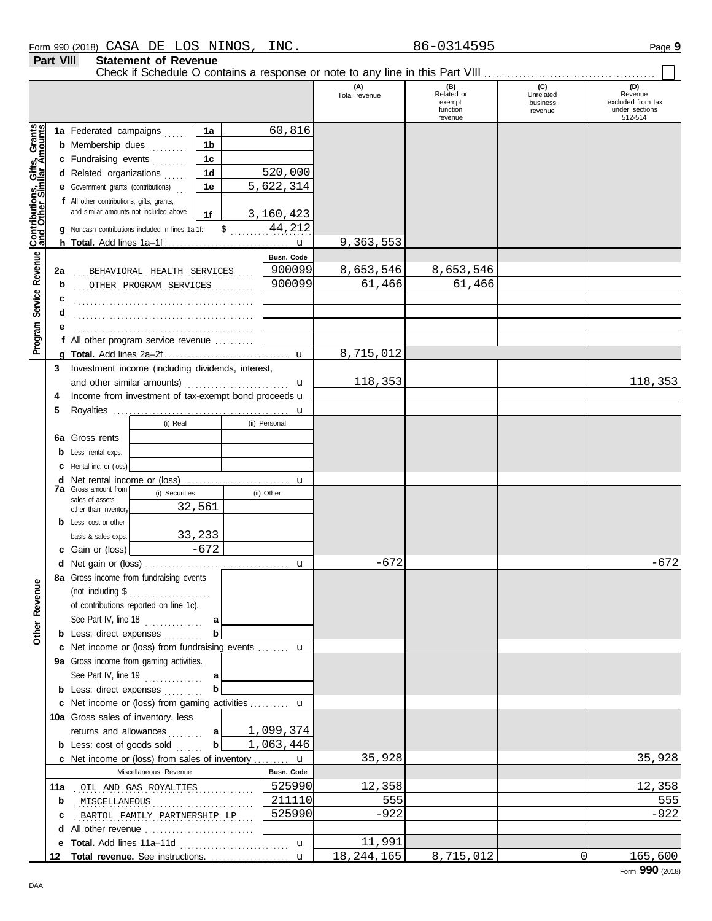**Part VIII Statement of Revenue**

#### **(A) (B) (C) (D)** Total revenue **Related or CONFORT CONFORT CONFORT Revenue**<br>
exempt business excluded from tax exempt business function under sections revenue 512-514 revenue Grants **Contributions, Gifts, Grants and Other Similar Amounts 1a** 60,816 **1a** Federated campaigns ...... **1b b** Membership dues *........*.. Gifts,<br>ilar Ar **1c c** Fundraising events . . . . . . . . **1d** 520,000 **d** Related organizations ...... **1e** 5,622,314 Contributions,<br>and Other Sim **e** Government grants (contributions) . . . **f** All other contributions, gifts, grants, and similar amounts not included above **1f** 3,160,423  $\frac{44,212}{...}$ **g** Noncash contributions included in lines 1a-1f: u 9,363,553 **h Total.** Add lines 1a–1f . . . . . . . . . . . . . . . . . . . . . . . . . . . . . . . . Revenue **Program Service Revenue Busn. Code** 2a . . . BEHAVIORAL HEALTH SERVICES ... . . . . 900099 8,653,546 8,653,546 . . . . . . . . . . . . . . . . . . . . . . . . . . . . . . . . . . . . . . . . . . . . . . **b** OTHER PROGRAM SERVICES 900099 61,466 61,466 Program Service **c** . . . . . . . . . . . . . . . . . . . . . . . . . . . . . . . . . . . . . . . . . . . . . . **d** . . . . . . . . . . . . . . . . . . . . . . . . . . . . . . . . . . . . . . . . . . . . . . **e** . . . . . . . . . . . . . . . . . . . . . . . . . . . . . . . . . . . . . . . . . . . . . . **f** All other program service revenue . . . . . . . . . . 8,715,012 **g Total.** Add lines 2a–2f . . . . . . . . . . . . . . . . . . . . . . . . . . . . . . . . u **3** Investment income (including dividends, interest, 118,353 118,353 and other similar amounts)  $\mathbf{u}$ 4 Income from investment of tax-exempt bond proceeds **u 5** Royalties . . . . . . . . . . . . . . . . . . . . . . . . . . . . . . . . . . . . . . . . . . . . . u (i) Real (ii) Personal **6a** Gross rents **b** Less: rental exps. **c** Rental inc. or (loss) **d** Net rental income or (loss) ............................. u **7a** Gross amount from (i) Securities (ii) Other sales of assets 32,561 other than inventory **b** Less: cost or other 33,233 basis & sales exps. -672 **c** Gain or (loss)  $-672$   $-672$ **d** u Net gain or (loss) . . . . . . . . . . . . . . . . . . . . . . . . . . . . . . . . . . . . . **8a** Gross income from fundraising events **Other Revenue Other Revenue** (not including \$ . . . . . . . . . . . . . . . . . . . . . of contributions reported on line 1c). See Part IV, line 18 . . . . . . . . . . . . . . . **a b b** Less: direct expenses . . . . . . . . . u **c** Net income or (loss) from fundraising events . . . . . . . . **9a** Gross income from gaming activities. See Part IV, line 19 . . . . . . . . . . . . . . . **a b b** Less: direct expenses **........**.. u Net income or (loss) from gaming activities . . . . . . . . . . **c** 10a Gross sales of inventory, less returns and allowances .......... 1,099,374 **a b** 1,063,446 **b** Less: cost of goods sold ...... u 35,928 35,928 Net income or (loss) from sales of inventory . . . . . . . . . **c** Miscellaneous Revenue **Busn. Code 11a** . . . . . . . . . . . . . . . . . . . . . . . . . . . . . . . . . . . . . . . . . . . . . . OIL AND GAS ROYALTIES 525990 12,358 12,358 **b** . . . . . . . . . . . . . . . . . . . . . . . . . . . . . . . . . . . . . . . . . . . . . . MISCELLANEOUS 211110 555 555 **c** . . . . . . . . . . . . . . . . . . . . . . . . . . . . . . . . . . . . . . . . . . . . . . BARTOL FAMILY PARTNERSHIP LP 525990 -922 -922 **d** All other revenue .............................. 11,991 **e Total.** Add lines 11a–11d . . . . . . . . . . . . . . . . . . . . . . . . . . . . u 18,244,165 8,715,012 0 165,600u **Total revenue.** See instructions. . . . . . . . . . . . . . . . . . . . . **12**

Check if Schedule O contains a response or note to any line in this Part VIII .............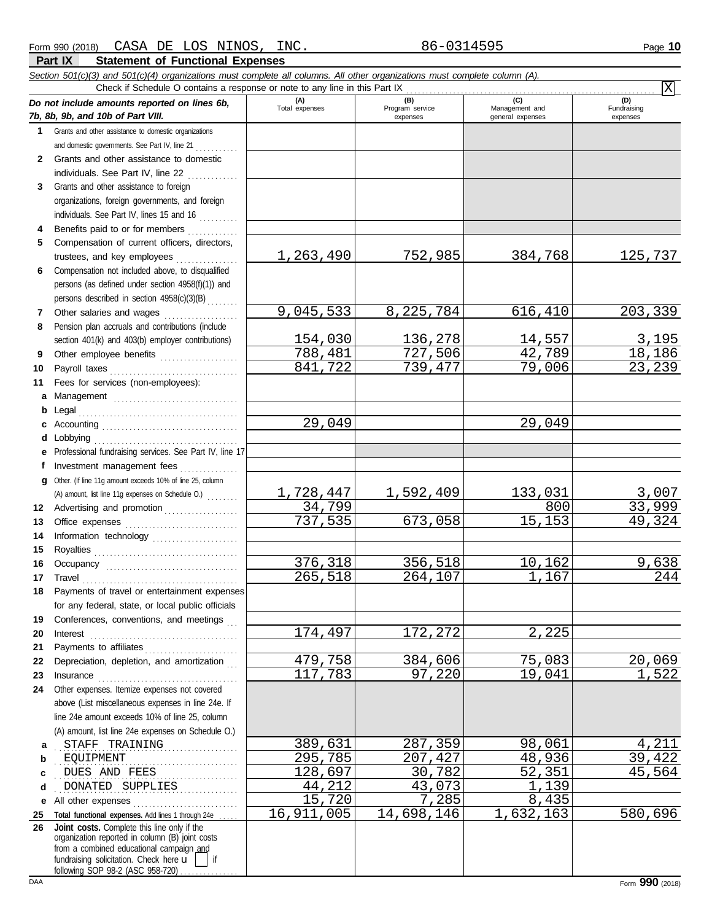| Check if Schedule O contains a response or note to any line in this Part IX<br>(A)<br>Total expenses<br>(B)<br>Program service<br>(C)<br>Do not include amounts reported on lines 6b,<br>Management and<br>7b, 8b, 9b, and 10b of Part VIII.<br>expenses<br>general expenses                                          | 冈<br>(D)<br>Fundraising<br>expenses |
|-----------------------------------------------------------------------------------------------------------------------------------------------------------------------------------------------------------------------------------------------------------------------------------------------------------------------|-------------------------------------|
|                                                                                                                                                                                                                                                                                                                       |                                     |
|                                                                                                                                                                                                                                                                                                                       |                                     |
|                                                                                                                                                                                                                                                                                                                       |                                     |
| Grants and other assistance to domestic organizations<br>1                                                                                                                                                                                                                                                            |                                     |
| and domestic governments. See Part IV, line 21<br>Grants and other assistance to domestic<br>$\mathbf{2}$                                                                                                                                                                                                             |                                     |
| individuals. See Part IV, line 22                                                                                                                                                                                                                                                                                     |                                     |
| Grants and other assistance to foreign<br>3                                                                                                                                                                                                                                                                           |                                     |
| organizations, foreign governments, and foreign                                                                                                                                                                                                                                                                       |                                     |
| individuals. See Part IV, lines 15 and 16                                                                                                                                                                                                                                                                             |                                     |
| Benefits paid to or for members<br>4                                                                                                                                                                                                                                                                                  |                                     |
| Compensation of current officers, directors,<br>5                                                                                                                                                                                                                                                                     |                                     |
| 1,263,490<br>752,985<br>384,768<br>trustees, and key employees                                                                                                                                                                                                                                                        | 125,737                             |
| Compensation not included above, to disqualified<br>6                                                                                                                                                                                                                                                                 |                                     |
| persons (as defined under section 4958(f)(1)) and                                                                                                                                                                                                                                                                     |                                     |
| persons described in section 4958(c)(3)(B)                                                                                                                                                                                                                                                                            |                                     |
| 9,045,533<br>8,225,784<br>616,410<br>Other salaries and wages<br>7                                                                                                                                                                                                                                                    | 203,339                             |
| Pension plan accruals and contributions (include<br>8                                                                                                                                                                                                                                                                 |                                     |
| 154,030<br>136,278<br>14,557<br>section 401(k) and 403(b) employer contributions)                                                                                                                                                                                                                                     | 3,195                               |
| 42,789<br>788,481<br>727,506<br>Other employee benefits<br>9                                                                                                                                                                                                                                                          | 18,186                              |
| 841,722<br>739,477<br>79,006<br>Payroll taxes<br>10                                                                                                                                                                                                                                                                   | 23,239                              |
| Fees for services (non-employees):<br>11                                                                                                                                                                                                                                                                              |                                     |
| a                                                                                                                                                                                                                                                                                                                     |                                     |
| b                                                                                                                                                                                                                                                                                                                     |                                     |
| 29,049<br>29,049<br>с                                                                                                                                                                                                                                                                                                 |                                     |
| Lobbying<br>d                                                                                                                                                                                                                                                                                                         |                                     |
| Professional fundraising services. See Part IV, line 17                                                                                                                                                                                                                                                               |                                     |
| Investment management fees<br>f                                                                                                                                                                                                                                                                                       |                                     |
| Other. (If line 11g amount exceeds 10% of line 25, column<br>g                                                                                                                                                                                                                                                        |                                     |
| 1,592,409<br>1,728,447<br>133,031<br>(A) amount, list line 11g expenses on Schedule O.)                                                                                                                                                                                                                               | 3,007                               |
| 34,799<br>800<br>Advertising and promotion<br>12                                                                                                                                                                                                                                                                      | 33,999                              |
| 15,153<br>737,535<br>673,058<br>13                                                                                                                                                                                                                                                                                    | 49,324                              |
| Information technology<br>14                                                                                                                                                                                                                                                                                          |                                     |
| 15                                                                                                                                                                                                                                                                                                                    |                                     |
| 376,318<br>356,518<br>10,162<br>16                                                                                                                                                                                                                                                                                    | 9,638                               |
| 265,518<br>264,107<br>1,167<br>17<br>$\begin{minipage}{0.5\textwidth} \centering \begin{tabular}{@{}c@{}} \textbf{True} & \textbf{True} \\ \textbf{True} & \textbf{True} \\ \textbf{True} & \textbf{True} \\ \end{tabular} \end{minipage}$                                                                            | 244                                 |
| Payments of travel or entertainment expenses<br>18                                                                                                                                                                                                                                                                    |                                     |
| for any federal, state, or local public officials                                                                                                                                                                                                                                                                     |                                     |
| Conferences, conventions, and meetings<br>19                                                                                                                                                                                                                                                                          |                                     |
| 174,497<br>172,272<br>2,225<br>20<br>$\textbf{Interest} \hspace{0.05in} \ldots \hspace{0.05in} \ldots \hspace{0.05in} \ldots \hspace{0.05in} \ldots \hspace{0.05in} \ldots \hspace{0.05in} \ldots \hspace{0.05in} \ldots \hspace{0.05in} \ldots \hspace{0.05in} \ldots \hspace{0.05in} \ldots \hspace{0.05in} \ldots$ |                                     |
| Payments to affiliates<br>21                                                                                                                                                                                                                                                                                          |                                     |
| 479,758<br>384,606<br>75,083<br>Depreciation, depletion, and amortization<br>22                                                                                                                                                                                                                                       | 20,069                              |
| 117,783<br>97,220<br>19,041<br>23                                                                                                                                                                                                                                                                                     | 1,522                               |
| Other expenses. Itemize expenses not covered<br>24                                                                                                                                                                                                                                                                    |                                     |
| above (List miscellaneous expenses in line 24e. If                                                                                                                                                                                                                                                                    |                                     |
| line 24e amount exceeds 10% of line 25, column                                                                                                                                                                                                                                                                        |                                     |
| (A) amount, list line 24e expenses on Schedule O.)                                                                                                                                                                                                                                                                    |                                     |
| 389,631<br>287,359<br>98,061<br>STAFF TRAINING<br>а                                                                                                                                                                                                                                                                   | 4,211                               |
| 295,785<br>48,936<br>207,427<br>EQUIPMENT<br>b                                                                                                                                                                                                                                                                        | 39,422                              |
| 128,697<br>30,782<br>52,351<br>DUES AND FEES<br>c                                                                                                                                                                                                                                                                     | 45,564                              |
| 44,212<br>43,073<br>1,139<br>DONATED SUPPLIES<br>d                                                                                                                                                                                                                                                                    |                                     |
| 7,285<br>15,720<br>8,435<br>All other expenses<br>е                                                                                                                                                                                                                                                                   |                                     |
| 16,911,005<br>14,698,146<br>1,632,163<br>Total functional expenses. Add lines 1 through 24e<br>25                                                                                                                                                                                                                     | 580,696                             |
| Joint costs. Complete this line only if the<br>26<br>organization reported in column (B) joint costs                                                                                                                                                                                                                  |                                     |
| from a combined educational campaign and                                                                                                                                                                                                                                                                              |                                     |
| fundraising solicitation. Check here $\mathbf{u}$     if<br>following SOP 98-2 (ASC 958-720)                                                                                                                                                                                                                          |                                     |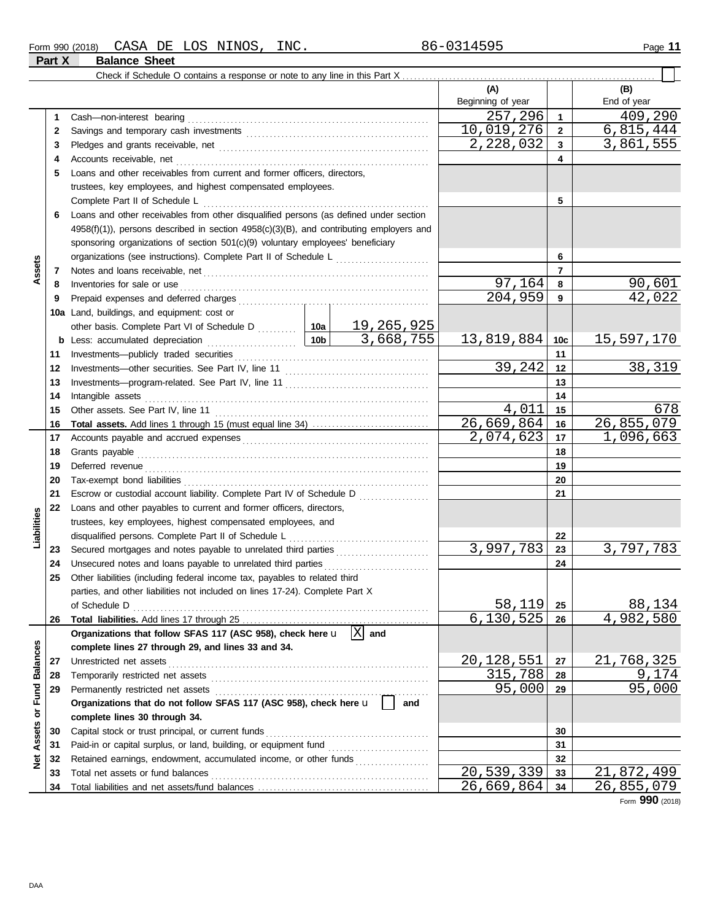## Form 990 (2018) Page **11** CASA DE LOS NINOS, INC. 86-0314595

|                 | Part X   | <b>Balance Sheet</b>                                                                                                                        |  |                                                      |                          |                 |                            |
|-----------------|----------|---------------------------------------------------------------------------------------------------------------------------------------------|--|------------------------------------------------------|--------------------------|-----------------|----------------------------|
|                 |          |                                                                                                                                             |  |                                                      |                          |                 |                            |
|                 |          |                                                                                                                                             |  |                                                      | (A)<br>Beginning of year |                 | (B)<br>End of year         |
|                 | 1        |                                                                                                                                             |  |                                                      | 257,296                  | $\mathbf{1}$    | 409,290                    |
|                 | 2        |                                                                                                                                             |  |                                                      | $\overline{10,019,276}$  | $\mathbf{2}$    | 6,815,444                  |
|                 | 3        |                                                                                                                                             |  |                                                      | $\overline{2,228,032}$   | $\mathbf{3}$    | 3,861,555                  |
|                 | 4        | Accounts receivable, net                                                                                                                    |  |                                                      |                          | 4               |                            |
|                 | 5        | Loans and other receivables from current and former officers, directors,                                                                    |  |                                                      |                          |                 |                            |
|                 |          | trustees, key employees, and highest compensated employees.                                                                                 |  |                                                      |                          |                 |                            |
|                 |          | Complete Part II of Schedule L                                                                                                              |  |                                                      |                          | 5               |                            |
|                 | 6        | Loans and other receivables from other disqualified persons (as defined under section                                                       |  |                                                      |                          |                 |                            |
|                 |          | $4958(f)(1)$ ), persons described in section $4958(c)(3)(B)$ , and contributing employers and                                               |  |                                                      |                          |                 |                            |
|                 |          | sponsoring organizations of section 501(c)(9) voluntary employees' beneficiary                                                              |  |                                                      |                          |                 |                            |
|                 |          | organizations (see instructions). Complete Part II of Schedule L                                                                            |  | <u> 1986 - Johann Stoff, Amerikaansk politiker (</u> |                          | 6               |                            |
| Assets          | 7        |                                                                                                                                             |  |                                                      |                          | 7               |                            |
|                 | 8        | Inventories for sale or use <i>communication</i> and <i>members</i> for sale or use <i>communication</i> and <i>members</i> for sale or use |  |                                                      | 97,164                   | 8               | <u>90,601</u>              |
|                 | 9        |                                                                                                                                             |  |                                                      | 204,959                  | 9               | 42,022                     |
|                 |          | 10a Land, buildings, and equipment: cost or                                                                                                 |  |                                                      |                          |                 |                            |
|                 |          |                                                                                                                                             |  | 19,265,925                                           |                          |                 |                            |
|                 | b        | $\boxed{\textbf{10b}}$<br>Less: accumulated depreciation                                                                                    |  | 3,668,755                                            | 13,819,884               | 10 <sub>c</sub> | <u>15,597,170</u>          |
|                 | 11       |                                                                                                                                             |  |                                                      |                          | 11              |                            |
|                 | 12       |                                                                                                                                             |  |                                                      | 39,242                   | 12              | 38,319                     |
|                 | 13       |                                                                                                                                             |  |                                                      |                          | 13              |                            |
|                 | 14       | Intangible assets                                                                                                                           |  |                                                      |                          | 14              |                            |
|                 | 15       |                                                                                                                                             |  |                                                      | 4,011                    | 15              | 678<br>26,855,079          |
|                 | 16       |                                                                                                                                             |  |                                                      | 26,669,864<br>2,074,623  | 16<br>17        | 1,096,663                  |
|                 | 17<br>18 | Grants payable                                                                                                                              |  |                                                      | 18                       |                 |                            |
|                 | 19       | Deferred revenue                                                                                                                            |  |                                                      | 19                       |                 |                            |
|                 | 20       |                                                                                                                                             |  |                                                      |                          | 20              |                            |
|                 | 21       |                                                                                                                                             |  |                                                      |                          | 21              |                            |
|                 | 22       | Loans and other payables to current and former officers, directors,                                                                         |  |                                                      |                          |                 |                            |
| Liabilities     |          | trustees, key employees, highest compensated employees, and                                                                                 |  |                                                      |                          |                 |                            |
|                 |          | disqualified persons. Complete Part II of Schedule L                                                                                        |  |                                                      |                          | 22              |                            |
|                 | 23       |                                                                                                                                             |  |                                                      | 3,997,783                | 23              | 3,797,783                  |
|                 | 24       | Unsecured notes and loans payable to unrelated third parties [[[[[[[[[[[[[[[[[[[[[[[[[]]]]]]]]]]]                                           |  |                                                      |                          | 24              |                            |
|                 |          | Other liabilities (including federal income tax, payables to related third                                                                  |  |                                                      |                          |                 |                            |
|                 |          | parties, and other liabilities not included on lines 17-24). Complete Part X                                                                |  |                                                      |                          |                 |                            |
|                 |          | of Schedule D                                                                                                                               |  |                                                      | 58,119                   | 25              | $\frac{88,134}{4,982,580}$ |
|                 | 26       |                                                                                                                                             |  |                                                      | 6,130,525                | 26              |                            |
|                 |          | Organizations that follow SFAS 117 (ASC 958), check here $\mathbf{u}$ $\boxed{\mathrm{X}}$                                                  |  | and                                                  |                          |                 |                            |
|                 |          | complete lines 27 through 29, and lines 33 and 34.                                                                                          |  |                                                      |                          |                 |                            |
| <b>Balances</b> | 27       | Unrestricted net assets                                                                                                                     |  |                                                      | 20, 128, 551             | 27              | 21,768,325                 |
|                 | 28       | Temporarily restricted net assets                                                                                                           |  |                                                      | 315,788<br>95,000        | 28              | 9,174<br>95,000            |
| or Fund         | 29       | Permanently restricted net assets<br>Organizations that do not follow SFAS 117 (ASC 958), check here u                                      |  | and                                                  |                          | 29              |                            |
|                 |          | complete lines 30 through 34.                                                                                                               |  |                                                      |                          |                 |                            |
|                 | 30       | Capital stock or trust principal, or current funds                                                                                          |  |                                                      |                          | 30              |                            |
| Assets          | 31       |                                                                                                                                             |  |                                                      | 31                       |                 |                            |
| $\frac{1}{2}$   | 32       | Retained earnings, endowment, accumulated income, or other funds                                                                            |  |                                                      |                          | 32              |                            |
|                 | 33       | Total net assets or fund balances                                                                                                           |  |                                                      | 20,539,339               | 33              | 21,872,499                 |
|                 | 34       |                                                                                                                                             |  |                                                      | 26,669,864               | 34              | 26,855,079                 |

Form **990** (2018)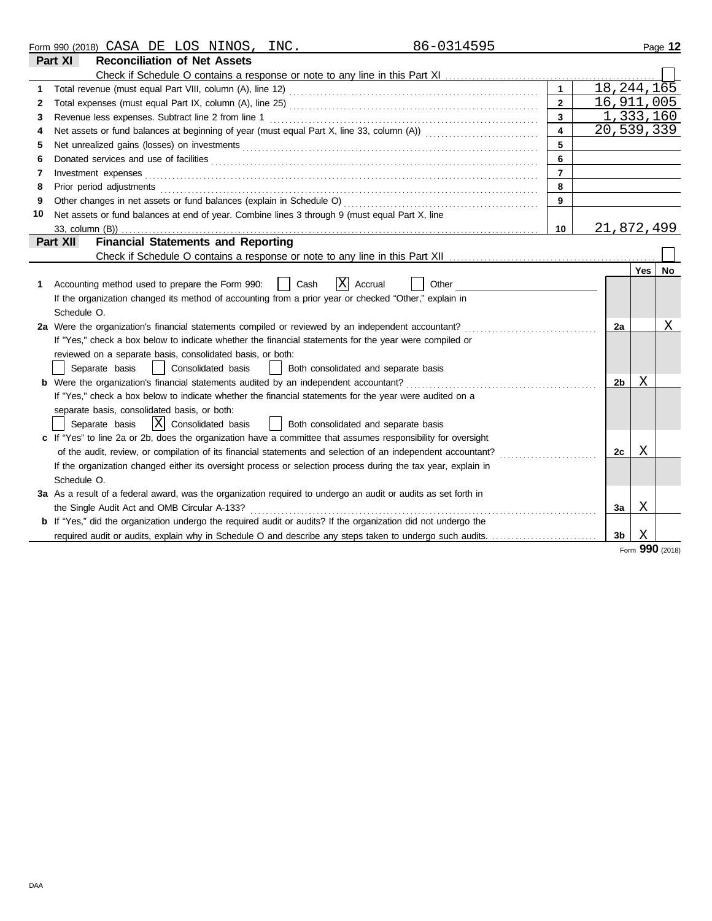|    | 86-0314595<br>Form 990 (2018) CASA DE LOS NINOS, INC.                                                                          |                         |                |          | Page 12   |
|----|--------------------------------------------------------------------------------------------------------------------------------|-------------------------|----------------|----------|-----------|
|    | <b>Reconciliation of Net Assets</b><br>Part XI                                                                                 |                         |                |          |           |
|    |                                                                                                                                |                         |                |          |           |
|    |                                                                                                                                |                         | 18, 244, 165   |          |           |
| 2  |                                                                                                                                | $\overline{2}$          | 16,911,005     |          |           |
| 3  |                                                                                                                                | $\overline{\mathbf{3}}$ | 1,333,160      |          |           |
| 4  |                                                                                                                                | $\overline{\mathbf{4}}$ | 20,539,339     |          |           |
| 5  |                                                                                                                                |                         |                |          |           |
| 6  | Donated services and use of facilities <b>constructs</b> and the service of facilities <b>constructs</b> and use of facilities | 6                       |                |          |           |
| 7  | Investment expenses                                                                                                            | $\overline{7}$          |                |          |           |
| 8  | Prior period adjustments                                                                                                       | 8                       |                |          |           |
| 9  |                                                                                                                                | 9                       |                |          |           |
| 10 | Net assets or fund balances at end of year. Combine lines 3 through 9 (must equal Part X, line                                 |                         |                |          |           |
|    |                                                                                                                                | 10                      | 21,872,499     |          |           |
|    | <b>Financial Statements and Reporting</b><br>Part XII                                                                          |                         |                |          |           |
|    |                                                                                                                                |                         |                |          |           |
|    |                                                                                                                                |                         |                | Yes      | <b>No</b> |
| 1. | ΙXΙ<br>Accounting method used to prepare the Form 990:<br>Cash<br>Accrual<br>Other                                             |                         |                |          |           |
|    | If the organization changed its method of accounting from a prior year or checked "Other," explain in                          |                         |                |          |           |
|    | Schedule O.                                                                                                                    |                         |                |          |           |
|    | 2a Were the organization's financial statements compiled or reviewed by an independent accountant?                             |                         | 2a             |          | Χ         |
|    | If "Yes," check a box below to indicate whether the financial statements for the year were compiled or                         |                         |                |          |           |
|    | reviewed on a separate basis, consolidated basis, or both:                                                                     |                         |                |          |           |
|    | Separate basis<br>Consolidated basis<br>Both consolidated and separate basis                                                   |                         |                |          |           |
|    |                                                                                                                                |                         | 2b             | Χ        |           |
|    | If "Yes," check a box below to indicate whether the financial statements for the year were audited on a                        |                         |                |          |           |
|    | separate basis, consolidated basis, or both:                                                                                   |                         |                |          |           |
|    | $ X $ Consolidated basis<br>  Both consolidated and separate basis<br>Separate basis                                           |                         |                |          |           |
|    | c If "Yes" to line 2a or 2b, does the organization have a committee that assumes responsibility for oversight                  |                         |                |          |           |
|    | of the audit, review, or compilation of its financial statements and selection of an independent accountant?                   |                         | 2c             | Χ        |           |
|    | If the organization changed either its oversight process or selection process during the tax year, explain in                  |                         |                |          |           |
|    | Schedule O.                                                                                                                    |                         |                |          |           |
|    | 3a As a result of a federal award, was the organization required to undergo an audit or audits as set forth in                 |                         |                |          |           |
|    | the Single Audit Act and OMB Circular A-133?                                                                                   |                         | 3a             | X        |           |
|    | <b>b</b> If "Yes," did the organization undergo the required audit or audits? If the organization did not undergo the          |                         |                |          |           |
|    | required audit or audits, explain why in Schedule O and describe any steps taken to undergo such audits.                       |                         | 3 <sub>b</sub> | Χ<br>000 |           |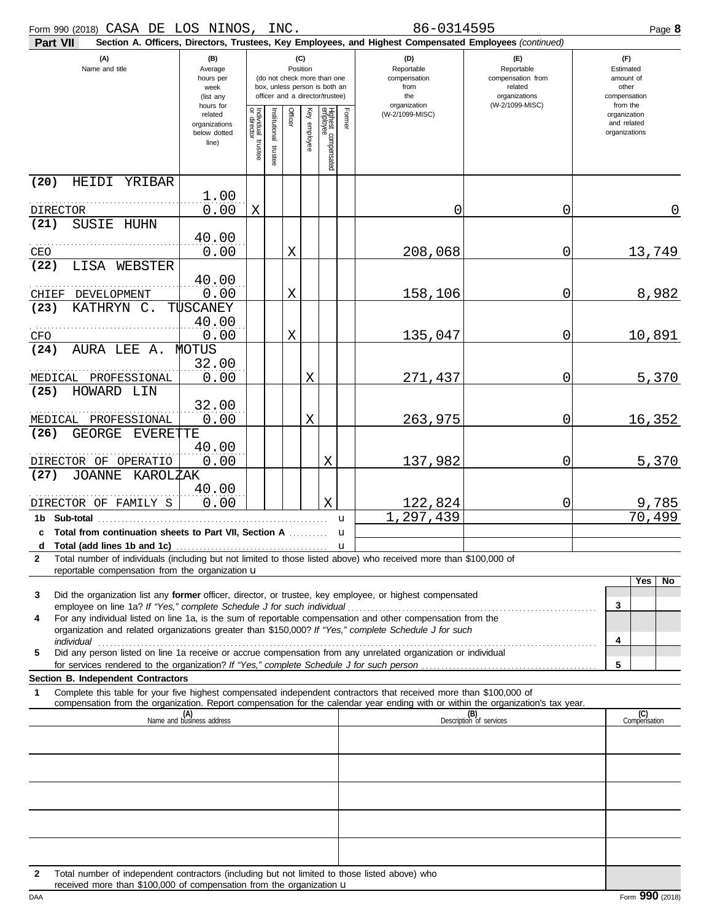| Form 990 (2018) CASA DE LOS NINOS,<br>ΙN |
|------------------------------------------|
|------------------------------------------|

| Form 990 (2018) CASA DE LOS NINOS,                                                                                                                                                                                                                          |                                                                |                                   |                            | INC.            |              |                                                                                                 |        | 86-0314595                                                                                             |                                                                    | Page 8                                                   |
|-------------------------------------------------------------------------------------------------------------------------------------------------------------------------------------------------------------------------------------------------------------|----------------------------------------------------------------|-----------------------------------|----------------------------|-----------------|--------------|-------------------------------------------------------------------------------------------------|--------|--------------------------------------------------------------------------------------------------------|--------------------------------------------------------------------|----------------------------------------------------------|
| Part VII                                                                                                                                                                                                                                                    |                                                                |                                   |                            |                 |              |                                                                                                 |        | Section A. Officers, Directors, Trustees, Key Employees, and Highest Compensated Employees (continued) |                                                                    |                                                          |
| (A)<br>Name and title                                                                                                                                                                                                                                       | (B)<br>Average<br>hours per<br>week<br>(list any               |                                   |                            | (C)<br>Position |              | (do not check more than one<br>box, unless person is both an<br>officer and a director/trustee) |        | (D)<br>Reportable<br>compensation<br>from<br>the<br>organization                                       | (E)<br>Reportable<br>compensation from<br>related<br>organizations | (F)<br>Estimated<br>amount of<br>other<br>compensation   |
|                                                                                                                                                                                                                                                             | hours for<br>related<br>organizations<br>below dotted<br>line) | Individual trustee<br>or director | Institutional<br>  trustee | Officer         | Key employee | Highest compensated<br>employee                                                                 | Former | (W-2/1099-MISC)                                                                                        | (W-2/1099-MISC)                                                    | from the<br>organization<br>and related<br>organizations |
| (20)<br>HEIDI<br>YRIBAR                                                                                                                                                                                                                                     |                                                                |                                   |                            |                 |              |                                                                                                 |        |                                                                                                        |                                                                    |                                                          |
| <b>DIRECTOR</b>                                                                                                                                                                                                                                             | 1.00<br>0.00                                                   | $\mathbf X$                       |                            |                 |              |                                                                                                 |        | 0                                                                                                      | 0                                                                  | $\mathbf 0$                                              |
| SUSIE HUHN<br>(21)                                                                                                                                                                                                                                          |                                                                |                                   |                            |                 |              |                                                                                                 |        |                                                                                                        |                                                                    |                                                          |
|                                                                                                                                                                                                                                                             | 40.00                                                          |                                   |                            |                 |              |                                                                                                 |        |                                                                                                        |                                                                    |                                                          |
| CEO                                                                                                                                                                                                                                                         | 0.00                                                           |                                   |                            | X               |              |                                                                                                 |        | 208,068                                                                                                | 0                                                                  | 13,749                                                   |
| LISA WEBSTER<br>(22)                                                                                                                                                                                                                                        |                                                                |                                   |                            |                 |              |                                                                                                 |        |                                                                                                        |                                                                    |                                                          |
| DEVELOPMENT<br>CHIEF                                                                                                                                                                                                                                        | 40.00<br>0.00                                                  |                                   |                            | X               |              |                                                                                                 |        | 158,106                                                                                                | 0                                                                  | 8,982                                                    |
| KATHRYN C.<br>(23)                                                                                                                                                                                                                                          | TUSCANEY                                                       |                                   |                            |                 |              |                                                                                                 |        |                                                                                                        |                                                                    |                                                          |
|                                                                                                                                                                                                                                                             | 40.00                                                          |                                   |                            |                 |              |                                                                                                 |        |                                                                                                        |                                                                    |                                                          |
| CFO                                                                                                                                                                                                                                                         | 0.00                                                           |                                   |                            | X               |              |                                                                                                 |        | 135,047                                                                                                | 0                                                                  | 10,891                                                   |
| AURA LEE A.<br>(24)                                                                                                                                                                                                                                         | MOTUS                                                          |                                   |                            |                 |              |                                                                                                 |        |                                                                                                        |                                                                    |                                                          |
| MEDICAL PROFESSIONAL                                                                                                                                                                                                                                        | 32.00<br>0.00                                                  |                                   |                            |                 | X            |                                                                                                 |        | 271,437                                                                                                | 0                                                                  | 5,370                                                    |
| HOWARD LIN<br>(25)                                                                                                                                                                                                                                          |                                                                |                                   |                            |                 |              |                                                                                                 |        |                                                                                                        |                                                                    |                                                          |
|                                                                                                                                                                                                                                                             | 32.00                                                          |                                   |                            |                 |              |                                                                                                 |        |                                                                                                        |                                                                    |                                                          |
| MEDICAL PROFESSIONAL                                                                                                                                                                                                                                        | 0.00                                                           |                                   |                            |                 | X            |                                                                                                 |        | 263,975                                                                                                | 0                                                                  | 16,352                                                   |
| GEORGE EVERETTE<br>(26)                                                                                                                                                                                                                                     |                                                                |                                   |                            |                 |              |                                                                                                 |        |                                                                                                        |                                                                    |                                                          |
| DIRECTOR OF OPERATIO                                                                                                                                                                                                                                        | 40.00<br>0.00                                                  |                                   |                            |                 |              | X                                                                                               |        | 137,982                                                                                                | 0                                                                  | 5,370                                                    |
| JOANNE KAROLZAK<br>(27)                                                                                                                                                                                                                                     | 40.00                                                          |                                   |                            |                 |              |                                                                                                 |        |                                                                                                        |                                                                    |                                                          |
| DIRECTOR OF FAMILY S                                                                                                                                                                                                                                        | 0.00                                                           |                                   |                            |                 |              | X                                                                                               |        | 122,824                                                                                                | 0                                                                  | 9,785                                                    |
| 1b Sub-total                                                                                                                                                                                                                                                |                                                                |                                   |                            |                 |              |                                                                                                 | u      | 1,297,439                                                                                              |                                                                    | 70,499                                                   |
| c Total from continuation sheets to Part VII, Section A                                                                                                                                                                                                     |                                                                |                                   |                            |                 |              |                                                                                                 | u      |                                                                                                        |                                                                    |                                                          |
|                                                                                                                                                                                                                                                             |                                                                |                                   |                            |                 |              |                                                                                                 |        |                                                                                                        |                                                                    |                                                          |
| Total number of individuals (including but not limited to those listed above) who received more than \$100,000 of<br>2<br>reportable compensation from the organization u                                                                                   |                                                                |                                   |                            |                 |              |                                                                                                 |        |                                                                                                        |                                                                    |                                                          |
|                                                                                                                                                                                                                                                             |                                                                |                                   |                            |                 |              |                                                                                                 |        |                                                                                                        |                                                                    | No<br>Yes                                                |
| Did the organization list any former officer, director, or trustee, key employee, or highest compensated<br>3                                                                                                                                               |                                                                |                                   |                            |                 |              |                                                                                                 |        |                                                                                                        |                                                                    | 3                                                        |
| For any individual listed on line 1a, is the sum of reportable compensation and other compensation from the<br>4<br>organization and related organizations greater than \$150,000? If "Yes," complete Schedule J for such                                   |                                                                |                                   |                            |                 |              |                                                                                                 |        |                                                                                                        |                                                                    |                                                          |
| Did any person listed on line 1a receive or accrue compensation from any unrelated organization or individual<br>5                                                                                                                                          |                                                                |                                   |                            |                 |              |                                                                                                 |        |                                                                                                        |                                                                    | 4                                                        |
|                                                                                                                                                                                                                                                             |                                                                |                                   |                            |                 |              |                                                                                                 |        |                                                                                                        |                                                                    | 5                                                        |
| Section B. Independent Contractors                                                                                                                                                                                                                          |                                                                |                                   |                            |                 |              |                                                                                                 |        |                                                                                                        |                                                                    |                                                          |
| Complete this table for your five highest compensated independent contractors that received more than \$100,000 of<br>1<br>compensation from the organization. Report compensation for the calendar year ending with or within the organization's tax year. |                                                                |                                   |                            |                 |              |                                                                                                 |        |                                                                                                        |                                                                    |                                                          |
|                                                                                                                                                                                                                                                             | (A)<br>Name and business address                               |                                   |                            |                 |              |                                                                                                 |        |                                                                                                        | (B)<br>Description of services                                     | (C)<br>Compensation                                      |
|                                                                                                                                                                                                                                                             |                                                                |                                   |                            |                 |              |                                                                                                 |        |                                                                                                        |                                                                    |                                                          |
|                                                                                                                                                                                                                                                             |                                                                |                                   |                            |                 |              |                                                                                                 |        |                                                                                                        |                                                                    |                                                          |
|                                                                                                                                                                                                                                                             |                                                                |                                   |                            |                 |              |                                                                                                 |        |                                                                                                        |                                                                    |                                                          |
|                                                                                                                                                                                                                                                             |                                                                |                                   |                            |                 |              |                                                                                                 |        |                                                                                                        |                                                                    |                                                          |
|                                                                                                                                                                                                                                                             |                                                                |                                   |                            |                 |              |                                                                                                 |        |                                                                                                        |                                                                    |                                                          |
|                                                                                                                                                                                                                                                             |                                                                |                                   |                            |                 |              |                                                                                                 |        |                                                                                                        |                                                                    |                                                          |
|                                                                                                                                                                                                                                                             |                                                                |                                   |                            |                 |              |                                                                                                 |        |                                                                                                        |                                                                    |                                                          |
|                                                                                                                                                                                                                                                             |                                                                |                                   |                            |                 |              |                                                                                                 |        |                                                                                                        |                                                                    |                                                          |
| Total number of independent contractors (including but not limited to those listed above) who<br>2                                                                                                                                                          |                                                                |                                   |                            |                 |              |                                                                                                 |        |                                                                                                        |                                                                    |                                                          |

received more than \$100,000 of compensation from the organization u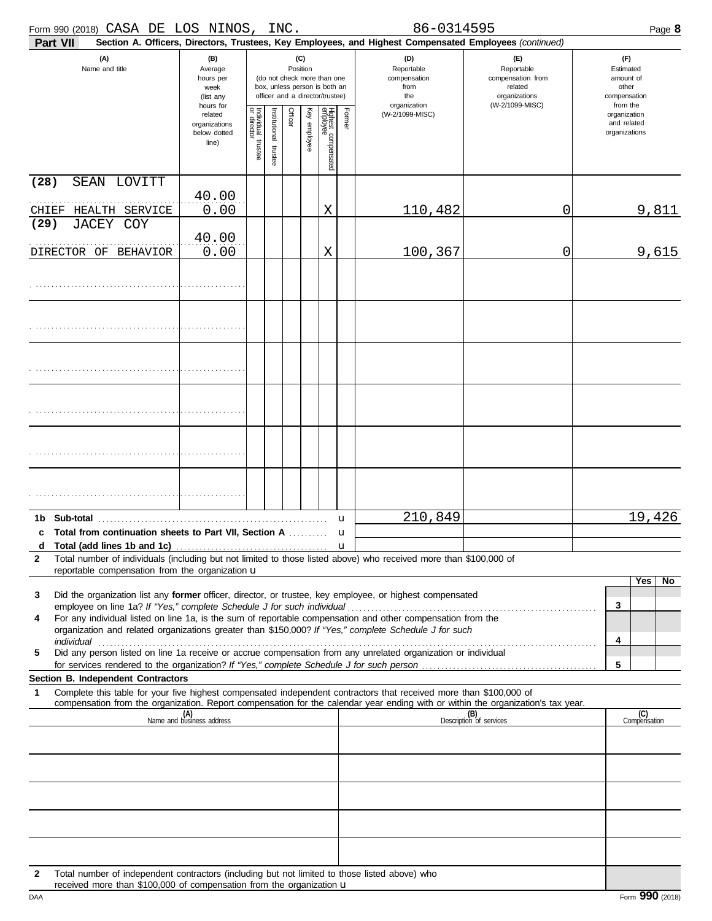|               |             | Form 990 (2018) CASA DE LOS NINOS,                      |                                                                |                                   |                       | INC.                                                                                                               |              |                                 |              | 86-0314595                                                                                                                                                                                                                                                                                                                                    |                                                                    |                                                          |                     | Page 8 |
|---------------|-------------|---------------------------------------------------------|----------------------------------------------------------------|-----------------------------------|-----------------------|--------------------------------------------------------------------------------------------------------------------|--------------|---------------------------------|--------------|-----------------------------------------------------------------------------------------------------------------------------------------------------------------------------------------------------------------------------------------------------------------------------------------------------------------------------------------------|--------------------------------------------------------------------|----------------------------------------------------------|---------------------|--------|
|               | Part VII    |                                                         |                                                                |                                   |                       |                                                                                                                    |              |                                 |              | Section A. Officers, Directors, Trustees, Key Employees, and Highest Compensated Employees (continued)                                                                                                                                                                                                                                        |                                                                    |                                                          |                     |        |
|               |             | (A)<br>Name and title                                   | (B)<br>Average<br>hours per<br>week<br>(list any               |                                   |                       | (C)<br>Position<br>(do not check more than one<br>box, unless person is both an<br>officer and a director/trustee) |              |                                 |              | (D)<br>Reportable<br>compensation<br>from<br>the                                                                                                                                                                                                                                                                                              | (E)<br>Reportable<br>compensation from<br>related<br>organizations | (F)<br>Estimated<br>amount of<br>other<br>compensation   |                     |        |
|               |             |                                                         | hours for<br>related<br>organizations<br>below dotted<br>line) | Individual trustee<br>or director | Institutional trustee | Officer                                                                                                            | Key employee | Highest compensated<br>employee | Former       | organization<br>(W-2/1099-MISC)                                                                                                                                                                                                                                                                                                               | (W-2/1099-MISC)                                                    | from the<br>organization<br>and related<br>organizations |                     |        |
| (28)          | <b>SEAN</b> | LOVITT                                                  |                                                                |                                   |                       |                                                                                                                    |              |                                 |              |                                                                                                                                                                                                                                                                                                                                               |                                                                    |                                                          |                     |        |
|               |             |                                                         | 40.00                                                          |                                   |                       |                                                                                                                    |              |                                 |              |                                                                                                                                                                                                                                                                                                                                               |                                                                    |                                                          |                     |        |
| CHIEF<br>(29) |             | HEALTH SERVICE<br>JACEY COY                             | 0.00                                                           |                                   |                       |                                                                                                                    |              | Χ                               |              | 110,482                                                                                                                                                                                                                                                                                                                                       | 0                                                                  |                                                          |                     | 9,811  |
|               |             |                                                         | 40.00                                                          |                                   |                       |                                                                                                                    |              |                                 |              |                                                                                                                                                                                                                                                                                                                                               |                                                                    |                                                          |                     |        |
|               |             | DIRECTOR OF BEHAVIOR                                    | 0.00                                                           |                                   |                       |                                                                                                                    |              | Χ                               |              | 100,367                                                                                                                                                                                                                                                                                                                                       | 0                                                                  |                                                          |                     | 9,615  |
|               |             |                                                         |                                                                |                                   |                       |                                                                                                                    |              |                                 |              |                                                                                                                                                                                                                                                                                                                                               |                                                                    |                                                          |                     |        |
|               |             |                                                         |                                                                |                                   |                       |                                                                                                                    |              |                                 |              |                                                                                                                                                                                                                                                                                                                                               |                                                                    |                                                          |                     |        |
|               |             |                                                         |                                                                |                                   |                       |                                                                                                                    |              |                                 |              |                                                                                                                                                                                                                                                                                                                                               |                                                                    |                                                          |                     |        |
|               |             |                                                         |                                                                |                                   |                       |                                                                                                                    |              |                                 |              |                                                                                                                                                                                                                                                                                                                                               |                                                                    |                                                          |                     |        |
|               |             |                                                         |                                                                |                                   |                       |                                                                                                                    |              |                                 |              |                                                                                                                                                                                                                                                                                                                                               |                                                                    |                                                          |                     |        |
|               |             |                                                         |                                                                |                                   |                       |                                                                                                                    |              |                                 |              |                                                                                                                                                                                                                                                                                                                                               |                                                                    |                                                          |                     |        |
|               |             |                                                         |                                                                |                                   |                       |                                                                                                                    |              |                                 |              |                                                                                                                                                                                                                                                                                                                                               |                                                                    |                                                          |                     |        |
|               |             |                                                         |                                                                |                                   |                       |                                                                                                                    |              |                                 |              |                                                                                                                                                                                                                                                                                                                                               |                                                                    |                                                          |                     |        |
|               |             |                                                         |                                                                |                                   |                       |                                                                                                                    |              |                                 |              |                                                                                                                                                                                                                                                                                                                                               |                                                                    |                                                          |                     |        |
|               |             |                                                         |                                                                |                                   |                       |                                                                                                                    |              |                                 |              |                                                                                                                                                                                                                                                                                                                                               |                                                                    |                                                          |                     |        |
|               |             |                                                         |                                                                |                                   |                       |                                                                                                                    |              |                                 |              |                                                                                                                                                                                                                                                                                                                                               |                                                                    |                                                          |                     |        |
|               |             |                                                         |                                                                |                                   |                       |                                                                                                                    |              |                                 |              |                                                                                                                                                                                                                                                                                                                                               |                                                                    |                                                          |                     |        |
|               |             |                                                         |                                                                |                                   |                       |                                                                                                                    |              |                                 |              |                                                                                                                                                                                                                                                                                                                                               |                                                                    |                                                          |                     |        |
|               |             |                                                         |                                                                |                                   |                       |                                                                                                                    |              |                                 |              |                                                                                                                                                                                                                                                                                                                                               |                                                                    |                                                          |                     |        |
|               |             |                                                         |                                                                |                                   |                       |                                                                                                                    |              |                                 |              |                                                                                                                                                                                                                                                                                                                                               |                                                                    |                                                          |                     |        |
|               |             |                                                         |                                                                |                                   |                       |                                                                                                                    |              |                                 | $\mathbf{u}$ | 210,849                                                                                                                                                                                                                                                                                                                                       |                                                                    |                                                          |                     | 19,426 |
|               |             | c Total from continuation sheets to Part VII, Section A |                                                                |                                   |                       |                                                                                                                    |              |                                 | u            |                                                                                                                                                                                                                                                                                                                                               |                                                                    |                                                          |                     |        |
| 2             |             |                                                         |                                                                |                                   |                       |                                                                                                                    |              |                                 |              | Total number of individuals (including but not limited to those listed above) who received more than \$100,000 of                                                                                                                                                                                                                             |                                                                    |                                                          |                     |        |
|               |             | reportable compensation from the organization u         |                                                                |                                   |                       |                                                                                                                    |              |                                 |              |                                                                                                                                                                                                                                                                                                                                               |                                                                    |                                                          |                     |        |
| 3             |             |                                                         |                                                                |                                   |                       |                                                                                                                    |              |                                 |              | Did the organization list any former officer, director, or trustee, key employee, or highest compensated                                                                                                                                                                                                                                      |                                                                    |                                                          | Yes                 | No     |
|               |             |                                                         |                                                                |                                   |                       |                                                                                                                    |              |                                 |              |                                                                                                                                                                                                                                                                                                                                               |                                                                    | 3                                                        |                     |        |
| 4             |             |                                                         |                                                                |                                   |                       |                                                                                                                    |              |                                 |              | For any individual listed on line 1a, is the sum of reportable compensation and other compensation from the                                                                                                                                                                                                                                   |                                                                    |                                                          |                     |        |
|               |             |                                                         |                                                                |                                   |                       |                                                                                                                    |              |                                 |              | organization and related organizations greater than \$150,000? If "Yes," complete Schedule J for such<br>individual <b>construction in the construction of the construction of the construction of the construction of the construction of the construction of the construction of the construction of the construction of the constructi</b> |                                                                    | 4                                                        |                     |        |
| 5             |             |                                                         |                                                                |                                   |                       |                                                                                                                    |              |                                 |              | Did any person listed on line 1a receive or accrue compensation from any unrelated organization or individual                                                                                                                                                                                                                                 |                                                                    |                                                          |                     |        |
|               |             | Section B. Independent Contractors                      |                                                                |                                   |                       |                                                                                                                    |              |                                 |              |                                                                                                                                                                                                                                                                                                                                               |                                                                    | 5                                                        |                     |        |
| $\mathbf 1$   |             |                                                         |                                                                |                                   |                       |                                                                                                                    |              |                                 |              | Complete this table for your five highest compensated independent contractors that received more than \$100,000 of                                                                                                                                                                                                                            |                                                                    |                                                          |                     |        |
|               |             |                                                         |                                                                |                                   |                       |                                                                                                                    |              |                                 |              | compensation from the organization. Report compensation for the calendar year ending with or within the organization's tax year.                                                                                                                                                                                                              |                                                                    |                                                          |                     |        |
|               |             |                                                         | (A)<br>Name and business address                               |                                   |                       |                                                                                                                    |              |                                 |              |                                                                                                                                                                                                                                                                                                                                               | (B)<br>Description of services                                     |                                                          | (C)<br>Compensation |        |
|               |             |                                                         |                                                                |                                   |                       |                                                                                                                    |              |                                 |              |                                                                                                                                                                                                                                                                                                                                               |                                                                    |                                                          |                     |        |
|               |             |                                                         |                                                                |                                   |                       |                                                                                                                    |              |                                 |              |                                                                                                                                                                                                                                                                                                                                               |                                                                    |                                                          |                     |        |
|               |             |                                                         |                                                                |                                   |                       |                                                                                                                    |              |                                 |              |                                                                                                                                                                                                                                                                                                                                               |                                                                    |                                                          |                     |        |
|               |             |                                                         |                                                                |                                   |                       |                                                                                                                    |              |                                 |              |                                                                                                                                                                                                                                                                                                                                               |                                                                    |                                                          |                     |        |
|               |             |                                                         |                                                                |                                   |                       |                                                                                                                    |              |                                 |              |                                                                                                                                                                                                                                                                                                                                               |                                                                    |                                                          |                     |        |
|               |             |                                                         |                                                                |                                   |                       |                                                                                                                    |              |                                 |              |                                                                                                                                                                                                                                                                                                                                               |                                                                    |                                                          |                     |        |
|               |             |                                                         |                                                                |                                   |                       |                                                                                                                    |              |                                 |              |                                                                                                                                                                                                                                                                                                                                               |                                                                    |                                                          |                     |        |
|               |             |                                                         |                                                                |                                   |                       |                                                                                                                    |              |                                 |              |                                                                                                                                                                                                                                                                                                                                               |                                                                    |                                                          |                     |        |
| $\mathbf{2}$  |             |                                                         |                                                                |                                   |                       |                                                                                                                    |              |                                 |              | Total number of independent contractors (including but not limited to those listed above) who                                                                                                                                                                                                                                                 |                                                                    |                                                          |                     |        |

received more than \$100,000 of compensation from the organization u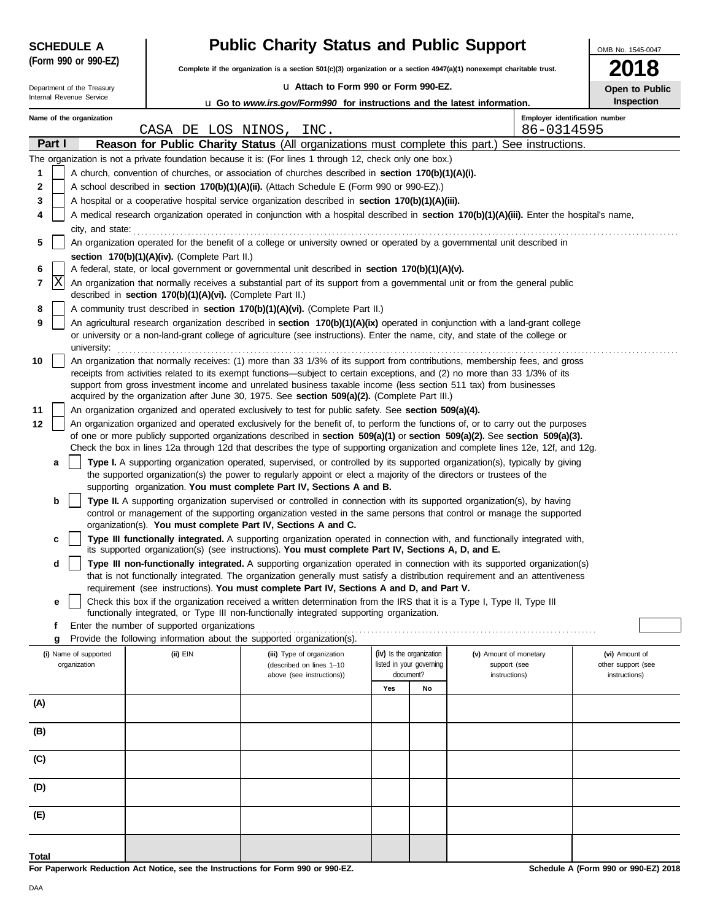| <b>SCHEDULE A</b>          |                                                            | <b>Public Charity Status and Public Support</b>                                                                                                                                                                                                                 |                                       |    |                               | OMB No. 1545-0047                   |
|----------------------------|------------------------------------------------------------|-----------------------------------------------------------------------------------------------------------------------------------------------------------------------------------------------------------------------------------------------------------------|---------------------------------------|----|-------------------------------|-------------------------------------|
| (Form 990 or 990-EZ)       |                                                            | Complete if the organization is a section 501(c)(3) organization or a section 4947(a)(1) nonexempt charitable trust.                                                                                                                                            |                                       |    |                               |                                     |
| Department of the Treasury |                                                            | La Attach to Form 990 or Form 990-EZ.                                                                                                                                                                                                                           |                                       |    |                               | Open to Public                      |
| Internal Revenue Service   |                                                            | <b>u</b> Go to www.irs.gov/Form990 for instructions and the latest information.                                                                                                                                                                                 |                                       |    |                               | Inspection                          |
| Name of the organization   |                                                            |                                                                                                                                                                                                                                                                 |                                       |    |                               | Employer identification number      |
|                            | CASA DE LOS NINOS, INC.                                    |                                                                                                                                                                                                                                                                 |                                       |    | 86-0314595                    |                                     |
| Part I                     |                                                            | Reason for Public Charity Status (All organizations must complete this part.) See instructions.                                                                                                                                                                 |                                       |    |                               |                                     |
|                            |                                                            | The organization is not a private foundation because it is: (For lines 1 through 12, check only one box.)                                                                                                                                                       |                                       |    |                               |                                     |
| 1                          |                                                            | A church, convention of churches, or association of churches described in section 170(b)(1)(A)(i).                                                                                                                                                              |                                       |    |                               |                                     |
| $\mathbf{2}$               |                                                            | A school described in section 170(b)(1)(A)(ii). (Attach Schedule E (Form 990 or 990-EZ).)                                                                                                                                                                       |                                       |    |                               |                                     |
| 3<br>4                     |                                                            | A hospital or a cooperative hospital service organization described in section 170(b)(1)(A)(iii).                                                                                                                                                               |                                       |    |                               |                                     |
|                            |                                                            | A medical research organization operated in conjunction with a hospital described in section 170(b)(1)(A)(iii). Enter the hospital's name,                                                                                                                      |                                       |    |                               |                                     |
| 5                          |                                                            | city, and state:<br>An organization operated for the benefit of a college or university owned or operated by a governmental unit described in                                                                                                                   |                                       |    |                               |                                     |
|                            | section 170(b)(1)(A)(iv). (Complete Part II.)              |                                                                                                                                                                                                                                                                 |                                       |    |                               |                                     |
| 6                          |                                                            | A federal, state, or local government or governmental unit described in section 170(b)(1)(A)(v).                                                                                                                                                                |                                       |    |                               |                                     |
| X<br>7                     |                                                            | An organization that normally receives a substantial part of its support from a governmental unit or from the general public                                                                                                                                    |                                       |    |                               |                                     |
|                            | described in section 170(b)(1)(A)(vi). (Complete Part II.) |                                                                                                                                                                                                                                                                 |                                       |    |                               |                                     |
| 8<br>9                     |                                                            | A community trust described in section 170(b)(1)(A)(vi). (Complete Part II.)                                                                                                                                                                                    |                                       |    |                               |                                     |
| university:                |                                                            | An agricultural research organization described in section 170(b)(1)(A)(ix) operated in conjunction with a land-grant college<br>or university or a non-land-grant college of agriculture (see instructions). Enter the name, city, and state of the college or |                                       |    |                               |                                     |
| 10                         |                                                            | An organization that normally receives: (1) more than 33 1/3% of its support from contributions, membership fees, and gross                                                                                                                                     |                                       |    |                               |                                     |
|                            |                                                            | receipts from activities related to its exempt functions—subject to certain exceptions, and (2) no more than 33 1/3% of its                                                                                                                                     |                                       |    |                               |                                     |
|                            |                                                            | support from gross investment income and unrelated business taxable income (less section 511 tax) from businesses                                                                                                                                               |                                       |    |                               |                                     |
| 11                         |                                                            | acquired by the organization after June 30, 1975. See section 509(a)(2). (Complete Part III.)<br>An organization organized and operated exclusively to test for public safety. See section 509(a)(4).                                                           |                                       |    |                               |                                     |
| 12                         |                                                            | An organization organized and operated exclusively for the benefit of, to perform the functions of, or to carry out the purposes                                                                                                                                |                                       |    |                               |                                     |
|                            |                                                            | of one or more publicly supported organizations described in section 509(a)(1) or section 509(a)(2). See section 509(a)(3).                                                                                                                                     |                                       |    |                               |                                     |
|                            |                                                            | Check the box in lines 12a through 12d that describes the type of supporting organization and complete lines 12e, 12f, and 12g.                                                                                                                                 |                                       |    |                               |                                     |
| a                          |                                                            | Type I. A supporting organization operated, supervised, or controlled by its supported organization(s), typically by giving                                                                                                                                     |                                       |    |                               |                                     |
|                            |                                                            | the supported organization(s) the power to regularly appoint or elect a majority of the directors or trustees of the<br>supporting organization. You must complete Part IV, Sections A and B.                                                                   |                                       |    |                               |                                     |
| b                          |                                                            | Type II. A supporting organization supervised or controlled in connection with its supported organization(s), by having                                                                                                                                         |                                       |    |                               |                                     |
|                            |                                                            | control or management of the supporting organization vested in the same persons that control or manage the supported                                                                                                                                            |                                       |    |                               |                                     |
|                            |                                                            | organization(s). You must complete Part IV, Sections A and C.                                                                                                                                                                                                   |                                       |    |                               |                                     |
| C                          |                                                            | Type III functionally integrated. A supporting organization operated in connection with, and functionally integrated with,<br>its supported organization(s) (see instructions). You must complete Part IV, Sections A, D, and E.                                |                                       |    |                               |                                     |
| d                          |                                                            | Type III non-functionally integrated. A supporting organization operated in connection with its supported organization(s)                                                                                                                                       |                                       |    |                               |                                     |
|                            |                                                            | that is not functionally integrated. The organization generally must satisfy a distribution requirement and an attentiveness                                                                                                                                    |                                       |    |                               |                                     |
|                            |                                                            | requirement (see instructions). You must complete Part IV, Sections A and D, and Part V.                                                                                                                                                                        |                                       |    |                               |                                     |
| е                          |                                                            | Check this box if the organization received a written determination from the IRS that it is a Type I, Type II, Type III<br>functionally integrated, or Type III non-functionally integrated supporting organization.                                            |                                       |    |                               |                                     |
| f                          | Enter the number of supported organizations                |                                                                                                                                                                                                                                                                 |                                       |    |                               |                                     |
| g                          |                                                            | Provide the following information about the supported organization(s).                                                                                                                                                                                          |                                       |    |                               |                                     |
| (i) Name of supported      | (ii) EIN                                                   | (iii) Type of organization                                                                                                                                                                                                                                      | (iv) Is the organization              |    | (v) Amount of monetary        | (vi) Amount of                      |
| organization               |                                                            | (described on lines 1-10<br>above (see instructions))                                                                                                                                                                                                           | listed in your governing<br>document? |    | support (see<br>instructions) | other support (see<br>instructions) |
|                            |                                                            |                                                                                                                                                                                                                                                                 | Yes                                   | No |                               |                                     |
| (A)                        |                                                            |                                                                                                                                                                                                                                                                 |                                       |    |                               |                                     |
|                            |                                                            |                                                                                                                                                                                                                                                                 |                                       |    |                               |                                     |
| (B)                        |                                                            |                                                                                                                                                                                                                                                                 |                                       |    |                               |                                     |
|                            |                                                            |                                                                                                                                                                                                                                                                 |                                       |    |                               |                                     |
| (C)                        |                                                            |                                                                                                                                                                                                                                                                 |                                       |    |                               |                                     |
|                            |                                                            |                                                                                                                                                                                                                                                                 |                                       |    |                               |                                     |
| (D)                        |                                                            |                                                                                                                                                                                                                                                                 |                                       |    |                               |                                     |
| (E)                        |                                                            |                                                                                                                                                                                                                                                                 |                                       |    |                               |                                     |
|                            |                                                            |                                                                                                                                                                                                                                                                 |                                       |    |                               |                                     |
|                            |                                                            |                                                                                                                                                                                                                                                                 |                                       |    |                               |                                     |
| Total                      |                                                            |                                                                                                                                                                                                                                                                 |                                       |    |                               |                                     |

**For Paperwork Reduction Act Notice, see the Instructions for Form 990 or 990-EZ.**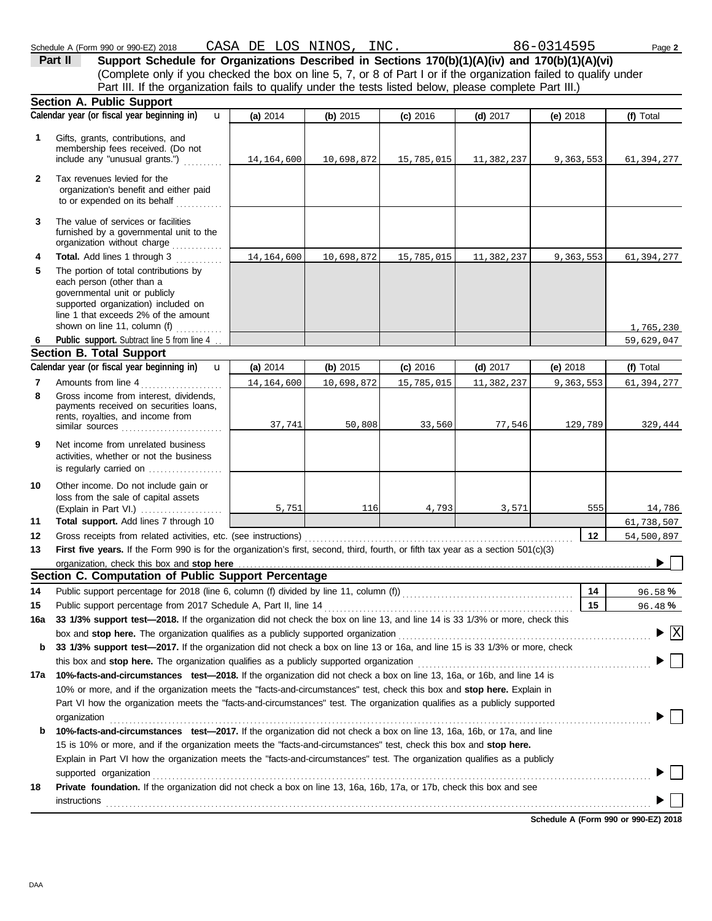**Section A. Public Support** membership fees received. (Do not Gifts, grants, contributions, and **(a)** 2014 **(b)** 2015 **(c)** 2016 **(d)** 2017 **(e)** 2018 (Complete only if you checked the box on line 5, 7, or 8 of Part I or if the organization failed to qualify under **Part II** Support Schedule for Organizations Described in Sections 170(b)(1)(A)(iv) and 170(b)(1)(A)(vi) Calendar year (or fiscal year beginning in) **u** (a) 2014 (b) 2015 (c) 2016 (d) 2017 (e) 2018 (f) Total Part III. If the organization fails to qualify under the tests listed below, please complete Part III.) u

| 1            | Gifts, grants, contributions, and<br>membership fees received. (Do not<br>include any "unusual grants.")                                                                                                                             | 14, 164, 600 | 10,698,872 | 15,785,015               | 11,382,237 | 9,363,553             | 61,394,277                                              |
|--------------|--------------------------------------------------------------------------------------------------------------------------------------------------------------------------------------------------------------------------------------|--------------|------------|--------------------------|------------|-----------------------|---------------------------------------------------------|
| $\mathbf{2}$ | Tax revenues levied for the<br>organization's benefit and either paid<br>to or expended on its behalf                                                                                                                                |              |            |                          |            |                       |                                                         |
| 3            | The value of services or facilities<br>furnished by a governmental unit to the<br>organization without charge                                                                                                                        |              |            |                          |            |                       |                                                         |
| 4            | Total. Add lines 1 through 3                                                                                                                                                                                                         | 14, 164, 600 | 10,698,872 | 15,785,015               | 11,382,237 | 9,363,553             | 61,394,277                                              |
| 5            | The portion of total contributions by<br>each person (other than a<br>governmental unit or publicly<br>supported organization) included on<br>line 1 that exceeds 2% of the amount                                                   |              |            |                          |            |                       |                                                         |
|              | shown on line 11, column (f) $\ldots$                                                                                                                                                                                                |              |            |                          |            |                       | 1,765,230                                               |
| 6            | Public support. Subtract line 5 from line 4                                                                                                                                                                                          |              |            |                          |            |                       | 59,629,047                                              |
|              | <b>Section B. Total Support</b><br>Calendar year (or fiscal year beginning in)<br>$\mathbf{u}$                                                                                                                                       | (a) 2014     | (b) 2015   |                          |            |                       | (f) Total                                               |
| 7            | Amounts from line 4                                                                                                                                                                                                                  |              |            | $(c)$ 2016<br>15,785,015 | (d) $2017$ | (e) 2018<br>9,363,553 |                                                         |
| 8            | Gross income from interest, dividends,<br>payments received on securities loans.                                                                                                                                                     | 14,164,600   | 10,698,872 |                          | 11,382,237 |                       | 61,394,277                                              |
|              | rents, royalties, and income from                                                                                                                                                                                                    | 37,741       | 50,808     | 33,560                   | 77,546     | 129,789               | 329,444                                                 |
| 9            | Net income from unrelated business<br>activities, whether or not the business<br>is regularly carried on                                                                                                                             |              |            |                          |            |                       |                                                         |
| 10           | Other income. Do not include gain or<br>loss from the sale of capital assets                                                                                                                                                         | 5,751        | 116        | 4,793                    | 3,571      | 555                   | 14,786                                                  |
| 11           | Total support. Add lines 7 through 10                                                                                                                                                                                                |              |            |                          |            |                       | 61,738,507                                              |
| 12           |                                                                                                                                                                                                                                      |              |            |                          |            | $12 \,$               | 54,500,897                                              |
| 13           | First five years. If the Form 990 is for the organization's first, second, third, fourth, or fifth tax year as a section 501(c)(3)                                                                                                   |              |            |                          |            |                       |                                                         |
|              | organization, check this box and stop here <b>constantly and the constant of the constant of the constant of the constant of the constant of the constant of the constant of the constant of the constant of the constant of the</b> |              |            |                          |            |                       |                                                         |
|              | Section C. Computation of Public Support Percentage                                                                                                                                                                                  |              |            |                          |            |                       |                                                         |
| 14           | Public support percentage for 2018 (line 6, column (f) divided by line 11, column (f)) [[[[[[[[[[[[[[[[[[[[[[                                                                                                                        |              |            |                          |            | 14                    | 96.58%                                                  |
| 15           | Public support percentage from 2017 Schedule A, Part II, line 14                                                                                                                                                                     |              |            |                          |            | 15                    | 96.48%                                                  |
| 16a          | 33 1/3% support test-2018. If the organization did not check the box on line 13, and line 14 is 33 1/3% or more, check this                                                                                                          |              |            |                          |            |                       |                                                         |
|              | box and stop here. The organization qualifies as a publicly supported organization                                                                                                                                                   |              |            |                          |            |                       | $\blacktriangleright \lceil \overline{\text{X}} \rceil$ |
|              | b 33 1/3% support test-2017. If the organization did not check a box on line 13 or 16a, and line 15 is 33 1/3% or more, check                                                                                                        |              |            |                          |            |                       |                                                         |
|              | this box and stop here. The organization qualifies as a publicly supported organization                                                                                                                                              |              |            |                          |            |                       |                                                         |
| 17a          | 10%-facts-and-circumstances test-2018. If the organization did not check a box on line 13, 16a, or 16b, and line 14 is                                                                                                               |              |            |                          |            |                       |                                                         |
|              | 10% or more, and if the organization meets the "facts-and-circumstances" test, check this box and stop here. Explain in                                                                                                              |              |            |                          |            |                       |                                                         |
|              | Part VI how the organization meets the "facts-and-circumstances" test. The organization qualifies as a publicly supported                                                                                                            |              |            |                          |            |                       |                                                         |
|              | organization                                                                                                                                                                                                                         |              |            |                          |            |                       |                                                         |
| b            | 10%-facts-and-circumstances test-2017. If the organization did not check a box on line 13, 16a, 16b, or 17a, and line                                                                                                                |              |            |                          |            |                       |                                                         |
|              | 15 is 10% or more, and if the organization meets the "facts-and-circumstances" test, check this box and stop here.                                                                                                                   |              |            |                          |            |                       |                                                         |
|              | Explain in Part VI how the organization meets the "facts-and-circumstances" test. The organization qualifies as a publicly                                                                                                           |              |            |                          |            |                       |                                                         |
|              | supported organization                                                                                                                                                                                                               |              |            |                          |            |                       |                                                         |
| 18           | <b>Private foundation.</b> If the organization did not check a box on line 13, 16a, 16b, 17a, or 17b, check this box and see                                                                                                         |              |            |                          |            |                       |                                                         |
|              | instructions                                                                                                                                                                                                                         |              |            |                          |            |                       |                                                         |

**Schedule A (Form 990 or 990-EZ) 2018**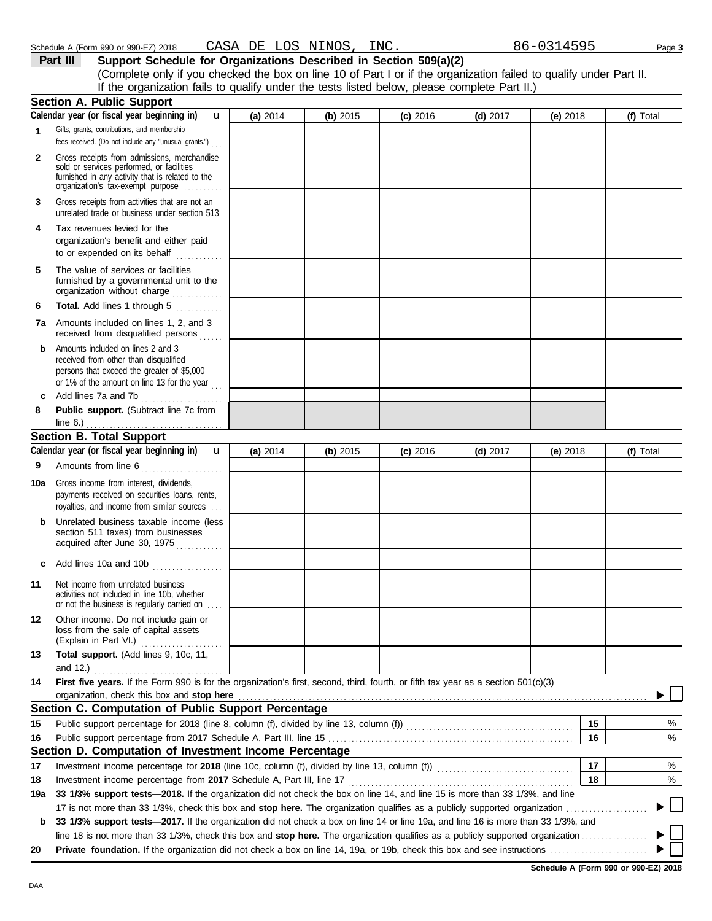| Schedule | 990 or<br>(Form | $\alpha$ or QQO-EZ' | 2018 |  | $\mathcal{L}$<br>17\ t<br>. <u>, ,</u><br>$\overline{\phantom{a}}$<br>$\overline{\phantom{0}}$ | DΕ | ٦٤<br>ப∪ட | N | NINOS | INC. |           | EQE<br>0 G<br><br>ر ر<br>ີ | Page <sup>2</sup> |
|----------|-----------------|---------------------|------|--|------------------------------------------------------------------------------------------------|----|-----------|---|-------|------|-----------|----------------------------|-------------------|
| ---      |                 |                     |      |  |                                                                                                |    |           |   |       |      | _________ |                            |                   |

**Part III Support Schedule for Organizations Described in Section 509(a)(2)** (Complete only if you checked the box on line 10 of Part I or if the organization failed to qualify under Part II. If the organization fails to qualify under the tests listed below, please complete Part II.)

|              | <b>Section A. Public Support</b>                                                                                                                                                  |            |            |          |            |            |    |           |
|--------------|-----------------------------------------------------------------------------------------------------------------------------------------------------------------------------------|------------|------------|----------|------------|------------|----|-----------|
|              | Calendar year (or fiscal year beginning in)<br>u                                                                                                                                  | (a) 2014   | (b) $2015$ | (c) 2016 | $(d)$ 2017 | (e) 2018   |    | (f) Total |
| 1            | Gifts, grants, contributions, and membership<br>fees received. (Do not include any "unusual grants.")                                                                             |            |            |          |            |            |    |           |
| $\mathbf{2}$ | Gross receipts from admissions, merchandise<br>sold or services performed, or facilities<br>furnished in any activity that is related to the<br>organization's tax-exempt purpose |            |            |          |            |            |    |           |
| 3            | Gross receipts from activities that are not an<br>unrelated trade or business under section 513                                                                                   |            |            |          |            |            |    |           |
| 4            | Tax revenues levied for the<br>organization's benefit and either paid<br>to or expended on its behalf                                                                             |            |            |          |            |            |    |           |
| 5            | The value of services or facilities<br>furnished by a governmental unit to the<br>organization without charge                                                                     |            |            |          |            |            |    |           |
| 6            | Total. Add lines 1 through 5<br>.                                                                                                                                                 |            |            |          |            |            |    |           |
| 7a           | Amounts included on lines 1, 2, and 3<br>received from disqualified persons                                                                                                       |            |            |          |            |            |    |           |
| b            | Amounts included on lines 2 and 3<br>received from other than disqualified<br>persons that exceed the greater of \$5,000<br>or 1% of the amount on line 13 for the year $\ldots$  |            |            |          |            |            |    |           |
| c            | Add lines 7a and 7b<br>.                                                                                                                                                          |            |            |          |            |            |    |           |
| 8            | Public support. (Subtract line 7c from                                                                                                                                            |            |            |          |            |            |    |           |
|              | line $6.$ )                                                                                                                                                                       |            |            |          |            |            |    |           |
|              | <b>Section B. Total Support</b><br>Calendar year (or fiscal year beginning in)                                                                                                    |            |            |          |            |            |    |           |
|              | $\mathbf{u}$                                                                                                                                                                      | (a) $2014$ | (b) 2015   | (c) 2016 | (d) $2017$ | $(e)$ 2018 |    | (f) Total |
| 9            | Amounts from line 6                                                                                                                                                               |            |            |          |            |            |    |           |
| 10a          | Gross income from interest, dividends,<br>payments received on securities loans, rents,<br>royalties, and income from similar sources                                             |            |            |          |            |            |    |           |
| b            | Unrelated business taxable income (less<br>section 511 taxes) from businesses<br>acquired after June 30, 1975                                                                     |            |            |          |            |            |    |           |
| c            | Add lines 10a and 10b                                                                                                                                                             |            |            |          |            |            |    |           |
| 11           | Net income from unrelated business<br>activities not included in line 10b, whether<br>or not the business is regularly carried on                                                 |            |            |          |            |            |    |           |
| 12           | Other income. Do not include gain or<br>loss from the sale of capital assets<br>(Explain in Part VI.)                                                                             |            |            |          |            |            |    |           |
| 13           | Total support. (Add lines 9, 10c, 11,<br>and 12.)                                                                                                                                 |            |            |          |            |            |    |           |
| 14           | First five years. If the Form 990 is for the organization's first, second, third, fourth, or fifth tax year as a section 501(c)(3)                                                |            |            |          |            |            |    |           |
|              | organization, check this box and stop here                                                                                                                                        |            |            |          |            |            |    |           |
|              | Section C. Computation of Public Support Percentage                                                                                                                               |            |            |          |            |            |    |           |
| 15           |                                                                                                                                                                                   |            |            |          |            |            | 15 | %         |
| 16           |                                                                                                                                                                                   |            |            |          |            |            | 16 | %         |
|              | Section D. Computation of Investment Income Percentage                                                                                                                            |            |            |          |            |            |    |           |
| 17           | Investment income percentage for 2018 (line 10c, column (f), divided by line 13, column (f)) [[[[[[[[[[[[[[[[                                                                     |            |            |          |            |            | 17 | %         |
| 18           | Investment income percentage from 2017 Schedule A, Part III, line 17                                                                                                              |            |            |          |            |            | 18 | %         |
| 19a          | 33 1/3% support tests-2018. If the organization did not check the box on line 14, and line 15 is more than 33 1/3%, and line                                                      |            |            |          |            |            |    |           |
|              |                                                                                                                                                                                   |            |            |          |            |            |    |           |
| b            | 33 1/3% support tests—2017. If the organization did not check a box on line 14 or line 19a, and line 16 is more than 33 1/3%, and                                                 |            |            |          |            |            |    |           |
|              |                                                                                                                                                                                   |            |            |          |            |            |    |           |
| 20           |                                                                                                                                                                                   |            |            |          |            |            |    |           |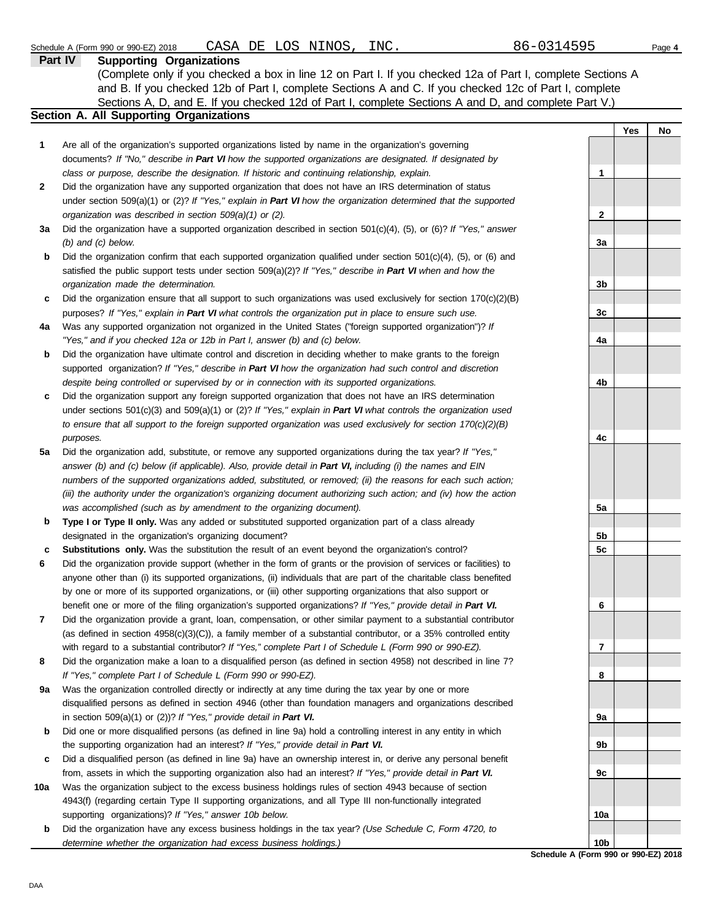|     | Part IV<br><b>Supporting Organizations</b>                                                                               |                 |     |    |
|-----|--------------------------------------------------------------------------------------------------------------------------|-----------------|-----|----|
|     | (Complete only if you checked a box in line 12 on Part I. If you checked 12a of Part I, complete Sections A              |                 |     |    |
|     | and B. If you checked 12b of Part I, complete Sections A and C. If you checked 12c of Part I, complete                   |                 |     |    |
|     | Sections A, D, and E. If you checked 12d of Part I, complete Sections A and D, and complete Part V.)                     |                 |     |    |
|     | Section A. All Supporting Organizations                                                                                  |                 |     |    |
|     |                                                                                                                          |                 | Yes | No |
| 1   | Are all of the organization's supported organizations listed by name in the organization's governing                     |                 |     |    |
|     | documents? If "No," describe in Part VI how the supported organizations are designated. If designated by                 |                 |     |    |
|     | class or purpose, describe the designation. If historic and continuing relationship, explain.                            | 1               |     |    |
| 2   | Did the organization have any supported organization that does not have an IRS determination of status                   |                 |     |    |
|     | under section 509(a)(1) or (2)? If "Yes," explain in Part VI how the organization determined that the supported          |                 |     |    |
|     | organization was described in section 509(a)(1) or (2).                                                                  | $\mathbf{2}$    |     |    |
| За  | Did the organization have a supported organization described in section $501(c)(4)$ , (5), or (6)? If "Yes," answer      |                 |     |    |
|     | $(b)$ and $(c)$ below.                                                                                                   | 3a              |     |    |
| b   | Did the organization confirm that each supported organization qualified under section $501(c)(4)$ , $(5)$ , or $(6)$ and |                 |     |    |
|     | satisfied the public support tests under section 509(a)(2)? If "Yes," describe in Part VI when and how the               |                 |     |    |
|     | organization made the determination.                                                                                     | 3b              |     |    |
| c   | Did the organization ensure that all support to such organizations was used exclusively for section $170(c)(2)(B)$       |                 |     |    |
|     | purposes? If "Yes," explain in Part VI what controls the organization put in place to ensure such use.                   | 3c              |     |    |
| 4a  | Was any supported organization not organized in the United States ("foreign supported organization")? If                 |                 |     |    |
|     | "Yes," and if you checked 12a or 12b in Part I, answer (b) and (c) below.                                                | 4a              |     |    |
| b   | Did the organization have ultimate control and discretion in deciding whether to make grants to the foreign              |                 |     |    |
|     | supported organization? If "Yes," describe in Part VI how the organization had such control and discretion               |                 |     |    |
|     | despite being controlled or supervised by or in connection with its supported organizations.                             | 4b              |     |    |
| c   | Did the organization support any foreign supported organization that does not have an IRS determination                  |                 |     |    |
|     | under sections $501(c)(3)$ and $509(a)(1)$ or (2)? If "Yes," explain in Part VI what controls the organization used      |                 |     |    |
|     | to ensure that all support to the foreign supported organization was used exclusively for section $170(c)(2)(B)$         |                 |     |    |
|     | purposes.                                                                                                                | 4c              |     |    |
| 5a  | Did the organization add, substitute, or remove any supported organizations during the tax year? If "Yes,"               |                 |     |    |
|     | answer (b) and (c) below (if applicable). Also, provide detail in Part VI, including (i) the names and EIN               |                 |     |    |
|     | numbers of the supported organizations added, substituted, or removed; (ii) the reasons for each such action;            |                 |     |    |
|     | (iii) the authority under the organization's organizing document authorizing such action; and (iv) how the action        |                 |     |    |
|     | was accomplished (such as by amendment to the organizing document).                                                      | 5a              |     |    |
| b   | Type I or Type II only. Was any added or substituted supported organization part of a class already                      |                 |     |    |
|     | designated in the organization's organizing document?                                                                    | 5b              |     |    |
| c   | Substitutions only. Was the substitution the result of an event beyond the organization's control?                       | 5c              |     |    |
| 6   | Did the organization provide support (whether in the form of grants or the provision of services or facilities) to       |                 |     |    |
|     | anyone other than (i) its supported organizations, (ii) individuals that are part of the charitable class benefited      |                 |     |    |
|     | by one or more of its supported organizations, or (iii) other supporting organizations that also support or              |                 |     |    |
|     | benefit one or more of the filing organization's supported organizations? If "Yes," provide detail in Part VI.           | 6               |     |    |
| 7   | Did the organization provide a grant, loan, compensation, or other similar payment to a substantial contributor          |                 |     |    |
|     | (as defined in section $4958(c)(3)(C)$ ), a family member of a substantial contributor, or a 35% controlled entity       |                 |     |    |
|     | with regard to a substantial contributor? If "Yes," complete Part I of Schedule L (Form 990 or 990-EZ).                  | 7               |     |    |
| 8   | Did the organization make a loan to a disqualified person (as defined in section 4958) not described in line 7?          |                 |     |    |
|     | If "Yes," complete Part I of Schedule L (Form 990 or 990-EZ).                                                            | 8               |     |    |
| 9а  | Was the organization controlled directly or indirectly at any time during the tax year by one or more                    |                 |     |    |
|     | disqualified persons as defined in section 4946 (other than foundation managers and organizations described              |                 |     |    |
|     | in section 509(a)(1) or (2))? If "Yes," provide detail in Part VI.                                                       | <b>9a</b>       |     |    |
| b   | Did one or more disqualified persons (as defined in line 9a) hold a controlling interest in any entity in which          |                 |     |    |
|     | the supporting organization had an interest? If "Yes," provide detail in Part VI.                                        | 9b              |     |    |
| c   | Did a disqualified person (as defined in line 9a) have an ownership interest in, or derive any personal benefit          |                 |     |    |
|     | from, assets in which the supporting organization also had an interest? If "Yes," provide detail in Part VI.             | 9с              |     |    |
| 10a | Was the organization subject to the excess business holdings rules of section 4943 because of section                    |                 |     |    |
|     | 4943(f) (regarding certain Type II supporting organizations, and all Type III non-functionally integrated                |                 |     |    |
|     | supporting organizations)? If "Yes," answer 10b below.                                                                   | 10a             |     |    |
| b   | Did the organization have any excess business holdings in the tax year? (Use Schedule C, Form 4720, to                   |                 |     |    |
|     | determine whether the organization had excess business holdings.)                                                        | 10 <sub>b</sub> |     |    |

**Schedule A (Form 990 or 990-EZ) 2018**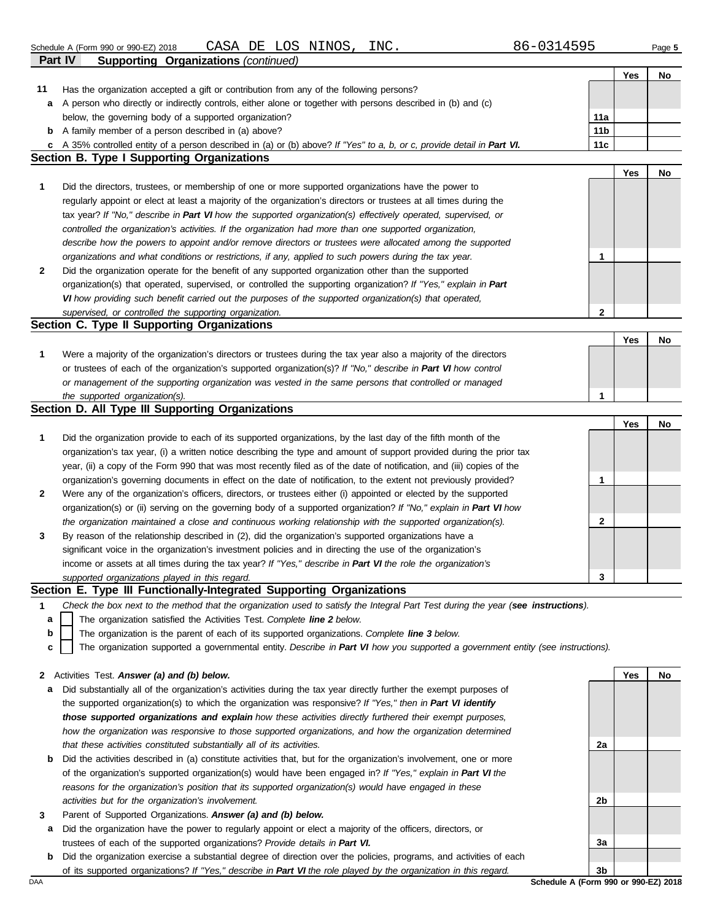|    | LOS<br>DE<br>NINOS.<br>CASA<br>INC.<br>Schedule A (Form 990 or 990-EZ) 2018                                             | 86-0314595      |     | Page 5 |
|----|-------------------------------------------------------------------------------------------------------------------------|-----------------|-----|--------|
|    | Part IV<br><b>Supporting Organizations (continued)</b>                                                                  |                 |     |        |
|    |                                                                                                                         |                 | Yes | No     |
| 11 | Has the organization accepted a gift or contribution from any of the following persons?                                 |                 |     |        |
| a  | A person who directly or indirectly controls, either alone or together with persons described in (b) and (c)            |                 |     |        |
|    | below, the governing body of a supported organization?                                                                  | 11a             |     |        |
| b  | A family member of a person described in (a) above?                                                                     | 11 <sub>b</sub> |     |        |
|    | c A 35% controlled entity of a person described in (a) or (b) above? If "Yes" to a, b, or c, provide detail in Part VI. | 11c             |     |        |
|    | Section B. Type I Supporting Organizations                                                                              |                 |     |        |
|    |                                                                                                                         |                 | Yes | No     |
| 1  | Did the directors, trustees, or membership of one or more supported organizations have the power to                     |                 |     |        |
|    | regularly appoint or elect at least a majority of the organization's directors or trustees at all times during the      |                 |     |        |
|    | tax year? If "No," describe in Part VI how the supported organization(s) effectively operated, supervised, or           |                 |     |        |
|    | controlled the organization's activities. If the organization had more than one supported organization,                 |                 |     |        |

**2** *organizations and what conditions or restrictions, if any, applied to such powers during the tax year.* Did the organization operate for the benefit of any supported organization other than the supported organization(s) that operated, supervised, or controlled the supporting organization? *If "Yes," explain in Part VI how providing such benefit carried out the purposes of the supported organization(s) that operated, supervised, or controlled the supporting organization.*

*describe how the powers to appoint and/or remove directors or trustees were allocated among the supported*

## **Section C. Type II Supporting Organizations**

|                                                                                                                  | Yes |  |
|------------------------------------------------------------------------------------------------------------------|-----|--|
| Were a majority of the organization's directors or trustees during the tax year also a majority of the directors |     |  |
| or trustees of each of the organization's supported organization(s)? If "No," describe in Part VI how control    |     |  |
| or management of the supporting organization was vested in the same persons that controlled or managed           |     |  |
| the supported organization(s).                                                                                   |     |  |

## **Section D. All Type III Supporting Organizations**

|              |                                                                                                                        |   | Yes | No |
|--------------|------------------------------------------------------------------------------------------------------------------------|---|-----|----|
| 1            | Did the organization provide to each of its supported organizations, by the last day of the fifth month of the         |   |     |    |
|              | organization's tax year, (i) a written notice describing the type and amount of support provided during the prior tax  |   |     |    |
|              | year, (ii) a copy of the Form 990 that was most recently filed as of the date of notification, and (iii) copies of the |   |     |    |
|              | organization's governing documents in effect on the date of notification, to the extent not previously provided?       |   |     |    |
| $\mathbf{2}$ | Were any of the organization's officers, directors, or trustees either (i) appointed or elected by the supported       |   |     |    |
|              | organization(s) or (ii) serving on the governing body of a supported organization? If "No," explain in Part VI how     |   |     |    |
|              | the organization maintained a close and continuous working relationship with the supported organization(s).            | 2 |     |    |
| 3            | By reason of the relationship described in (2), did the organization's supported organizations have a                  |   |     |    |
|              | significant voice in the organization's investment policies and in directing the use of the organization's             |   |     |    |
|              | income or assets at all times during the tax year? If "Yes," describe in Part VI the role the organization's           |   |     |    |
|              | supported organizations played in this regard.                                                                         | 3 |     |    |

## **Section E. Type III Functionally-Integrated Supporting Organizations**

**1** *Check the box next to the method that the organization used to satisfy the Integral Part Test during the year (see instructions).*

The organization satisfied the Activities Test. *Complete line 2 below.* **a**

The organization is the parent of each of its supported organizations. *Complete line 3 below.*

The organization supported a governmental entity. *Describe in Part VI how you supported a government entity (see instructions).* **c**

- **a** Did substantially all of the organization's activities during the tax year directly further the exempt purposes of the supported organization(s) to which the organization was responsive? *If "Yes," then in Part VI identify those supported organizations and explain how these activities directly furthered their exempt purposes,*  how the organization was responsive to those supported organizations, and how the organization determined *that these activities constituted substantially all of its activities.*
- **b** Did the activities described in (a) constitute activities that, but for the organization's involvement, one or more of the organization's supported organization(s) would have been engaged in? *If "Yes," explain in Part VI the reasons for the organization's position that its supported organization(s) would have engaged in these activities but for the organization's involvement.*
- **3** Parent of Supported Organizations. *Answer (a) and (b) below.*
- **a** Did the organization have the power to regularly appoint or elect a majority of the officers, directors, or trustees of each of the supported organizations? *Provide details in Part VI.*
- **b** Did the organization exercise a substantial degree of direction over the policies, programs, and activities of each of its supported organizations? *If "Yes," describe in Part VI the role played by the organization in this regard.*

**Yes No 2a 2b 3a 3b**

**2**

**1**

DAA **Schedule A (Form 990 or 990-EZ) 2018**

**b**

**<sup>2</sup>** Activities Test. *Answer (a) and (b) below.*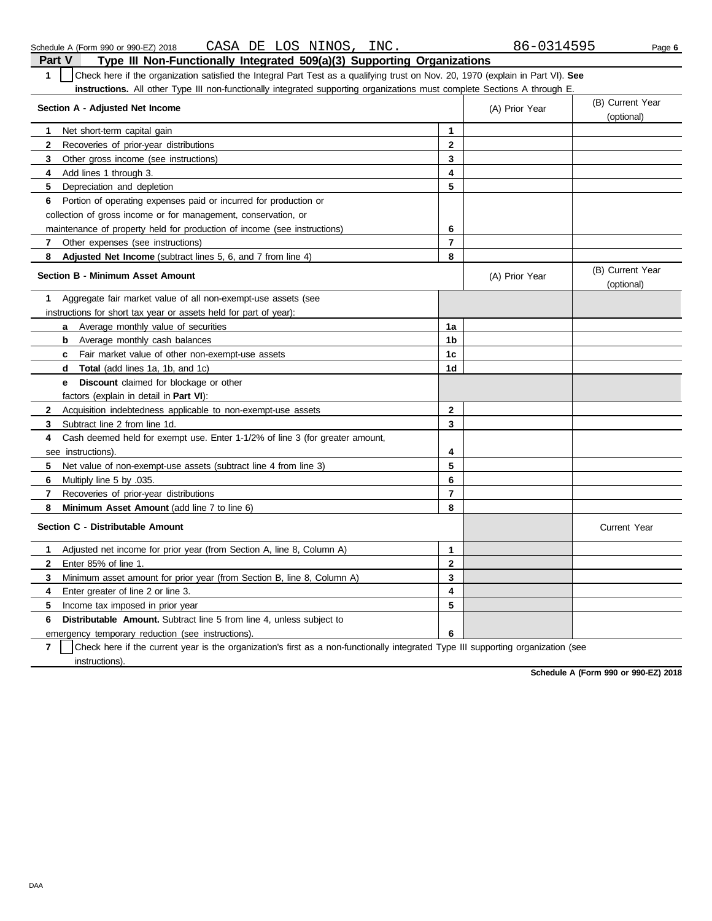| 1.<br>(Check here if the organization satisfied the Integral Part Test as a qualifying trust on Nov. 20, 1970 (explain in Part VI). See<br><b>instructions.</b> All other Type III non-functionally integrated supporting organizations must complete Sections A through E. |                |                |                                |  |  |
|-----------------------------------------------------------------------------------------------------------------------------------------------------------------------------------------------------------------------------------------------------------------------------|----------------|----------------|--------------------------------|--|--|
| Section A - Adjusted Net Income                                                                                                                                                                                                                                             |                | (A) Prior Year | (B) Current Year<br>(optional) |  |  |
| Net short-term capital gain<br>1                                                                                                                                                                                                                                            | 1              |                |                                |  |  |
| 2<br>Recoveries of prior-year distributions                                                                                                                                                                                                                                 | $\mathbf 2$    |                |                                |  |  |
| Other gross income (see instructions)<br>3                                                                                                                                                                                                                                  | 3              |                |                                |  |  |
| 4<br>Add lines 1 through 3.                                                                                                                                                                                                                                                 | 4              |                |                                |  |  |
| Depreciation and depletion<br>5.                                                                                                                                                                                                                                            | 5              |                |                                |  |  |
| Portion of operating expenses paid or incurred for production or<br>6                                                                                                                                                                                                       |                |                |                                |  |  |
| collection of gross income or for management, conservation, or                                                                                                                                                                                                              |                |                |                                |  |  |
| maintenance of property held for production of income (see instructions)                                                                                                                                                                                                    | 6              |                |                                |  |  |
| 7<br>Other expenses (see instructions)                                                                                                                                                                                                                                      | $\overline{7}$ |                |                                |  |  |
| Adjusted Net Income (subtract lines 5, 6, and 7 from line 4)<br>8                                                                                                                                                                                                           | 8              |                |                                |  |  |
| <b>Section B - Minimum Asset Amount</b>                                                                                                                                                                                                                                     |                | (A) Prior Year | (B) Current Year<br>(optional) |  |  |
| Aggregate fair market value of all non-exempt-use assets (see<br>1.                                                                                                                                                                                                         |                |                |                                |  |  |
| instructions for short tax year or assets held for part of year):                                                                                                                                                                                                           |                |                |                                |  |  |
| Average monthly value of securities<br>a                                                                                                                                                                                                                                    | 1a             |                |                                |  |  |
| <b>b</b> Average monthly cash balances                                                                                                                                                                                                                                      | 1b             |                |                                |  |  |
| <b>c</b> Fair market value of other non-exempt-use assets                                                                                                                                                                                                                   | 1 <sub>c</sub> |                |                                |  |  |
| <b>Total</b> (add lines 1a, 1b, and 1c)<br>d                                                                                                                                                                                                                                | 1 <sub>d</sub> |                |                                |  |  |
| <b>e</b> Discount claimed for blockage or other                                                                                                                                                                                                                             |                |                |                                |  |  |
| factors (explain in detail in <b>Part VI)</b> :                                                                                                                                                                                                                             |                |                |                                |  |  |
| $\mathbf{2}$<br>Acquisition indebtedness applicable to non-exempt-use assets                                                                                                                                                                                                | $\mathbf{2}$   |                |                                |  |  |
| Subtract line 2 from line 1d.<br>3                                                                                                                                                                                                                                          | 3              |                |                                |  |  |
| Cash deemed held for exempt use. Enter 1-1/2% of line 3 (for greater amount,<br>4                                                                                                                                                                                           |                |                |                                |  |  |
| see instructions)                                                                                                                                                                                                                                                           | 4              |                |                                |  |  |
| Net value of non-exempt-use assets (subtract line 4 from line 3)<br>5.                                                                                                                                                                                                      | 5              |                |                                |  |  |
| Multiply line 5 by .035.<br>6                                                                                                                                                                                                                                               | 6              |                |                                |  |  |
| 7<br>Recoveries of prior-year distributions                                                                                                                                                                                                                                 | $\overline{7}$ |                |                                |  |  |
| Minimum Asset Amount (add line 7 to line 6)<br>8                                                                                                                                                                                                                            | 8              |                |                                |  |  |
| Section C - Distributable Amount                                                                                                                                                                                                                                            |                |                | <b>Current Year</b>            |  |  |
| Adjusted net income for prior year (from Section A, line 8, Column A)<br>1.                                                                                                                                                                                                 | $\mathbf{1}$   |                |                                |  |  |
| $\mathbf{2}$<br>Enter 85% of line 1.                                                                                                                                                                                                                                        | $\overline{2}$ |                |                                |  |  |
| Minimum asset amount for prior year (from Section B, line 8, Column A)<br>3                                                                                                                                                                                                 | 3              |                |                                |  |  |
| Enter greater of line 2 or line 3.<br>4                                                                                                                                                                                                                                     | 4              |                |                                |  |  |
| 5<br>Income tax imposed in prior year                                                                                                                                                                                                                                       | 5              |                |                                |  |  |
| Distributable Amount. Subtract line 5 from line 4, unless subject to<br>6                                                                                                                                                                                                   |                |                |                                |  |  |
| emergency temporary reduction (see instructions).                                                                                                                                                                                                                           | 6              |                |                                |  |  |

 $\mathbb{R}^n$ Check here if the current year is the organization's first as a non-functionally integrated Type III supporting organization (see **7** instructions).

**Schedule A (Form 990 or 990-EZ) 2018**

DAA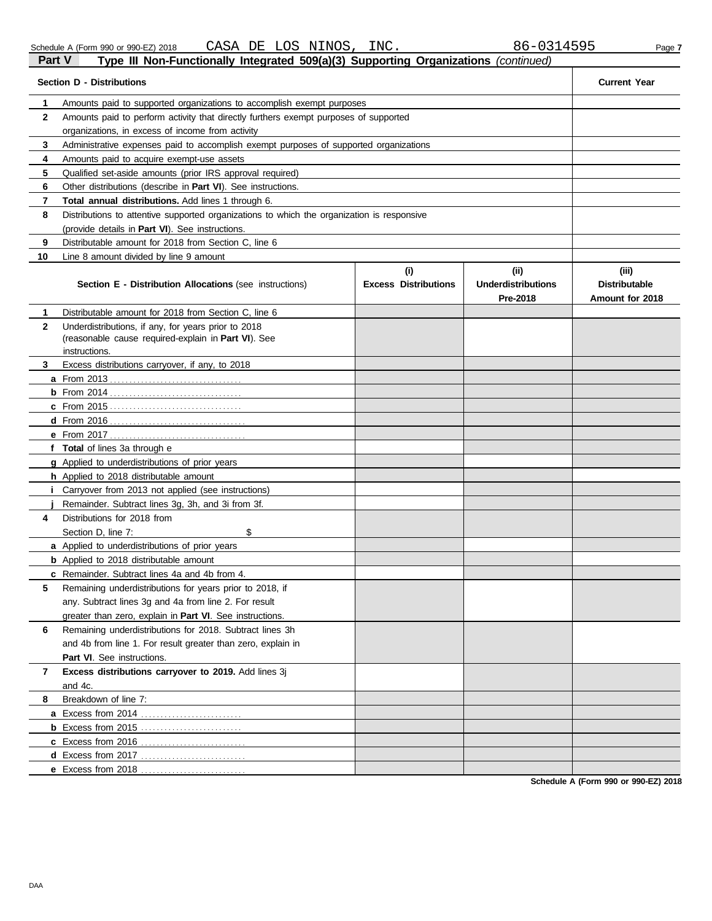| edule A (Form 990 or 990-EZ) 2018 | CASA DE LOS NI |  |  |
|-----------------------------------|----------------|--|--|
|                                   |                |  |  |

| Part V       | Type III Non-Functionally Integrated 509(a)(3) Supporting Organizations (continued)                       |                                    |                                               |                                                  |
|--------------|-----------------------------------------------------------------------------------------------------------|------------------------------------|-----------------------------------------------|--------------------------------------------------|
|              | Section D - Distributions                                                                                 |                                    |                                               | <b>Current Year</b>                              |
| 1            | Amounts paid to supported organizations to accomplish exempt purposes                                     |                                    |                                               |                                                  |
| $\mathbf{2}$ | Amounts paid to perform activity that directly furthers exempt purposes of supported                      |                                    |                                               |                                                  |
|              | organizations, in excess of income from activity                                                          |                                    |                                               |                                                  |
| 3            | Administrative expenses paid to accomplish exempt purposes of supported organizations                     |                                    |                                               |                                                  |
| 4            | Amounts paid to acquire exempt-use assets                                                                 |                                    |                                               |                                                  |
| 5            | Qualified set-aside amounts (prior IRS approval required)                                                 |                                    |                                               |                                                  |
| 6            | Other distributions (describe in Part VI). See instructions.                                              |                                    |                                               |                                                  |
| 7            | Total annual distributions. Add lines 1 through 6.                                                        |                                    |                                               |                                                  |
| 8            | Distributions to attentive supported organizations to which the organization is responsive                |                                    |                                               |                                                  |
|              | (provide details in Part VI). See instructions.                                                           |                                    |                                               |                                                  |
| 9            | Distributable amount for 2018 from Section C, line 6                                                      |                                    |                                               |                                                  |
| 10           | Line 8 amount divided by line 9 amount                                                                    |                                    |                                               |                                                  |
|              | <b>Section E - Distribution Allocations (see instructions)</b>                                            | (i)<br><b>Excess Distributions</b> | (ii)<br><b>Underdistributions</b><br>Pre-2018 | (iii)<br><b>Distributable</b><br>Amount for 2018 |
| 1            | Distributable amount for 2018 from Section C. line 6                                                      |                                    |                                               |                                                  |
| $\mathbf{2}$ | Underdistributions, if any, for years prior to 2018                                                       |                                    |                                               |                                                  |
|              | (reasonable cause required-explain in Part VI). See                                                       |                                    |                                               |                                                  |
|              | instructions.                                                                                             |                                    |                                               |                                                  |
| 3            | Excess distributions carryover, if any, to 2018                                                           |                                    |                                               |                                                  |
|              |                                                                                                           |                                    |                                               |                                                  |
|              |                                                                                                           |                                    |                                               |                                                  |
|              |                                                                                                           |                                    |                                               |                                                  |
|              |                                                                                                           |                                    |                                               |                                                  |
|              |                                                                                                           |                                    |                                               |                                                  |
|              | f Total of lines 3a through e                                                                             |                                    |                                               |                                                  |
|              | <b>g</b> Applied to underdistributions of prior years                                                     |                                    |                                               |                                                  |
|              | h Applied to 2018 distributable amount                                                                    |                                    |                                               |                                                  |
|              | <i>i</i> Carryover from 2013 not applied (see instructions)                                               |                                    |                                               |                                                  |
|              | Remainder. Subtract lines 3g, 3h, and 3i from 3f.                                                         |                                    |                                               |                                                  |
| 4            | Distributions for 2018 from                                                                               |                                    |                                               |                                                  |
|              | \$<br>Section D, line 7:                                                                                  |                                    |                                               |                                                  |
|              | <b>a</b> Applied to underdistributions of prior years                                                     |                                    |                                               |                                                  |
|              | <b>b</b> Applied to 2018 distributable amount                                                             |                                    |                                               |                                                  |
|              | c Remainder. Subtract lines 4a and 4b from 4.<br>Remaining underdistributions for years prior to 2018, if |                                    |                                               |                                                  |
| 5            | any. Subtract lines 3q and 4a from line 2. For result                                                     |                                    |                                               |                                                  |
|              | greater than zero, explain in Part VI. See instructions.                                                  |                                    |                                               |                                                  |
| 6            | Remaining underdistributions for 2018. Subtract lines 3h                                                  |                                    |                                               |                                                  |
|              | and 4b from line 1. For result greater than zero, explain in                                              |                                    |                                               |                                                  |
|              | Part VI. See instructions.                                                                                |                                    |                                               |                                                  |
|              | Excess distributions carryover to 2019. Add lines 3j                                                      |                                    |                                               |                                                  |
| 7            | and 4c.                                                                                                   |                                    |                                               |                                                  |
| 8            | Breakdown of line 7:                                                                                      |                                    |                                               |                                                  |
|              |                                                                                                           |                                    |                                               |                                                  |
|              | <b>b</b> Excess from 2015                                                                                 |                                    |                                               |                                                  |
|              | c Excess from 2016                                                                                        |                                    |                                               |                                                  |
|              |                                                                                                           |                                    |                                               |                                                  |
|              | e Excess from 2018                                                                                        |                                    |                                               |                                                  |
|              |                                                                                                           |                                    |                                               |                                                  |

**Schedule A (Form 990 or 990-EZ) 2018**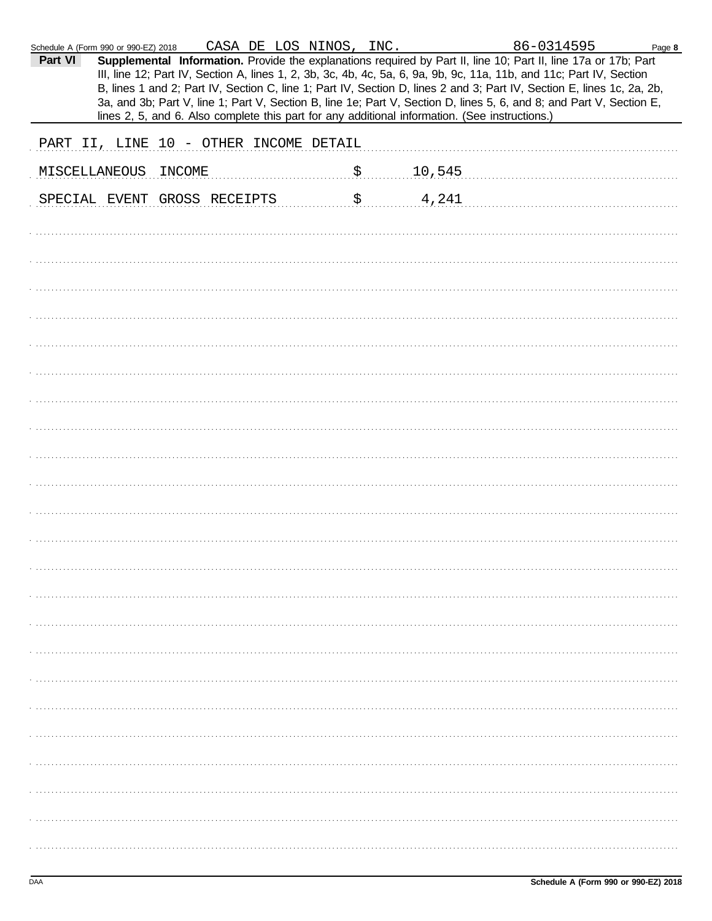| Schedule A (Form 990 or 990-EZ) 2018 |                      |                              |                                        |                     | CASA DE LOS NINOS, INC.                                                                        | 86-0314595                                                                                                                                                                                                                                                                                                                                                                                                                                                                                | Page 8 |
|--------------------------------------|----------------------|------------------------------|----------------------------------------|---------------------|------------------------------------------------------------------------------------------------|-------------------------------------------------------------------------------------------------------------------------------------------------------------------------------------------------------------------------------------------------------------------------------------------------------------------------------------------------------------------------------------------------------------------------------------------------------------------------------------------|--------|
| Part VI                              |                      |                              |                                        |                     |                                                                                                | Supplemental Information. Provide the explanations required by Part II, line 10; Part II, line 17a or 17b; Part<br>III, line 12; Part IV, Section A, lines 1, 2, 3b, 3c, 4b, 4c, 5a, 6, 9a, 9b, 9c, 11a, 11b, and 11c; Part IV, Section<br>B, lines 1 and 2; Part IV, Section C, line 1; Part IV, Section D, lines 2 and 3; Part IV, Section E, lines 1c, 2a, 2b,<br>3a, and 3b; Part V, line 1; Part V, Section B, line 1e; Part V, Section D, lines 5, 6, and 8; and Part V, Section E, |        |
|                                      |                      |                              |                                        |                     | lines 2, 5, and 6. Also complete this part for any additional information. (See instructions.) |                                                                                                                                                                                                                                                                                                                                                                                                                                                                                           |        |
|                                      |                      |                              | PART II, LINE 10 - OTHER INCOME DETAIL |                     |                                                                                                |                                                                                                                                                                                                                                                                                                                                                                                                                                                                                           |        |
|                                      | MISCELLANEOUS INCOME |                              |                                        | $\ddot{\mathbf{S}}$ | 10,545                                                                                         |                                                                                                                                                                                                                                                                                                                                                                                                                                                                                           |        |
|                                      |                      | SPECIAL EVENT GROSS RECEIPTS |                                        | $\uparrow$ 4,241    |                                                                                                |                                                                                                                                                                                                                                                                                                                                                                                                                                                                                           |        |
|                                      |                      |                              |                                        |                     |                                                                                                |                                                                                                                                                                                                                                                                                                                                                                                                                                                                                           |        |
|                                      |                      |                              |                                        |                     |                                                                                                |                                                                                                                                                                                                                                                                                                                                                                                                                                                                                           |        |
|                                      |                      |                              |                                        |                     |                                                                                                |                                                                                                                                                                                                                                                                                                                                                                                                                                                                                           |        |
|                                      |                      |                              |                                        |                     |                                                                                                |                                                                                                                                                                                                                                                                                                                                                                                                                                                                                           |        |
|                                      |                      |                              |                                        |                     |                                                                                                |                                                                                                                                                                                                                                                                                                                                                                                                                                                                                           |        |
|                                      |                      |                              |                                        |                     |                                                                                                |                                                                                                                                                                                                                                                                                                                                                                                                                                                                                           |        |
|                                      |                      |                              |                                        |                     |                                                                                                |                                                                                                                                                                                                                                                                                                                                                                                                                                                                                           |        |
|                                      |                      |                              |                                        |                     |                                                                                                |                                                                                                                                                                                                                                                                                                                                                                                                                                                                                           |        |
|                                      |                      |                              |                                        |                     |                                                                                                |                                                                                                                                                                                                                                                                                                                                                                                                                                                                                           |        |
|                                      |                      |                              |                                        |                     |                                                                                                |                                                                                                                                                                                                                                                                                                                                                                                                                                                                                           |        |
|                                      |                      |                              |                                        |                     |                                                                                                |                                                                                                                                                                                                                                                                                                                                                                                                                                                                                           |        |
|                                      |                      |                              |                                        |                     |                                                                                                |                                                                                                                                                                                                                                                                                                                                                                                                                                                                                           |        |
|                                      |                      |                              |                                        |                     |                                                                                                |                                                                                                                                                                                                                                                                                                                                                                                                                                                                                           |        |
|                                      |                      |                              |                                        |                     |                                                                                                |                                                                                                                                                                                                                                                                                                                                                                                                                                                                                           |        |
|                                      |                      |                              |                                        |                     |                                                                                                |                                                                                                                                                                                                                                                                                                                                                                                                                                                                                           |        |
|                                      |                      |                              |                                        |                     |                                                                                                |                                                                                                                                                                                                                                                                                                                                                                                                                                                                                           |        |
|                                      |                      |                              |                                        |                     |                                                                                                |                                                                                                                                                                                                                                                                                                                                                                                                                                                                                           |        |
|                                      |                      |                              |                                        |                     |                                                                                                |                                                                                                                                                                                                                                                                                                                                                                                                                                                                                           |        |
|                                      |                      |                              |                                        |                     |                                                                                                |                                                                                                                                                                                                                                                                                                                                                                                                                                                                                           |        |
|                                      |                      |                              |                                        |                     |                                                                                                |                                                                                                                                                                                                                                                                                                                                                                                                                                                                                           |        |
|                                      |                      |                              |                                        |                     |                                                                                                |                                                                                                                                                                                                                                                                                                                                                                                                                                                                                           |        |
|                                      |                      |                              |                                        |                     |                                                                                                |                                                                                                                                                                                                                                                                                                                                                                                                                                                                                           |        |
|                                      |                      |                              |                                        |                     |                                                                                                |                                                                                                                                                                                                                                                                                                                                                                                                                                                                                           |        |
|                                      |                      |                              |                                        |                     |                                                                                                |                                                                                                                                                                                                                                                                                                                                                                                                                                                                                           |        |
|                                      |                      |                              |                                        |                     |                                                                                                |                                                                                                                                                                                                                                                                                                                                                                                                                                                                                           |        |
|                                      |                      |                              |                                        |                     |                                                                                                |                                                                                                                                                                                                                                                                                                                                                                                                                                                                                           |        |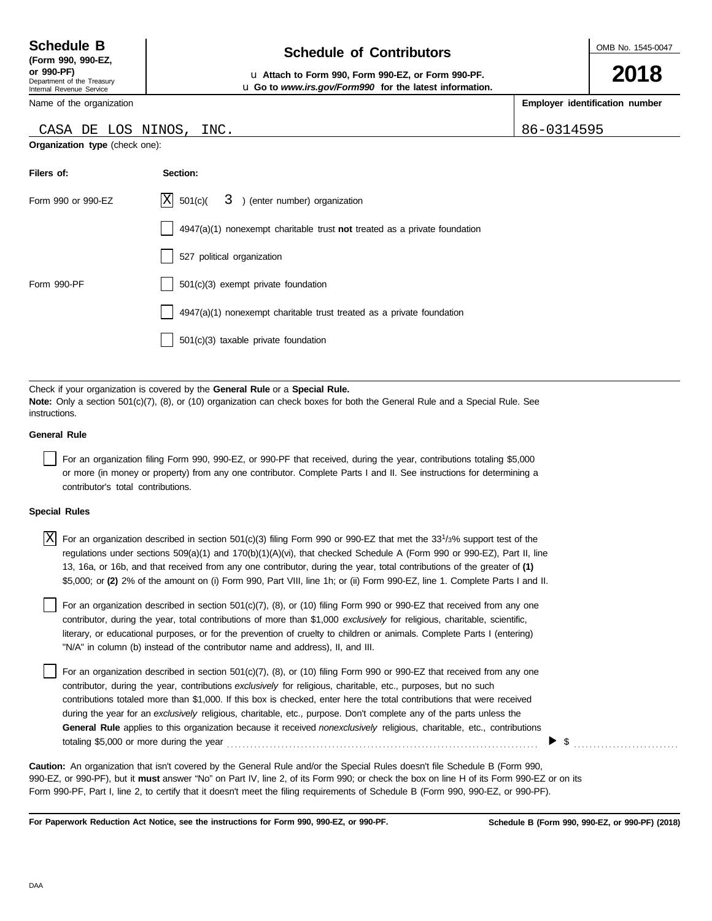## **Schedule of Contributors Schedule B**

**or 990-PF)** u **Attach to Form 990, Form 990-EZ, or Form 990-PF.** u **Go to** *www.irs.gov/Form990* **for the latest information.** OMB No. 1545-0047

**2018**

**Employer identification number**

| <b>Schedule B</b> |                    |  |
|-------------------|--------------------|--|
|                   | (Form 990, 990-EZ, |  |

Department of the Treasury Internal Revenue Service

CASA DE LOS NINOS, INC.  $86-0314595$ 

|  | Organization type (check one): |  |  |  |
|--|--------------------------------|--|--|--|
|--|--------------------------------|--|--|--|

| Filers of:         | Section:                                                                  |
|--------------------|---------------------------------------------------------------------------|
| Form 990 or 990-EZ | $ X $ 501(c)( $3$ ) (enter number) organization                           |
|                    | 4947(a)(1) nonexempt charitable trust not treated as a private foundation |
|                    | 527 political organization                                                |
| Form 990-PF        | 501(c)(3) exempt private foundation                                       |
|                    | 4947(a)(1) nonexempt charitable trust treated as a private foundation     |
|                    | 501(c)(3) taxable private foundation                                      |

Check if your organization is covered by the **General Rule** or a **Special Rule. Note:** Only a section 501(c)(7), (8), or (10) organization can check boxes for both the General Rule and a Special Rule. See instructions.

## **General Rule**

For an organization filing Form 990, 990-EZ, or 990-PF that received, during the year, contributions totaling \$5,000 or more (in money or property) from any one contributor. Complete Parts I and II. See instructions for determining a contributor's total contributions.

## **Special Rules**

| $\overline{X}$ For an organization described in section 501(c)(3) filing Form 990 or 990-EZ that met the 33 <sup>1</sup> /3% support test of the |
|--------------------------------------------------------------------------------------------------------------------------------------------------|
| regulations under sections 509(a)(1) and 170(b)(1)(A)(vi), that checked Schedule A (Form 990 or 990-EZ), Part II, line                           |
| 13, 16a, or 16b, and that received from any one contributor, during the year, total contributions of the greater of (1)                          |
| \$5,000; or (2) 2% of the amount on (i) Form 990, Part VIII, line 1h; or (ii) Form 990-EZ, line 1. Complete Parts I and II.                      |

literary, or educational purposes, or for the prevention of cruelty to children or animals. Complete Parts I (entering) For an organization described in section 501(c)(7), (8), or (10) filing Form 990 or 990-EZ that received from any one contributor, during the year, total contributions of more than \$1,000 *exclusively* for religious, charitable, scientific, "N/A" in column (b) instead of the contributor name and address), II, and III.

For an organization described in section 501(c)(7), (8), or (10) filing Form 990 or 990-EZ that received from any one contributor, during the year, contributions *exclusively* for religious, charitable, etc., purposes, but no such contributions totaled more than \$1,000. If this box is checked, enter here the total contributions that were received during the year for an *exclusively* religious, charitable, etc., purpose. Don't complete any of the parts unless the **General Rule** applies to this organization because it received *nonexclusively* religious, charitable, etc., contributions totaling \$5,000 or more during the year . . . . . . . . . . . . . . . . . . . . . . . . . . . . . . . . . . . . . . . . . . . . . . . . . . . . . . . . . . . . . . . . . . . . . . . . . . . . . . . .

990-EZ, or 990-PF), but it **must** answer "No" on Part IV, line 2, of its Form 990; or check the box on line H of its Form 990-EZ or on its Form 990-PF, Part I, line 2, to certify that it doesn't meet the filing requirements of Schedule B (Form 990, 990-EZ, or 990-PF). **Caution:** An organization that isn't covered by the General Rule and/or the Special Rules doesn't file Schedule B (Form 990,

**For Paperwork Reduction Act Notice, see the instructions for Form 990, 990-EZ, or 990-PF.**

 $\triangleright$  \$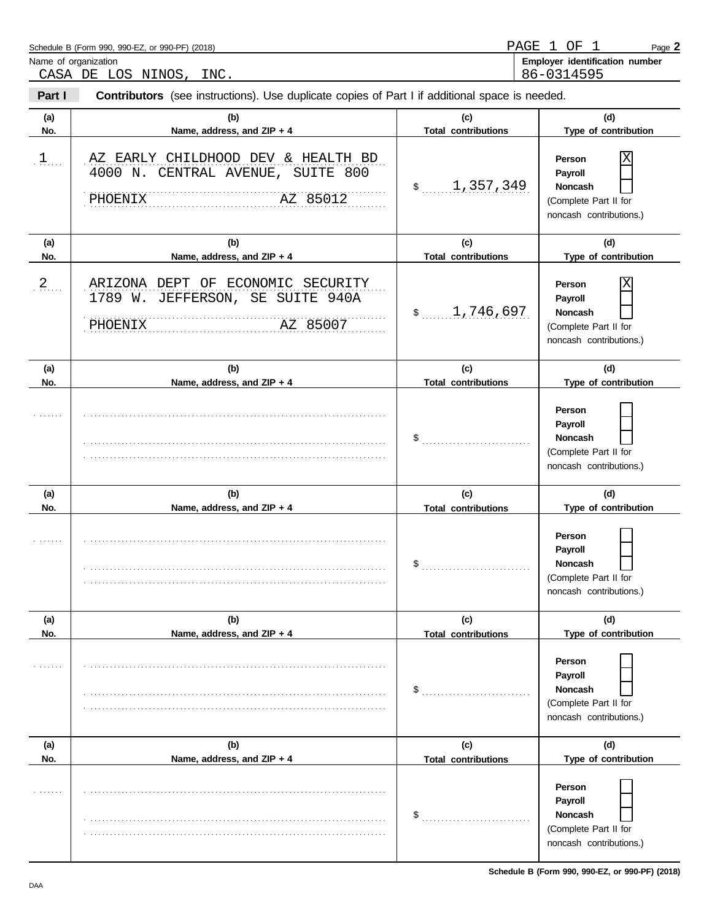| Schedule B (Form 990, 990-EZ, or 990-PF) (2018) | <b>PAGE</b><br>Page                   |
|-------------------------------------------------|---------------------------------------|
| Name of organization                            | <b>Emplover identification number</b> |

CASA DE LOS NINOS, INC.

86-0314595

| Part I     | Contributors (see instructions). Use duplicate copies of Part I if additional space is needed. |                                             |                                                                                                                 |  |  |
|------------|------------------------------------------------------------------------------------------------|---------------------------------------------|-----------------------------------------------------------------------------------------------------------------|--|--|
| (a)<br>No. | (b)<br>Name, address, and ZIP + 4                                                              | (c)<br><b>Total contributions</b>           | (d)<br>Type of contribution                                                                                     |  |  |
| 1          | AZ EARLY CHILDHOOD DEV & HEALTH BD<br>4000 N. CENTRAL AVENUE, SUITE 800<br>AZ 85012<br>PHOENIX | \$1,357,349                                 | Person<br>Payroll<br><b>Noncash</b><br>(Complete Part II for<br>noncash contributions.)                         |  |  |
| (a)<br>No. | (b)<br>Name, address, and ZIP + 4                                                              | (c)<br><b>Total contributions</b>           | (d)<br>Type of contribution                                                                                     |  |  |
| $2$        | ARIZONA DEPT OF ECONOMIC SECURITY<br>1789 W. JEFFERSON, SE SUITE 940A<br>AZ 85007<br>PHOENIX   | \$1,746,697                                 | Person<br>Payroll<br>Noncash<br>(Complete Part II for<br>noncash contributions.)                                |  |  |
| (a)        | (b)                                                                                            | (c)                                         | (d)                                                                                                             |  |  |
| No.        | Name, address, and ZIP + 4                                                                     | <b>Total contributions</b>                  | Type of contribution                                                                                            |  |  |
|            |                                                                                                | $\mathsf{\$}$                               | Person<br>Payroll<br><b>Noncash</b><br>(Complete Part II for<br>noncash contributions.)                         |  |  |
| (a)        | (b)                                                                                            | (c)                                         | (d)                                                                                                             |  |  |
| No.        | Name, address, and ZIP + 4                                                                     | <b>Total contributions</b><br>$\mathsf{\$}$ | Type of contribution<br>Person<br>Payroll<br>Noncash<br>(Complete Part II for<br>noncash contributions.)        |  |  |
| (a)        | (b)                                                                                            | (c)                                         | (d)                                                                                                             |  |  |
| No.        | Name, address, and ZIP + 4                                                                     | <b>Total contributions</b><br>\$            | Type of contribution<br>Person<br>Payroll<br><b>Noncash</b><br>(Complete Part II for<br>noncash contributions.) |  |  |
| (a)<br>No. | (b)<br>Name, address, and ZIP + 4                                                              | (c)<br><b>Total contributions</b>           | (d)<br>Type of contribution                                                                                     |  |  |
|            |                                                                                                | \$                                          | Person<br>Payroll<br><b>Noncash</b><br>(Complete Part II for<br>noncash contributions.)                         |  |  |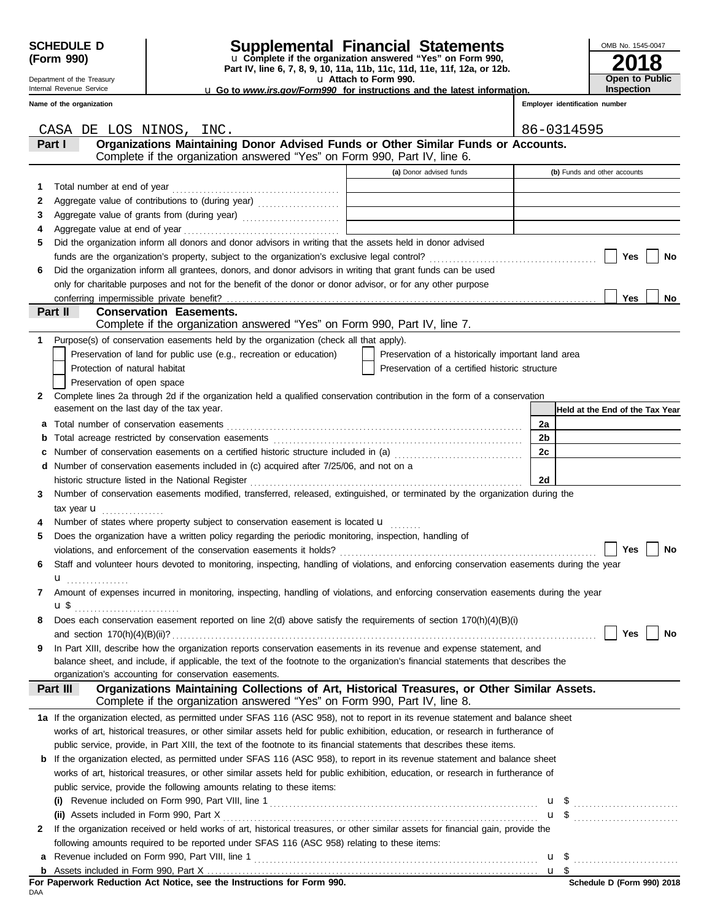Department of the Treasury Internal Revenue Service **Name of the organization**

## **SCHEDULE D Supplemental Financial Statements**

**Part IV, line 6, 7, 8, 9, 10, 11a, 11b, 11c, 11d, 11e, 11f, 12a, or 12b.** u **Complete if the organization answered "Yes" on Form 990,**

u **Attach to Form 990.** 

**2018 Open to Public** OMB No. 1545-0047 **Inspection**

**Employer identification number**

u **Go to** *www.irs.gov/Form990* **for instructions and the latest information.**

|        | DE LOS NINOS,<br>CASA<br>INC                                                                                                                                               |                                                                                                                                                                              |    | 86-0314595                      |
|--------|----------------------------------------------------------------------------------------------------------------------------------------------------------------------------|------------------------------------------------------------------------------------------------------------------------------------------------------------------------------|----|---------------------------------|
|        | Organizations Maintaining Donor Advised Funds or Other Similar Funds or Accounts.<br>Part I                                                                                |                                                                                                                                                                              |    |                                 |
|        | Complete if the organization answered "Yes" on Form 990, Part IV, line 6.                                                                                                  | (a) Donor advised funds                                                                                                                                                      |    | (b) Funds and other accounts    |
|        | Total number at end of year                                                                                                                                                |                                                                                                                                                                              |    |                                 |
| 1<br>2 | Aggregate value of contributions to (during year)                                                                                                                          | $\mathcal{L}^{\mathcal{L}}(\mathcal{L}^{\mathcal{L}})$ and $\mathcal{L}^{\mathcal{L}}(\mathcal{L}^{\mathcal{L}})$ and $\mathcal{L}^{\mathcal{L}}(\mathcal{L}^{\mathcal{L}})$ |    |                                 |
| 3      | Aggregate value of grants from (during year)                                                                                                                               | the control of the control of the control of the control of the control of                                                                                                   |    |                                 |
| 4      |                                                                                                                                                                            |                                                                                                                                                                              |    |                                 |
| 5      | Did the organization inform all donors and donor advisors in writing that the assets held in donor advised                                                                 |                                                                                                                                                                              |    |                                 |
|        |                                                                                                                                                                            |                                                                                                                                                                              |    | Yes<br>No                       |
| 6      | Did the organization inform all grantees, donors, and donor advisors in writing that grant funds can be used                                                               |                                                                                                                                                                              |    |                                 |
|        | only for charitable purposes and not for the benefit of the donor or donor advisor, or for any other purpose                                                               |                                                                                                                                                                              |    |                                 |
|        |                                                                                                                                                                            |                                                                                                                                                                              |    | Yes<br>No                       |
|        | Part II<br><b>Conservation Easements.</b>                                                                                                                                  |                                                                                                                                                                              |    |                                 |
|        | Complete if the organization answered "Yes" on Form 990, Part IV, line 7.                                                                                                  |                                                                                                                                                                              |    |                                 |
| 1      | Purpose(s) of conservation easements held by the organization (check all that apply).                                                                                      |                                                                                                                                                                              |    |                                 |
|        | Preservation of land for public use (e.g., recreation or education)                                                                                                        | Preservation of a historically important land area                                                                                                                           |    |                                 |
|        | Protection of natural habitat                                                                                                                                              | Preservation of a certified historic structure                                                                                                                               |    |                                 |
|        | Preservation of open space                                                                                                                                                 |                                                                                                                                                                              |    |                                 |
| 2      | Complete lines 2a through 2d if the organization held a qualified conservation contribution in the form of a conservation                                                  |                                                                                                                                                                              |    |                                 |
|        | easement on the last day of the tax year.                                                                                                                                  |                                                                                                                                                                              |    | Held at the End of the Tax Year |
|        | a Total number of conservation easements                                                                                                                                   |                                                                                                                                                                              | 2a |                                 |
|        |                                                                                                                                                                            |                                                                                                                                                                              | 2b |                                 |
| С      | Number of conservation easements on a certified historic structure included in (a) [11] Number of conservation easements on a certified historic structure included in (a) |                                                                                                                                                                              | 2c |                                 |
|        | d Number of conservation easements included in (c) acquired after 7/25/06, and not on a                                                                                    |                                                                                                                                                                              |    |                                 |
|        | historic structure listed in the National Register                                                                                                                         |                                                                                                                                                                              | 2d |                                 |
| 3      | Number of conservation easements modified, transferred, released, extinguished, or terminated by the organization during the                                               |                                                                                                                                                                              |    |                                 |
|        | tax year <b>u</b>                                                                                                                                                          |                                                                                                                                                                              |    |                                 |
| 4      | Number of states where property subject to conservation easement is located u                                                                                              |                                                                                                                                                                              |    |                                 |
| 5      | Does the organization have a written policy regarding the periodic monitoring, inspection, handling of                                                                     |                                                                                                                                                                              |    |                                 |
|        |                                                                                                                                                                            |                                                                                                                                                                              |    | <b>Yes</b><br>No                |
| 6      | Staff and volunteer hours devoted to monitoring, inspecting, handling of violations, and enforcing conservation easements during the year                                  |                                                                                                                                                                              |    |                                 |
|        | u                                                                                                                                                                          |                                                                                                                                                                              |    |                                 |
| 7      | Amount of expenses incurred in monitoring, inspecting, handling of violations, and enforcing conservation easements during the year                                        |                                                                                                                                                                              |    |                                 |
|        | ս \$                                                                                                                                                                       |                                                                                                                                                                              |    |                                 |
| 8      | Does each conservation easement reported on line 2(d) above satisfy the requirements of section 170(h)(4)(B)(i)                                                            |                                                                                                                                                                              |    |                                 |
|        |                                                                                                                                                                            |                                                                                                                                                                              |    | $\Box$ Yes $\Box$ No            |
| 9      | In Part XIII, describe how the organization reports conservation easements in its revenue and expense statement, and                                                       |                                                                                                                                                                              |    |                                 |
|        | balance sheet, and include, if applicable, the text of the footnote to the organization's financial statements that describes the                                          |                                                                                                                                                                              |    |                                 |
|        | organization's accounting for conservation easements.                                                                                                                      |                                                                                                                                                                              |    |                                 |
|        | Organizations Maintaining Collections of Art, Historical Treasures, or Other Similar Assets.<br>Part III                                                                   |                                                                                                                                                                              |    |                                 |
|        | Complete if the organization answered "Yes" on Form 990, Part IV, line 8.                                                                                                  |                                                                                                                                                                              |    |                                 |
|        | 1a If the organization elected, as permitted under SFAS 116 (ASC 958), not to report in its revenue statement and balance sheet                                            |                                                                                                                                                                              |    |                                 |
|        | works of art, historical treasures, or other similar assets held for public exhibition, education, or research in furtherance of                                           |                                                                                                                                                                              |    |                                 |
|        | public service, provide, in Part XIII, the text of the footnote to its financial statements that describes these items.                                                    |                                                                                                                                                                              |    |                                 |
|        | b If the organization elected, as permitted under SFAS 116 (ASC 958), to report in its revenue statement and balance sheet                                                 |                                                                                                                                                                              |    |                                 |
|        | works of art, historical treasures, or other similar assets held for public exhibition, education, or research in furtherance of                                           |                                                                                                                                                                              |    |                                 |
|        | public service, provide the following amounts relating to these items:                                                                                                     |                                                                                                                                                                              |    |                                 |
|        |                                                                                                                                                                            |                                                                                                                                                                              |    | $u \,$ \$                       |
|        |                                                                                                                                                                            |                                                                                                                                                                              |    |                                 |
|        |                                                                                                                                                                            |                                                                                                                                                                              |    |                                 |

If the organization received or held works of art, historical treasures, or other similar assets for financial gain, provide the **2** Revenue included on Form 990, Part VIII, line 1 . . . . . . . . . . . . . . . . . . . . . . . . . . . . . . . . . . . . . . . . . . . . . . . . . . . . . . . . . . . . . . . . . . . . . . . . . **a** following amounts required to be reported under SFAS 116 (ASC 958) relating to these items: \$ . . . . . . . . . . . . . . . . . . . . . . . . . . . u <u>u \$</u>

|     | For Paperwork Reduction Act Notice, see the Instructions for Form 990. |
|-----|------------------------------------------------------------------------|
| DAA |                                                                        |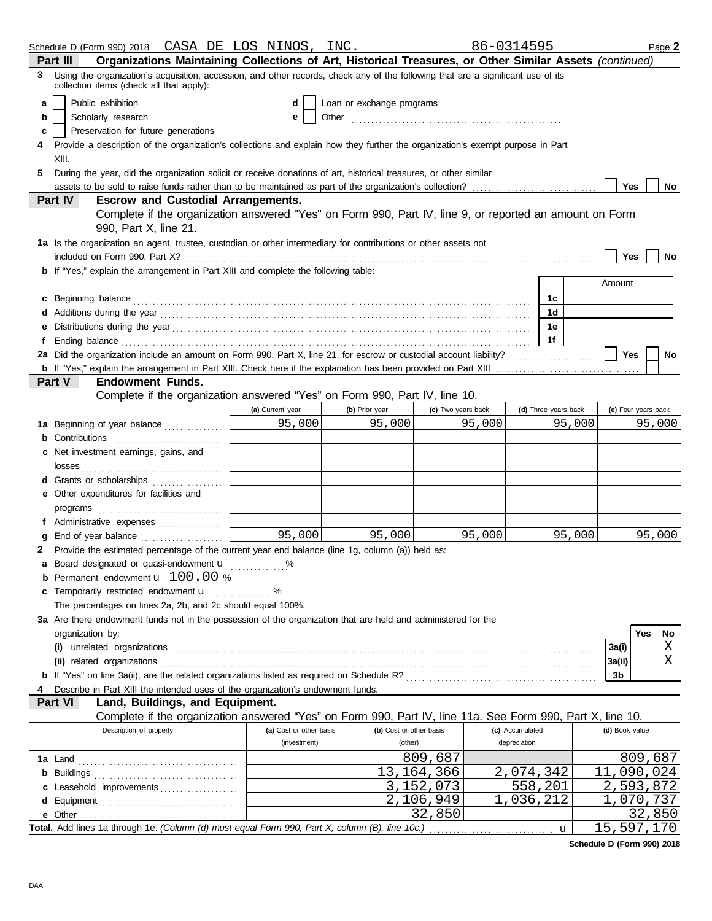|    | Schedule D (Form 990) 2018 CASA DE LOS NINOS, INC.                                                                                                                                                                                   |                         |                           |                    | 86-0314595           |             |                     |     | Page 2  |  |
|----|--------------------------------------------------------------------------------------------------------------------------------------------------------------------------------------------------------------------------------------|-------------------------|---------------------------|--------------------|----------------------|-------------|---------------------|-----|---------|--|
|    | Organizations Maintaining Collections of Art, Historical Treasures, or Other Similar Assets (continued)<br>Part III                                                                                                                  |                         |                           |                    |                      |             |                     |     |         |  |
| 3  | Using the organization's acquisition, accession, and other records, check any of the following that are a significant use of its<br>collection items (check all that apply):                                                         |                         |                           |                    |                      |             |                     |     |         |  |
| a  | Public exhibition                                                                                                                                                                                                                    | d                       | Loan or exchange programs |                    |                      |             |                     |     |         |  |
| b  | Scholarly research                                                                                                                                                                                                                   | е                       |                           |                    |                      |             |                     |     |         |  |
|    | Preservation for future generations                                                                                                                                                                                                  |                         |                           |                    |                      |             |                     |     |         |  |
|    | с<br>Provide a description of the organization's collections and explain how they further the organization's exempt purpose in Part                                                                                                  |                         |                           |                    |                      |             |                     |     |         |  |
|    |                                                                                                                                                                                                                                      |                         |                           |                    |                      |             |                     |     |         |  |
|    | XIII.<br>During the year, did the organization solicit or receive donations of art, historical treasures, or other similar                                                                                                           |                         |                           |                    |                      |             |                     |     |         |  |
| 5. |                                                                                                                                                                                                                                      |                         |                           |                    |                      |             |                     |     |         |  |
|    |                                                                                                                                                                                                                                      |                         |                           |                    |                      |             | <b>Yes</b>          |     | No      |  |
|    | <b>Part IV</b><br><b>Escrow and Custodial Arrangements.</b>                                                                                                                                                                          |                         |                           |                    |                      |             |                     |     |         |  |
|    | Complete if the organization answered "Yes" on Form 990, Part IV, line 9, or reported an amount on Form<br>990, Part X, line 21.                                                                                                     |                         |                           |                    |                      |             |                     |     |         |  |
|    | 1a Is the organization an agent, trustee, custodian or other intermediary for contributions or other assets not                                                                                                                      |                         |                           |                    |                      |             |                     |     |         |  |
|    |                                                                                                                                                                                                                                      |                         |                           |                    |                      |             | Yes                 |     | No      |  |
|    | <b>b</b> If "Yes," explain the arrangement in Part XIII and complete the following table:                                                                                                                                            |                         |                           |                    |                      |             |                     |     |         |  |
|    |                                                                                                                                                                                                                                      |                         |                           |                    |                      |             | Amount              |     |         |  |
|    | c Beginning balance <b>contract to the contract of the set of the contract of the contract of the contract of the contract of the contract of the contract of the contract of the contract of the contract of the contract of th</b> |                         |                           |                    | 1c                   |             |                     |     |         |  |
|    |                                                                                                                                                                                                                                      |                         |                           |                    | 1 <sub>d</sub>       |             |                     |     |         |  |
|    |                                                                                                                                                                                                                                      |                         |                           |                    | 1e                   |             |                     |     |         |  |
|    |                                                                                                                                                                                                                                      |                         |                           |                    | 1f                   |             |                     |     |         |  |
|    |                                                                                                                                                                                                                                      |                         |                           |                    |                      |             | <b>Yes</b>          |     | No      |  |
|    |                                                                                                                                                                                                                                      |                         |                           |                    |                      |             |                     |     |         |  |
|    | <b>Endowment Funds.</b><br><b>Part V</b>                                                                                                                                                                                             |                         |                           |                    |                      |             |                     |     |         |  |
|    | Complete if the organization answered "Yes" on Form 990, Part IV, line 10.                                                                                                                                                           |                         |                           |                    |                      |             |                     |     |         |  |
|    |                                                                                                                                                                                                                                      | (a) Current year        | (b) Prior year            | (c) Two years back | (d) Three years back |             | (e) Four years back |     |         |  |
|    | 1a Beginning of year balance                                                                                                                                                                                                         | 95,000                  | 95,000                    | 95,000             |                      | 95,000      |                     |     | 95,000  |  |
|    | <b>b</b> Contributions <b>contributions</b>                                                                                                                                                                                          |                         |                           |                    |                      |             |                     |     |         |  |
|    | c Net investment earnings, gains, and                                                                                                                                                                                                |                         |                           |                    |                      |             |                     |     |         |  |
|    |                                                                                                                                                                                                                                      |                         |                           |                    |                      |             |                     |     |         |  |
|    | d Grants or scholarships                                                                                                                                                                                                             |                         |                           |                    |                      |             |                     |     |         |  |
|    | e Other expenditures for facilities and                                                                                                                                                                                              |                         |                           |                    |                      |             |                     |     |         |  |
|    |                                                                                                                                                                                                                                      |                         |                           |                    |                      |             |                     |     |         |  |
|    |                                                                                                                                                                                                                                      |                         |                           |                    |                      |             |                     |     |         |  |
|    | f Administrative expenses                                                                                                                                                                                                            | 95,000                  |                           |                    |                      |             |                     |     |         |  |
|    | g End of year balance                                                                                                                                                                                                                |                         | 95,000                    | 95,000             |                      | 95,000      |                     |     | 95,000  |  |
| 2  | Provide the estimated percentage of the current year end balance (line 1g, column (a)) held as:                                                                                                                                      |                         |                           |                    |                      |             |                     |     |         |  |
|    | a Board designated or quasi-endowment u                                                                                                                                                                                              |                         |                           |                    |                      |             |                     |     |         |  |
|    | <b>b</b> Permanent endowment $\mathbf{u}$ 100.00 %                                                                                                                                                                                   |                         |                           |                    |                      |             |                     |     |         |  |
|    | c Temporarily restricted endowment u                                                                                                                                                                                                 | %<br>.                  |                           |                    |                      |             |                     |     |         |  |
|    | The percentages on lines 2a, 2b, and 2c should equal 100%.                                                                                                                                                                           |                         |                           |                    |                      |             |                     |     |         |  |
|    | 3a Are there endowment funds not in the possession of the organization that are held and administered for the                                                                                                                        |                         |                           |                    |                      |             |                     |     |         |  |
|    | organization by:                                                                                                                                                                                                                     |                         |                           |                    |                      |             |                     | Yes | No      |  |
|    |                                                                                                                                                                                                                                      |                         |                           |                    |                      |             | 3a(i)               |     | Χ       |  |
|    |                                                                                                                                                                                                                                      |                         |                           |                    |                      |             | 3a(ii)              |     | Χ       |  |
|    |                                                                                                                                                                                                                                      |                         |                           |                    |                      |             | 3b                  |     |         |  |
|    | Describe in Part XIII the intended uses of the organization's endowment funds.                                                                                                                                                       |                         |                           |                    |                      |             |                     |     |         |  |
|    | Land, Buildings, and Equipment.<br>Part VI                                                                                                                                                                                           |                         |                           |                    |                      |             |                     |     |         |  |
|    | Complete if the organization answered "Yes" on Form 990, Part IV, line 11a. See Form 990, Part X, line 10.                                                                                                                           |                         |                           |                    |                      |             |                     |     |         |  |
|    | Description of property                                                                                                                                                                                                              | (a) Cost or other basis | (b) Cost or other basis   |                    | (c) Accumulated      |             | (d) Book value      |     |         |  |
|    |                                                                                                                                                                                                                                      | (investment)            | (other)                   |                    | depreciation         |             |                     |     |         |  |
|    |                                                                                                                                                                                                                                      |                         |                           | 809,687            |                      |             |                     |     | 809,687 |  |
|    |                                                                                                                                                                                                                                      |                         |                           | 13, 164, 366       | 2,074,342            |             | 11,090,024          |     |         |  |
|    | c Leasehold improvements                                                                                                                                                                                                             |                         |                           | 3,152,073          | 558,201              |             | 2,593,872           |     |         |  |
|    |                                                                                                                                                                                                                                      |                         |                           | 2,106,949          | 1,036,212            |             | 1,070,737           |     |         |  |
|    | e Other                                                                                                                                                                                                                              |                         |                           | 32,850             |                      |             |                     |     | 32,850  |  |
|    | Total. Add lines 1a through 1e. (Column (d) must equal Form 990, Part X, column (B), line 10c.)                                                                                                                                      |                         |                           |                    |                      | $\mathbf u$ | 15,597,170          |     |         |  |
|    |                                                                                                                                                                                                                                      |                         |                           |                    |                      |             |                     |     |         |  |

**Schedule D (Form 990) 2018**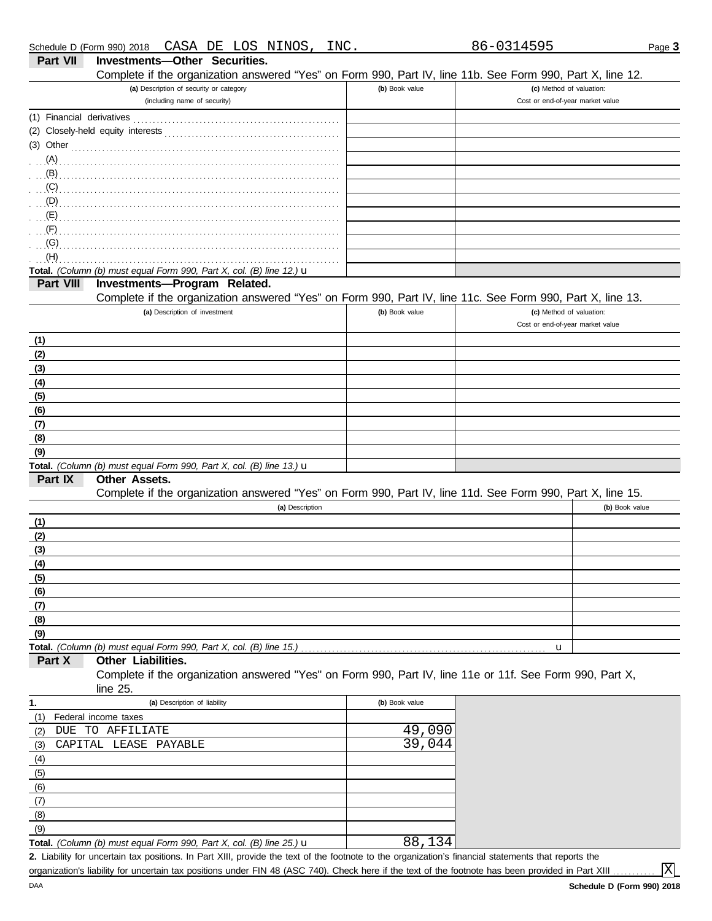| Part VII   | <b>Investments-Other Securities.</b><br>Complete if the organization answered "Yes" on Form 990, Part IV, line 11b. See Form 990, Part X, line 12. |                |                                  |                |
|------------|----------------------------------------------------------------------------------------------------------------------------------------------------|----------------|----------------------------------|----------------|
|            | (a) Description of security or category                                                                                                            | (b) Book value | (c) Method of valuation:         |                |
|            | (including name of security)                                                                                                                       |                | Cost or end-of-year market value |                |
|            |                                                                                                                                                    |                |                                  |                |
|            |                                                                                                                                                    |                |                                  |                |
|            | (3) Other $\ldots$ $\ldots$ $\ldots$ $\ldots$ $\ldots$ $\ldots$ $\ldots$ $\ldots$ $\ldots$ $\ldots$ $\ldots$                                       |                |                                  |                |
|            |                                                                                                                                                    |                |                                  |                |
|            |                                                                                                                                                    |                |                                  |                |
|            |                                                                                                                                                    |                |                                  |                |
|            |                                                                                                                                                    |                |                                  |                |
|            |                                                                                                                                                    |                |                                  |                |
|            |                                                                                                                                                    |                |                                  |                |
|            |                                                                                                                                                    |                |                                  |                |
| (H)        |                                                                                                                                                    |                |                                  |                |
|            | Total. (Column (b) must equal Form 990, Part X, col. (B) line 12.) $\mathbf u$                                                                     |                |                                  |                |
| Part VIII  | Investments-Program Related.                                                                                                                       |                |                                  |                |
|            | Complete if the organization answered "Yes" on Form 990, Part IV, line 11c. See Form 990, Part X, line 13.                                         |                |                                  |                |
|            | (a) Description of investment                                                                                                                      | (b) Book value | (c) Method of valuation:         |                |
|            |                                                                                                                                                    |                | Cost or end-of-year market value |                |
| (1)        |                                                                                                                                                    |                |                                  |                |
| (2)        |                                                                                                                                                    |                |                                  |                |
| (3)        |                                                                                                                                                    |                |                                  |                |
| (4)        |                                                                                                                                                    |                |                                  |                |
| (5)        |                                                                                                                                                    |                |                                  |                |
| (6)        |                                                                                                                                                    |                |                                  |                |
| (7)        |                                                                                                                                                    |                |                                  |                |
| (8)        |                                                                                                                                                    |                |                                  |                |
| (9)        | Total. (Column (b) must equal Form 990, Part X, col. (B) line 13.) $\mathbf u$                                                                     |                |                                  |                |
| Part IX    | Other Assets.                                                                                                                                      |                |                                  |                |
|            | Complete if the organization answered "Yes" on Form 990, Part IV, line 11d. See Form 990, Part X, line 15.                                         |                |                                  |                |
|            | (a) Description                                                                                                                                    |                |                                  | (b) Book value |
| (1)        |                                                                                                                                                    |                |                                  |                |
| (2)        |                                                                                                                                                    |                |                                  |                |
| (3)        |                                                                                                                                                    |                |                                  |                |
| (4)        |                                                                                                                                                    |                |                                  |                |
| (5)        |                                                                                                                                                    |                |                                  |                |
| (6)        |                                                                                                                                                    |                |                                  |                |
| (7)        |                                                                                                                                                    |                |                                  |                |
| (8)        |                                                                                                                                                    |                |                                  |                |
| (9)        |                                                                                                                                                    |                |                                  |                |
|            |                                                                                                                                                    |                | u                                |                |
| Part X     | Other Liabilities.                                                                                                                                 |                |                                  |                |
|            | Complete if the organization answered "Yes" on Form 990, Part IV, line 11e or 11f. See Form 990, Part X,                                           |                |                                  |                |
|            | line $25$ .                                                                                                                                        |                |                                  |                |
| 1.         | (a) Description of liability                                                                                                                       | (b) Book value |                                  |                |
| (1)        | Federal income taxes                                                                                                                               |                |                                  |                |
| DUE<br>(2) | TO AFFILIATE                                                                                                                                       | 49,090         |                                  |                |
| (3)        | CAPITAL LEASE PAYABLE                                                                                                                              | 39,044         |                                  |                |
| (4)        |                                                                                                                                                    |                |                                  |                |
| (5)        |                                                                                                                                                    |                |                                  |                |
| (6)        |                                                                                                                                                    |                |                                  |                |
| (7)        |                                                                                                                                                    |                |                                  |                |
| (8)        |                                                                                                                                                    |                |                                  |                |
| (9)        |                                                                                                                                                    |                |                                  |                |
|            | Total. (Column (b) must equal Form 990, Part X, col. (B) line 25.) $\mathbf u$                                                                     | 88,134         |                                  |                |

Liability for uncertain tax positions. In Part XIII, provide the text of the footnote to the organization's financial statements that reports the **2.** organization's liability for uncertain tax positions under FIN 48 (ASC 740). Check here if the text of the footnote has been provided in Part XIII .

 $\mathbf{X}$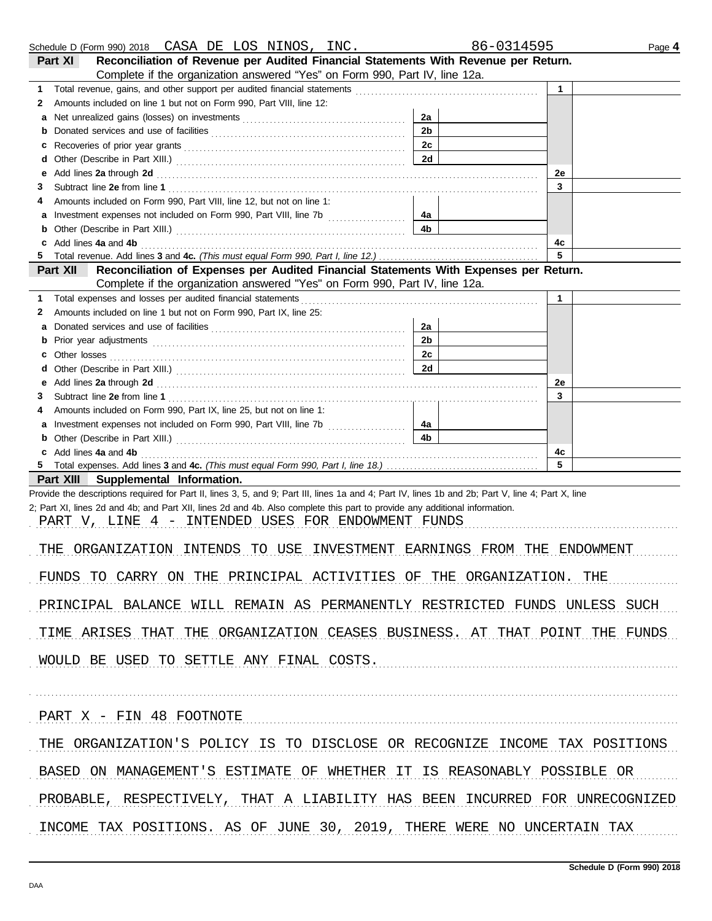| Schedule D (Form 990) 2018 CASA DE LOS NINOS, INC.                                                                                                                                                                                                                                    |                      | 86-0314595   | Page 4 |  |  |  |  |
|---------------------------------------------------------------------------------------------------------------------------------------------------------------------------------------------------------------------------------------------------------------------------------------|----------------------|--------------|--------|--|--|--|--|
| Reconciliation of Revenue per Audited Financial Statements With Revenue per Return.<br>Part XI                                                                                                                                                                                        |                      |              |        |  |  |  |  |
| Complete if the organization answered "Yes" on Form 990, Part IV, line 12a.                                                                                                                                                                                                           |                      |              |        |  |  |  |  |
| 1                                                                                                                                                                                                                                                                                     |                      | $\mathbf{1}$ |        |  |  |  |  |
| Amounts included on line 1 but not on Form 990, Part VIII, line 12:<br>2                                                                                                                                                                                                              |                      |              |        |  |  |  |  |
| a                                                                                                                                                                                                                                                                                     | 2a<br>2 <sub>b</sub> |              |        |  |  |  |  |
| b<br>c                                                                                                                                                                                                                                                                                | 2c                   |              |        |  |  |  |  |
| d                                                                                                                                                                                                                                                                                     | 2d                   |              |        |  |  |  |  |
| Add lines 2a through 2d [11] Add [12] Add [12] Add lines 2a through 2d [12] Add lines 2a through 2d [12] Add [12] Add [12] Add [12] Add [12] Add [12] Add [12] Add [12] Add [12] Add [12] Add [12] Add [12] Add [12] Add [12]<br>е                                                    |                      | 2e           |        |  |  |  |  |
| 3                                                                                                                                                                                                                                                                                     |                      | 3            |        |  |  |  |  |
| Amounts included on Form 990, Part VIII, line 12, but not on line 1:<br>4                                                                                                                                                                                                             |                      |              |        |  |  |  |  |
|                                                                                                                                                                                                                                                                                       | 4a                   |              |        |  |  |  |  |
|                                                                                                                                                                                                                                                                                       | 4 <sub>b</sub>       |              |        |  |  |  |  |
| Add lines 4a and 4b                                                                                                                                                                                                                                                                   |                      | 4c           |        |  |  |  |  |
|                                                                                                                                                                                                                                                                                       |                      | 5            |        |  |  |  |  |
| Reconciliation of Expenses per Audited Financial Statements With Expenses per Return.<br>Part XII<br>Complete if the organization answered "Yes" on Form 990, Part IV, line 12a.                                                                                                      |                      |              |        |  |  |  |  |
| 1                                                                                                                                                                                                                                                                                     |                      | $\mathbf{1}$ |        |  |  |  |  |
| Amounts included on line 1 but not on Form 990, Part IX, line 25:<br>2                                                                                                                                                                                                                |                      |              |        |  |  |  |  |
| a                                                                                                                                                                                                                                                                                     | 2a                   |              |        |  |  |  |  |
|                                                                                                                                                                                                                                                                                       | 2 <sub>b</sub>       |              |        |  |  |  |  |
| Other losses <b>contracts on the contract of the contract of the contract of the contract of the contract of the contract of the contract of the contract of the contract of the contract of the contract of the contract of t</b>                                                    | 2c                   |              |        |  |  |  |  |
| d                                                                                                                                                                                                                                                                                     | 2d                   |              |        |  |  |  |  |
| е                                                                                                                                                                                                                                                                                     |                      | 2e           |        |  |  |  |  |
| 3                                                                                                                                                                                                                                                                                     |                      | 3            |        |  |  |  |  |
| Amounts included on Form 990, Part IX, line 25, but not on line 1:<br>4                                                                                                                                                                                                               |                      |              |        |  |  |  |  |
|                                                                                                                                                                                                                                                                                       | 4a<br>4 <sub>b</sub> |              |        |  |  |  |  |
| c Add lines 4a and 4b (a) and $\frac{4}{3}$ and $\frac{4}{3}$ and $\frac{4}{3}$ and $\frac{4}{3}$ and $\frac{4}{3}$ and $\frac{4}{3}$ and $\frac{4}{3}$ and $\frac{4}{3}$ and $\frac{4}{3}$ and $\frac{4}{3}$ and $\frac{4}{3}$ and $\frac{4}{3}$ and $\frac{4}{3}$ and $\frac{4}{3}$ |                      | 4c           |        |  |  |  |  |
|                                                                                                                                                                                                                                                                                       |                      | 5            |        |  |  |  |  |
| Part XIII Supplemental Information.                                                                                                                                                                                                                                                   |                      |              |        |  |  |  |  |
| Provide the descriptions required for Part II, lines 3, 5, and 9; Part III, lines 1a and 4; Part IV, lines 1b and 2b; Part V, line 4; Part X, line                                                                                                                                    |                      |              |        |  |  |  |  |
| 2; Part XI, lines 2d and 4b; and Part XII, lines 2d and 4b. Also complete this part to provide any additional information.                                                                                                                                                            |                      |              |        |  |  |  |  |
| PART V, LINE 4 - INTENDED USES FOR ENDOWMENT FUNDS                                                                                                                                                                                                                                    |                      |              |        |  |  |  |  |
|                                                                                                                                                                                                                                                                                       |                      |              |        |  |  |  |  |
| ORGANIZATION INTENDS TO USE INVESTMENT EARNINGS FROM THE ENDOWMENT<br>THE                                                                                                                                                                                                             |                      |              |        |  |  |  |  |
| FUNDS TO CARRY ON THE PRINCIPAL ACTIVITIES OF THE ORGANIZATION. THE                                                                                                                                                                                                                   |                      |              |        |  |  |  |  |
|                                                                                                                                                                                                                                                                                       |                      |              |        |  |  |  |  |
| PRINCIPAL BALANCE WILL REMAIN AS PERMANENTLY RESTRICTED FUNDS UNLESS SUCH                                                                                                                                                                                                             |                      |              |        |  |  |  |  |
|                                                                                                                                                                                                                                                                                       |                      |              |        |  |  |  |  |
| TIME ARISES THAT THE ORGANIZATION CEASES BUSINESS. AT THAT POINT THE FUNDS                                                                                                                                                                                                            |                      |              |        |  |  |  |  |
|                                                                                                                                                                                                                                                                                       |                      |              |        |  |  |  |  |
| WOULD BE USED TO SETTLE ANY FINAL COSTS.                                                                                                                                                                                                                                              |                      |              |        |  |  |  |  |
|                                                                                                                                                                                                                                                                                       |                      |              |        |  |  |  |  |
|                                                                                                                                                                                                                                                                                       |                      |              |        |  |  |  |  |
| PART X - FIN 48 FOOTNOTE                                                                                                                                                                                                                                                              |                      |              |        |  |  |  |  |
|                                                                                                                                                                                                                                                                                       |                      |              |        |  |  |  |  |
| THE ORGANIZATION'S POLICY IS TO DISCLOSE OR RECOGNIZE INCOME TAX POSITIONS                                                                                                                                                                                                            |                      |              |        |  |  |  |  |
|                                                                                                                                                                                                                                                                                       |                      |              |        |  |  |  |  |
| BASED ON MANAGEMENT'S ESTIMATE OF WHETHER IT IS REASONABLY POSSIBLE OR                                                                                                                                                                                                                |                      |              |        |  |  |  |  |
|                                                                                                                                                                                                                                                                                       |                      |              |        |  |  |  |  |
| PROBABLE, RESPECTIVELY, THAT A LIABILITY HAS BEEN INCURRED FOR UNRECOGNIZED                                                                                                                                                                                                           |                      |              |        |  |  |  |  |
|                                                                                                                                                                                                                                                                                       |                      |              |        |  |  |  |  |
| INCOME TAX POSITIONS. AS OF JUNE 30, 2019, THERE WERE NO UNCERTAIN TAX                                                                                                                                                                                                                |                      |              |        |  |  |  |  |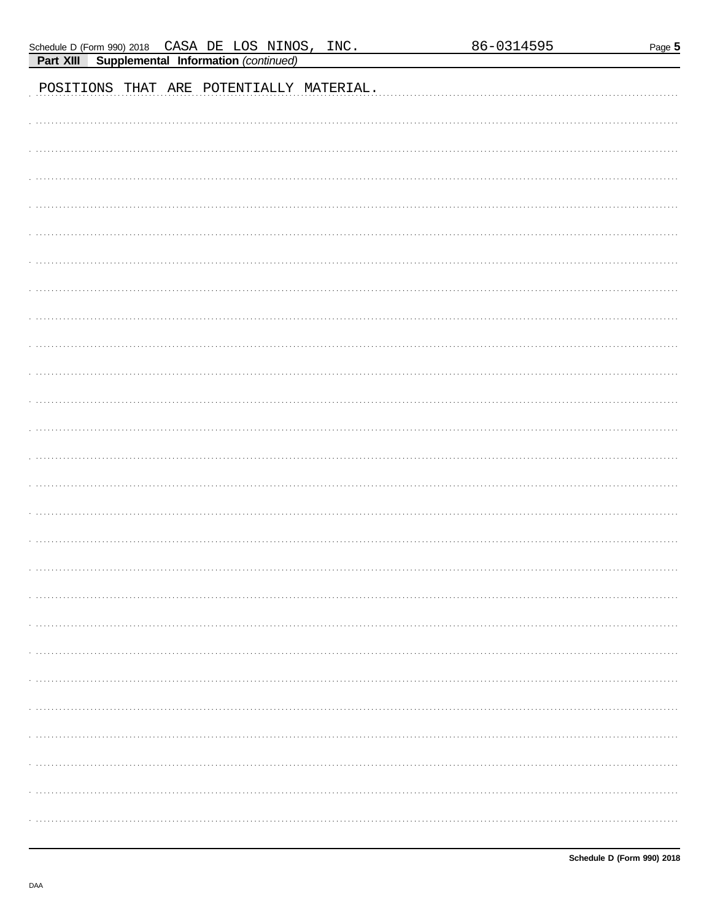Page 5

| POSITIONS THAT ARE POTENTIALLY MATERIAL. |
|------------------------------------------|
|                                          |
|                                          |
|                                          |
|                                          |
|                                          |
|                                          |
|                                          |
|                                          |
|                                          |
|                                          |
|                                          |
|                                          |
|                                          |
|                                          |
|                                          |
|                                          |
|                                          |
|                                          |
|                                          |
|                                          |
|                                          |
|                                          |
|                                          |
|                                          |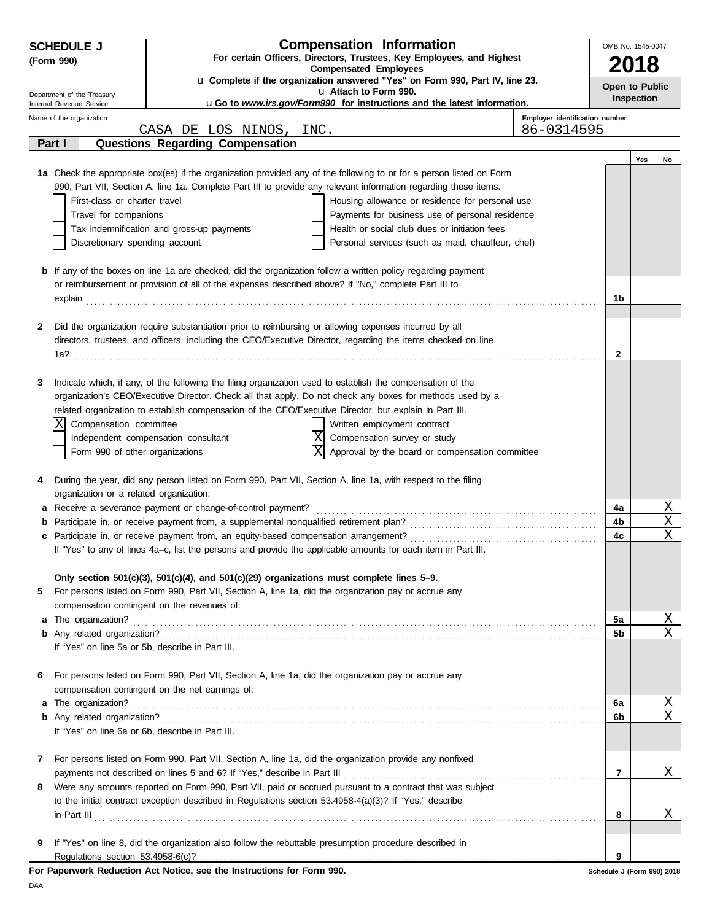| <b>SCHEDULE J</b>                                |                                                                                                     | <b>Compensation Information</b>                                                                                                                                                                                       | OMB No. 1545-0047                            |                            |            |        |  |
|--------------------------------------------------|-----------------------------------------------------------------------------------------------------|-----------------------------------------------------------------------------------------------------------------------------------------------------------------------------------------------------------------------|----------------------------------------------|----------------------------|------------|--------|--|
| (Form 990)                                       |                                                                                                     | For certain Officers, Directors, Trustees, Key Employees, and Highest<br><b>Compensated Employees</b>                                                                                                                 |                                              | 2018                       |            |        |  |
| Department of the Treasury                       |                                                                                                     | u Complete if the organization answered "Yes" on Form 990, Part IV, line 23.<br>u Attach to Form 990.                                                                                                                 |                                              | Open to Public             |            |        |  |
| Internal Revenue Service                         |                                                                                                     | uGo to www.irs.gov/Form990 for instructions and the latest information.                                                                                                                                               |                                              |                            | Inspection |        |  |
| Name of the organization                         |                                                                                                     |                                                                                                                                                                                                                       | Employer identification number<br>86-0314595 |                            |            |        |  |
| Part I                                           | Questions Regarding Compensation                                                                    | CASA DE LOS NINOS, INC.                                                                                                                                                                                               |                                              |                            |            |        |  |
|                                                  |                                                                                                     |                                                                                                                                                                                                                       |                                              |                            | Yes        | No     |  |
|                                                  |                                                                                                     | 1a Check the appropriate box(es) if the organization provided any of the following to or for a person listed on Form                                                                                                  |                                              |                            |            |        |  |
|                                                  |                                                                                                     | 990, Part VII, Section A, line 1a. Complete Part III to provide any relevant information regarding these items.                                                                                                       |                                              |                            |            |        |  |
| First-class or charter travel                    |                                                                                                     | Housing allowance or residence for personal use                                                                                                                                                                       |                                              |                            |            |        |  |
| Travel for companions                            |                                                                                                     | Payments for business use of personal residence                                                                                                                                                                       |                                              |                            |            |        |  |
|                                                  | Tax indemnification and gross-up payments                                                           | Health or social club dues or initiation fees                                                                                                                                                                         |                                              |                            |            |        |  |
| Discretionary spending account                   |                                                                                                     | Personal services (such as maid, chauffeur, chef)                                                                                                                                                                     |                                              |                            |            |        |  |
|                                                  |                                                                                                     | <b>b</b> If any of the boxes on line 1a are checked, did the organization follow a written policy regarding payment                                                                                                   |                                              |                            |            |        |  |
|                                                  |                                                                                                     | or reimbursement or provision of all of the expenses described above? If "No," complete Part III to                                                                                                                   |                                              |                            |            |        |  |
| explain                                          |                                                                                                     |                                                                                                                                                                                                                       |                                              | 1b                         |            |        |  |
|                                                  |                                                                                                     |                                                                                                                                                                                                                       |                                              |                            |            |        |  |
| 2                                                |                                                                                                     | Did the organization require substantiation prior to reimbursing or allowing expenses incurred by all<br>directors, trustees, and officers, including the CEO/Executive Director, regarding the items checked on line |                                              |                            |            |        |  |
| 1a?                                              |                                                                                                     |                                                                                                                                                                                                                       |                                              | 2                          |            |        |  |
|                                                  |                                                                                                     |                                                                                                                                                                                                                       |                                              |                            |            |        |  |
| 3                                                |                                                                                                     | Indicate which, if any, of the following the filing organization used to establish the compensation of the                                                                                                            |                                              |                            |            |        |  |
|                                                  |                                                                                                     | organization's CEO/Executive Director. Check all that apply. Do not check any boxes for methods used by a                                                                                                             |                                              |                            |            |        |  |
|                                                  |                                                                                                     | related organization to establish compensation of the CEO/Executive Director, but explain in Part III.                                                                                                                |                                              |                            |            |        |  |
| X<br>Compensation committee                      |                                                                                                     | Written employment contract                                                                                                                                                                                           |                                              |                            |            |        |  |
|                                                  | Independent compensation consultant                                                                 | $\overline{\text{X}}$<br>Compensation survey or study<br>$\overline{\text{X}}$                                                                                                                                        |                                              |                            |            |        |  |
| Form 990 of other organizations                  |                                                                                                     | Approval by the board or compensation committee                                                                                                                                                                       |                                              |                            |            |        |  |
| 4                                                |                                                                                                     | During the year, did any person listed on Form 990, Part VII, Section A, line 1a, with respect to the filing                                                                                                          |                                              |                            |            |        |  |
| organization or a related organization:          |                                                                                                     |                                                                                                                                                                                                                       |                                              |                            |            |        |  |
|                                                  | a Receive a severance payment or change-of-control payment?                                         |                                                                                                                                                                                                                       |                                              | 4a                         |            | Χ      |  |
| b                                                |                                                                                                     |                                                                                                                                                                                                                       |                                              | 4b                         |            | Χ      |  |
|                                                  |                                                                                                     | If "Yes" to any of lines 4a-c, list the persons and provide the applicable amounts for each item in Part III.                                                                                                         |                                              | 4c                         |            | Χ      |  |
|                                                  |                                                                                                     |                                                                                                                                                                                                                       |                                              |                            |            |        |  |
|                                                  | Only section $501(c)(3)$ , $501(c)(4)$ , and $501(c)(29)$ organizations must complete lines $5-9$ . |                                                                                                                                                                                                                       |                                              |                            |            |        |  |
| 5                                                |                                                                                                     | For persons listed on Form 990, Part VII, Section A, line 1a, did the organization pay or accrue any                                                                                                                  |                                              |                            |            |        |  |
|                                                  | compensation contingent on the revenues of:                                                         |                                                                                                                                                                                                                       |                                              |                            |            |        |  |
| a The organization?                              |                                                                                                     |                                                                                                                                                                                                                       |                                              | 5a<br><b>5b</b>            |            | Χ<br>Χ |  |
| If "Yes" on line 5a or 5b, describe in Part III. |                                                                                                     |                                                                                                                                                                                                                       |                                              |                            |            |        |  |
|                                                  |                                                                                                     |                                                                                                                                                                                                                       |                                              |                            |            |        |  |
| 6                                                |                                                                                                     | For persons listed on Form 990, Part VII, Section A, line 1a, did the organization pay or accrue any                                                                                                                  |                                              |                            |            |        |  |
|                                                  | compensation contingent on the net earnings of:                                                     |                                                                                                                                                                                                                       |                                              |                            |            |        |  |
| a The organization?                              |                                                                                                     |                                                                                                                                                                                                                       |                                              | 6а                         |            | X      |  |
| If "Yes" on line 6a or 6b, describe in Part III. |                                                                                                     |                                                                                                                                                                                                                       |                                              | 6b                         |            | Χ      |  |
|                                                  |                                                                                                     |                                                                                                                                                                                                                       |                                              |                            |            |        |  |
| 7                                                |                                                                                                     | For persons listed on Form 990, Part VII, Section A, line 1a, did the organization provide any nonfixed                                                                                                               |                                              |                            |            |        |  |
|                                                  |                                                                                                     |                                                                                                                                                                                                                       |                                              | 7                          |            | Χ      |  |
| 8                                                |                                                                                                     | Were any amounts reported on Form 990, Part VII, paid or accrued pursuant to a contract that was subject                                                                                                              |                                              |                            |            |        |  |
|                                                  |                                                                                                     | to the initial contract exception described in Regulations section 53.4958-4(a)(3)? If "Yes," describe                                                                                                                |                                              |                            |            |        |  |
|                                                  |                                                                                                     |                                                                                                                                                                                                                       |                                              | 8                          |            | Χ      |  |
| 9                                                |                                                                                                     | If "Yes" on line 8, did the organization also follow the rebuttable presumption procedure described in                                                                                                                |                                              |                            |            |        |  |
| Regulations section 53.4958-6(c)?                |                                                                                                     |                                                                                                                                                                                                                       |                                              | 9                          |            |        |  |
|                                                  | For Paperwork Reduction Act Notice, see the Instructions for Form 990.                              |                                                                                                                                                                                                                       |                                              | Schedule J (Form 990) 2018 |            |        |  |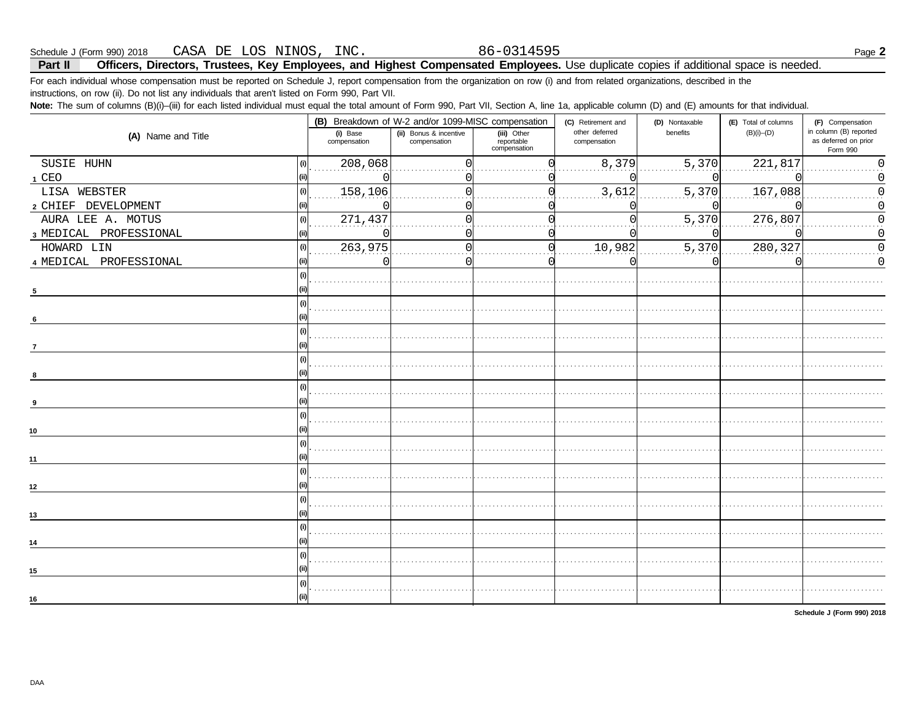| J (Form 990) 2018<br>Schedule J | NINOS<br>$T \cap C$<br>DE<br>CASA<br>تان سا | INC . | 4EQE<br>$\sim$ $\sim$ $\sim$<br>86<br>UJ-<br>. | Page. |
|---------------------------------|---------------------------------------------|-------|------------------------------------------------|-------|
|                                 |                                             |       |                                                |       |

Part II **Officers, Directors, Trustees, Key Employees, and Highest Compensated Employees.** Use duplicate copies if additional space is needed.

For each individual whose compensation must be reported on Schedule J, report compensation from the organization on row (i) and from related organizations, described in the instructions, on row (ii). Do not list any individuals that aren't listed on Form 990, Part VII.

Note: The sum of columns (B)(i)–(iii) for each listed individual must equal the total amount of Form 990, Part VII, Section A, line 1a, applicable column (D) and (E) amounts for that individual.

| $\cdots$               |                        |                        |                                                                   | $\sim$ $\sim$ | $\sqrt{2}$<br>$\sqrt{2}$   |                                          |                                            |
|------------------------|------------------------|------------------------|-------------------------------------------------------------------|---------------|----------------------------|------------------------------------------|--------------------------------------------|
| (A) Name and Title     | (i) Base               | (ii) Bonus & incentive | (B) Breakdown of W-2 and/or 1099-MISC compensation<br>(iii) Other |               | (D) Nontaxable<br>benefits | (E) Total of columns<br>$(B)(i)$ – $(D)$ | (F) Compensation<br>in column (B) reported |
|                        | compensation           | compensation           | reportable<br>compensation                                        | compensation  |                            |                                          | as deferred on prior<br>Form 990           |
| SUSIE HUHN<br>(i)      | 208,068                |                        |                                                                   | 8,379         | 5,370                      | 221,817                                  |                                            |
| 1 CEO                  | (ii)                   |                        |                                                                   |               |                            |                                          | 0                                          |
| LISA WEBSTER<br>(i)    | 158,106                |                        |                                                                   | 3,612         | 5,370                      | 167,088                                  |                                            |
| 2 CHIEF DEVELOPMENT    |                        |                        |                                                                   |               |                            |                                          | 0                                          |
| AURA LEE A. MOTUS      | (i)<br>271,437         | $\Omega$               |                                                                   |               | 5,370                      | 276,807                                  | 0                                          |
| 3 MEDICAL PROFESSIONAL | (ii)                   |                        |                                                                   |               |                            |                                          | 0                                          |
| HOWARD LIN             | $\vert$ (i)<br>263,975 | $\Omega$               |                                                                   | 10,982        | [5, 370]                   | 280, 327                                 | $\Omega$                                   |
| 4 MEDICAL PROFESSIONAL |                        |                        |                                                                   |               |                            |                                          | $\Omega$                                   |
|                        | (i)                    |                        |                                                                   |               |                            |                                          |                                            |
| 5                      |                        |                        |                                                                   |               |                            |                                          |                                            |
|                        |                        |                        |                                                                   |               |                            |                                          |                                            |
| 6                      |                        |                        |                                                                   |               |                            |                                          |                                            |
|                        |                        |                        |                                                                   |               |                            |                                          |                                            |
|                        |                        |                        |                                                                   |               |                            |                                          |                                            |
|                        |                        |                        |                                                                   |               |                            |                                          |                                            |
|                        |                        |                        |                                                                   |               |                            |                                          |                                            |
|                        |                        |                        |                                                                   |               |                            |                                          |                                            |
|                        |                        |                        |                                                                   |               |                            |                                          |                                            |
|                        |                        |                        |                                                                   |               |                            |                                          |                                            |
| 10                     |                        |                        |                                                                   |               |                            |                                          |                                            |
|                        |                        |                        |                                                                   |               |                            |                                          |                                            |
| 11                     |                        |                        |                                                                   |               |                            |                                          |                                            |
|                        |                        |                        |                                                                   |               |                            |                                          |                                            |
| 12                     |                        |                        |                                                                   |               |                            |                                          |                                            |
|                        | (i)                    |                        |                                                                   |               |                            |                                          |                                            |
| 13                     |                        |                        |                                                                   |               |                            |                                          |                                            |
|                        | (i)                    |                        |                                                                   |               |                            |                                          |                                            |
| 14                     |                        |                        |                                                                   |               |                            |                                          |                                            |
|                        |                        |                        |                                                                   |               |                            |                                          |                                            |
| 15                     |                        |                        |                                                                   |               |                            |                                          |                                            |
|                        |                        |                        |                                                                   |               |                            |                                          |                                            |
| 16                     |                        |                        |                                                                   |               |                            |                                          |                                            |

**Schedule J (Form 990) 2018**

86-0314595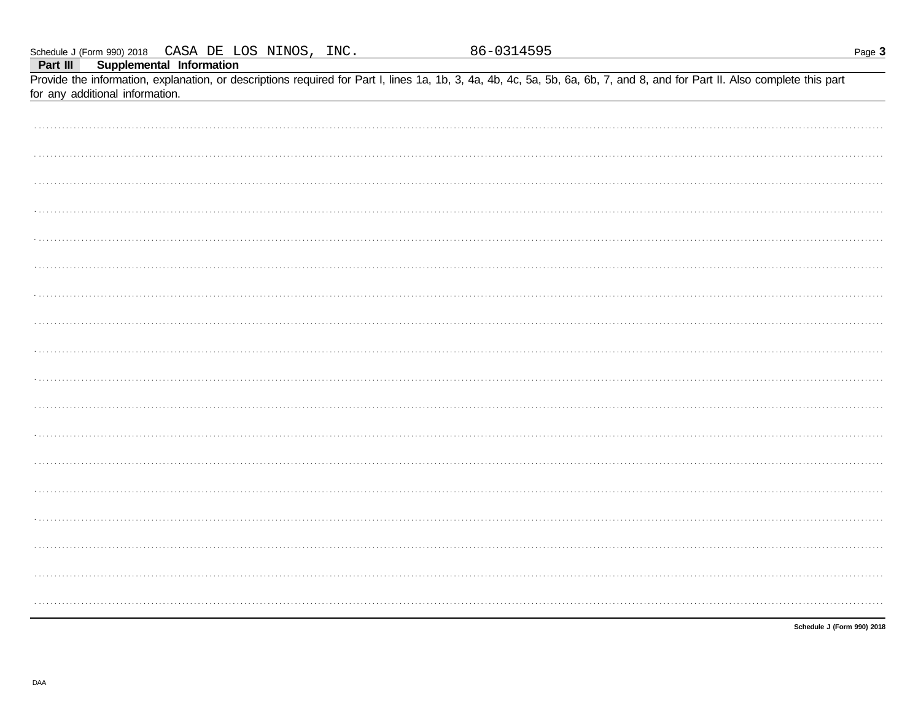|                                 | Schedule J (Form 990) 2018 CASA DE LOS NINOS, INC.<br>Part III Supplemental Information |  | 86-0314595 |  |                                                                                                                                                                            | Page 3 |
|---------------------------------|-----------------------------------------------------------------------------------------|--|------------|--|----------------------------------------------------------------------------------------------------------------------------------------------------------------------------|--------|
| for any additional information. |                                                                                         |  |            |  | Provide the information, explanation, or descriptions required for Part I, lines 1a, 1b, 3, 4a, 4b, 4c, 5a, 5b, 6a, 6b, 7, and 8, and for Part II. Also complete this part |        |
|                                 |                                                                                         |  |            |  |                                                                                                                                                                            |        |
|                                 |                                                                                         |  |            |  |                                                                                                                                                                            |        |
|                                 |                                                                                         |  |            |  |                                                                                                                                                                            |        |
|                                 |                                                                                         |  |            |  |                                                                                                                                                                            |        |
|                                 |                                                                                         |  |            |  |                                                                                                                                                                            |        |
|                                 |                                                                                         |  |            |  |                                                                                                                                                                            |        |
|                                 |                                                                                         |  |            |  |                                                                                                                                                                            |        |
|                                 |                                                                                         |  |            |  |                                                                                                                                                                            |        |
|                                 |                                                                                         |  |            |  |                                                                                                                                                                            |        |
|                                 |                                                                                         |  |            |  |                                                                                                                                                                            |        |
|                                 |                                                                                         |  |            |  |                                                                                                                                                                            |        |
|                                 |                                                                                         |  |            |  |                                                                                                                                                                            |        |
|                                 |                                                                                         |  |            |  |                                                                                                                                                                            |        |
|                                 |                                                                                         |  |            |  |                                                                                                                                                                            |        |
|                                 |                                                                                         |  |            |  |                                                                                                                                                                            |        |
|                                 |                                                                                         |  |            |  |                                                                                                                                                                            |        |
|                                 |                                                                                         |  |            |  |                                                                                                                                                                            |        |
|                                 |                                                                                         |  |            |  |                                                                                                                                                                            |        |
|                                 |                                                                                         |  |            |  |                                                                                                                                                                            |        |
|                                 |                                                                                         |  |            |  |                                                                                                                                                                            |        |
|                                 |                                                                                         |  |            |  |                                                                                                                                                                            |        |
|                                 |                                                                                         |  |            |  |                                                                                                                                                                            |        |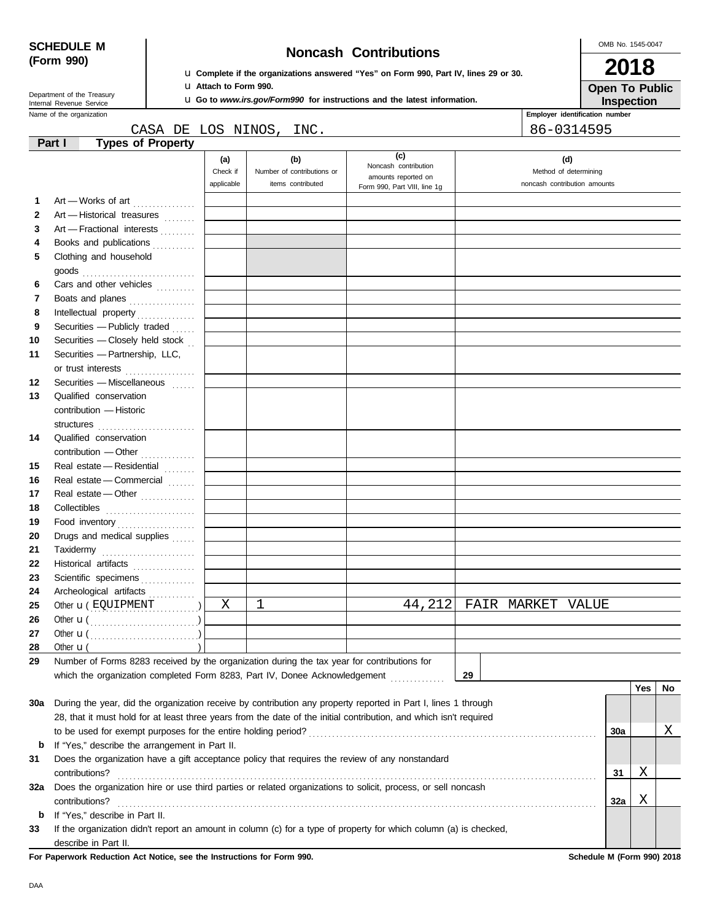DAA

Department of the Treasury<br>Internal Revenue Service

# **SCHEDULE M Noncash Contributions**

u **Complete if the organizations answered "Yes" on Form 990, Part IV, lines 29 or 30.** u **Go to** *www.irs.gov/Form990* **for instructions and the latest information.** u **Attach to Form 990.**

**Open To Public**

| oectiol<br>ารเ |  |
|----------------|--|
|                |  |

|  |  |  | CASA DE LOS NINOS, INC. |  | $ 86 - 0314595$ |
|--|--|--|-------------------------|--|-----------------|
|--|--|--|-------------------------|--|-----------------|

|          | Part I               | <b>Types of Property</b>                                                                                           |            |                            |                                             |    |             |                              |     |     |    |
|----------|----------------------|--------------------------------------------------------------------------------------------------------------------|------------|----------------------------|---------------------------------------------|----|-------------|------------------------------|-----|-----|----|
|          |                      |                                                                                                                    | (a)        | (b)                        | (c)                                         |    |             | (d)                          |     |     |    |
|          |                      |                                                                                                                    | Check if   | Number of contributions or | Noncash contribution<br>amounts reported on |    |             | Method of determining        |     |     |    |
|          |                      |                                                                                                                    | applicable | items contributed          | Form 990, Part VIII, line 1g                |    |             | noncash contribution amounts |     |     |    |
| 1        |                      | Art - Works of art                                                                                                 |            |                            |                                             |    |             |                              |     |     |    |
| 2        |                      | Art - Historical treasures                                                                                         |            |                            |                                             |    |             |                              |     |     |    |
| 3        |                      | Art - Fractional interests                                                                                         |            |                            |                                             |    |             |                              |     |     |    |
| 4        |                      | Books and publications                                                                                             |            |                            |                                             |    |             |                              |     |     |    |
| 5        |                      | Clothing and household                                                                                             |            |                            |                                             |    |             |                              |     |     |    |
|          |                      | goods $\ldots \ldots \ldots \ldots \ldots \ldots \ldots \ldots$                                                    |            |                            |                                             |    |             |                              |     |     |    |
| 6        |                      | Cars and other vehicles                                                                                            |            |                            |                                             |    |             |                              |     |     |    |
| 7        |                      | Boats and planes                                                                                                   |            |                            |                                             |    |             |                              |     |     |    |
| 8        |                      | Intellectual property                                                                                              |            |                            |                                             |    |             |                              |     |     |    |
| 9        |                      | Securities - Publicly traded                                                                                       |            |                            |                                             |    |             |                              |     |     |    |
| 10       |                      | Securities - Closely held stock                                                                                    |            |                            |                                             |    |             |                              |     |     |    |
| 11       |                      | Securities - Partnership, LLC,                                                                                     |            |                            |                                             |    |             |                              |     |     |    |
|          |                      | or trust interests                                                                                                 |            |                            |                                             |    |             |                              |     |     |    |
| 12       |                      | Securities - Miscellaneous                                                                                         |            |                            |                                             |    |             |                              |     |     |    |
| 13       |                      | Qualified conservation                                                                                             |            |                            |                                             |    |             |                              |     |     |    |
|          |                      | contribution - Historic                                                                                            |            |                            |                                             |    |             |                              |     |     |    |
|          |                      |                                                                                                                    |            |                            |                                             |    |             |                              |     |     |    |
| 14       |                      | Qualified conservation                                                                                             |            |                            |                                             |    |             |                              |     |     |    |
|          |                      | contribution - Other                                                                                               |            |                            |                                             |    |             |                              |     |     |    |
| 15       |                      | .<br>Real estate - Residential                                                                                     |            |                            |                                             |    |             |                              |     |     |    |
|          |                      |                                                                                                                    |            |                            |                                             |    |             |                              |     |     |    |
| 16       |                      | Real estate - Commercial                                                                                           |            |                            |                                             |    |             |                              |     |     |    |
| 17       |                      | Real estate - Other                                                                                                |            |                            |                                             |    |             |                              |     |     |    |
| 18       | Collectibles         |                                                                                                                    |            |                            |                                             |    |             |                              |     |     |    |
| 19       |                      | Food inventory                                                                                                     |            |                            |                                             |    |             |                              |     |     |    |
| 20       |                      | Drugs and medical supplies                                                                                         |            |                            |                                             |    |             |                              |     |     |    |
| 21       | Taxidermy            |                                                                                                                    |            |                            |                                             |    |             |                              |     |     |    |
| 22       |                      | Historical artifacts                                                                                               |            |                            |                                             |    |             |                              |     |     |    |
| 23       |                      | Scientific specimens                                                                                               |            |                            |                                             |    |             |                              |     |     |    |
| 24       |                      | Archeological artifacts                                                                                            | Χ          | 1                          | 44,212                                      |    |             |                              |     |     |    |
| 25       |                      | Other <b>u</b> (EQUIPMENT                                                                                          |            |                            |                                             |    | FAIR MARKET | VALUE                        |     |     |    |
| 26       |                      | Other $\mathbf{u}$ (                                                                                               |            |                            |                                             |    |             |                              |     |     |    |
| 27       |                      |                                                                                                                    |            |                            |                                             |    |             |                              |     |     |    |
| 28<br>29 | Other $\mathbf{u}$ ( | Number of Forms 8283 received by the organization during the tax year for contributions for                        |            |                            |                                             |    |             |                              |     |     |    |
|          |                      | which the organization completed Form 8283, Part IV, Donee Acknowledgement                                         |            |                            |                                             | 29 |             |                              |     |     |    |
|          |                      |                                                                                                                    |            |                            |                                             |    |             |                              |     | Yes | No |
| 30a      |                      | During the year, did the organization receive by contribution any property reported in Part I, lines 1 through     |            |                            |                                             |    |             |                              |     |     |    |
|          |                      |                                                                                                                    |            |                            |                                             |    |             |                              |     |     |    |
|          |                      | 28, that it must hold for at least three years from the date of the initial contribution, and which isn't required |            |                            |                                             |    |             |                              |     |     |    |
|          |                      | to be used for exempt purposes for the entire holding period?                                                      |            |                            |                                             |    |             |                              | 30a |     | Χ  |
| b        |                      | If "Yes," describe the arrangement in Part II.                                                                     |            |                            |                                             |    |             |                              |     |     |    |
| 31       |                      | Does the organization have a gift acceptance policy that requires the review of any nonstandard                    |            |                            |                                             |    |             |                              |     |     |    |
|          | contributions?       |                                                                                                                    |            |                            |                                             |    |             |                              | 31  | Χ   |    |
| 32a      |                      | Does the organization hire or use third parties or related organizations to solicit, process, or sell noncash      |            |                            |                                             |    |             |                              |     |     |    |
|          | contributions?       |                                                                                                                    |            |                            |                                             |    |             |                              | 32a | Χ   |    |
| b        |                      | If "Yes," describe in Part II.                                                                                     |            |                            |                                             |    |             |                              |     |     |    |
| 33       |                      | If the organization didn't report an amount in column (c) for a type of property for which column (a) is checked,  |            |                            |                                             |    |             |                              |     |     |    |
|          |                      | describe in Part II.                                                                                               |            |                            |                                             |    |             |                              |     |     |    |

**For Paperwork Reduction Act Notice, see the Instructions for Form 990. Schedule M (Form 990) 2018**

Name of the organization **Employer identification number Employer identification number** 

| .      |  |
|--------|--|
| n 990) |  |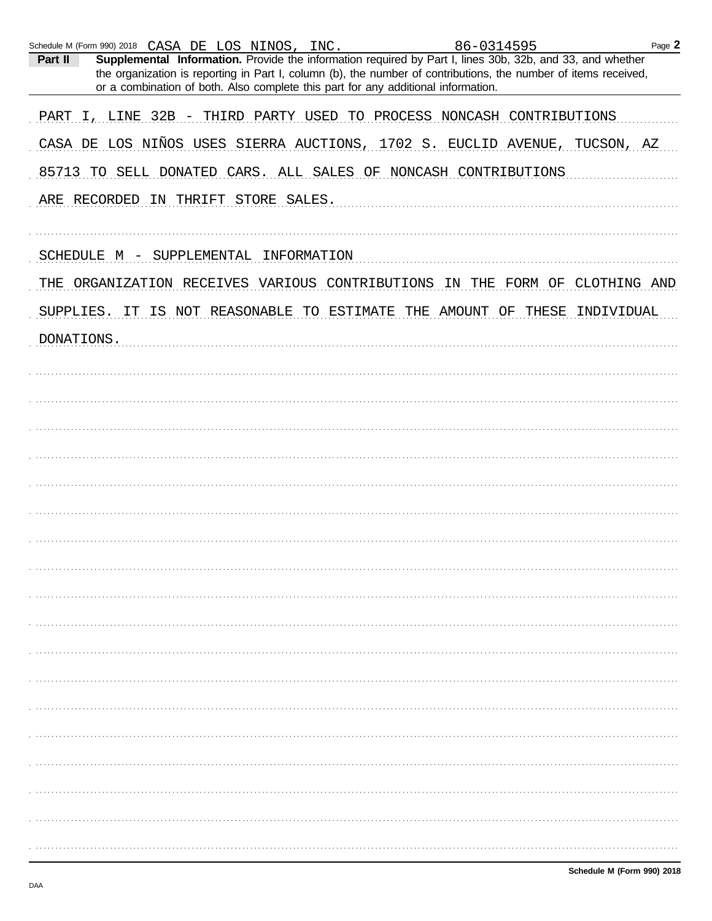| Part II    | Schedule M (Form 990) 2018 CASA DE LOS NINOS, INC. | or a combination of both. Also complete this part for any additional information. | 86-0314595<br>Supplemental Information. Provide the information required by Part I, lines 30b, 32b, and 33, and whether<br>the organization is reporting in Part I, column (b), the number of contributions, the number of items received, | Page 2     |
|------------|----------------------------------------------------|-----------------------------------------------------------------------------------|--------------------------------------------------------------------------------------------------------------------------------------------------------------------------------------------------------------------------------------------|------------|
|            |                                                    |                                                                                   | PART I, LINE 32B - THIRD PARTY USED TO PROCESS NONCASH CONTRIBUTIONS                                                                                                                                                                       |            |
|            |                                                    |                                                                                   | CASA DE LOS NIÑOS USES SIERRA AUCTIONS, 1702 S. EUCLID AVENUE, TUCSON, AZ                                                                                                                                                                  |            |
|            |                                                    | 85713 TO SELL DONATED CARS. ALL SALES OF NONCASH CONTRIBUTIONS                    |                                                                                                                                                                                                                                            |            |
|            | ARE RECORDED IN THRIFT STORE SALES.                |                                                                                   |                                                                                                                                                                                                                                            |            |
|            | SCHEDULE M - SUPPLEMENTAL                          | INFORMATION                                                                       |                                                                                                                                                                                                                                            |            |
|            |                                                    | THE ORGANIZATION RECEIVES VARIOUS CONTRIBUTIONS                                   | IN THE FORM OF CLOTHING AND                                                                                                                                                                                                                |            |
|            |                                                    | SUPPLIES. IT IS NOT REASONABLE TO ESTIMATE THE AMOUNT OF THESE                    |                                                                                                                                                                                                                                            | INDIVIDUAL |
| DONATIONS. |                                                    |                                                                                   |                                                                                                                                                                                                                                            |            |
|            |                                                    |                                                                                   |                                                                                                                                                                                                                                            |            |
|            |                                                    |                                                                                   |                                                                                                                                                                                                                                            |            |
|            |                                                    |                                                                                   |                                                                                                                                                                                                                                            |            |
|            |                                                    |                                                                                   |                                                                                                                                                                                                                                            |            |
|            |                                                    |                                                                                   |                                                                                                                                                                                                                                            |            |
|            |                                                    |                                                                                   |                                                                                                                                                                                                                                            |            |
|            |                                                    |                                                                                   |                                                                                                                                                                                                                                            |            |
|            |                                                    |                                                                                   |                                                                                                                                                                                                                                            |            |
|            |                                                    |                                                                                   |                                                                                                                                                                                                                                            |            |
|            |                                                    |                                                                                   |                                                                                                                                                                                                                                            |            |
|            |                                                    |                                                                                   |                                                                                                                                                                                                                                            |            |
|            |                                                    |                                                                                   |                                                                                                                                                                                                                                            |            |
|            |                                                    |                                                                                   |                                                                                                                                                                                                                                            |            |
|            |                                                    |                                                                                   |                                                                                                                                                                                                                                            |            |
|            |                                                    |                                                                                   |                                                                                                                                                                                                                                            |            |
|            |                                                    |                                                                                   |                                                                                                                                                                                                                                            |            |
|            |                                                    |                                                                                   |                                                                                                                                                                                                                                            |            |
|            |                                                    |                                                                                   |                                                                                                                                                                                                                                            |            |
|            |                                                    |                                                                                   |                                                                                                                                                                                                                                            |            |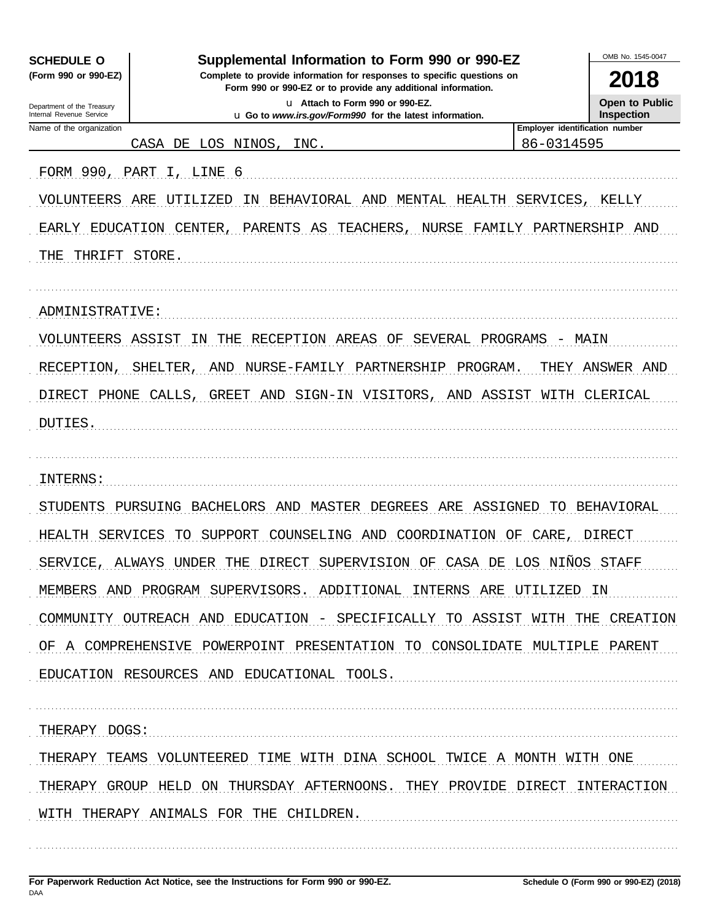| <b>SCHEDULE O</b>                                    | Supplemental Information to Form 990 or 990-EZ                                                                                         |                                | OMB No. 1545-0047     |
|------------------------------------------------------|----------------------------------------------------------------------------------------------------------------------------------------|--------------------------------|-----------------------|
| (Form 990 or 990-EZ)                                 | Complete to provide information for responses to specific questions on<br>Form 990 or 990-EZ or to provide any additional information. |                                | 2018                  |
| Department of the Treasury                           | u Attach to Form 990 or 990-EZ.                                                                                                        |                                | <b>Open to Public</b> |
| Internal Revenue Service<br>Name of the organization | u Go to www.irs.gov/Form990 for the latest information.                                                                                | Employer identification number | <b>Inspection</b>     |
|                                                      | LOS NINOS,<br>INC.<br>CASA DE                                                                                                          | 86-0314595                     |                       |
| FORM 990,                                            | PART<br>6<br>LINE<br>I                                                                                                                 |                                |                       |
| VOLUNTEERS                                           | ARE<br>UTILIZED<br>ΙN<br>BEHAVIORAL<br>AND<br>MENTAL<br>HEALTH                                                                         | SERVICES,                      | KELLY                 |
| EDUCATION<br>EARLY                                   | CENTER<br>PARENTS<br>TEACHERS<br>NURSE<br>AS<br>FAMILY                                                                                 |                                | PARTNERSHIP AND       |
| THRIFT<br>THE                                        | STORE.                                                                                                                                 |                                |                       |
| ADMINISTRATIVE:                                      |                                                                                                                                        |                                |                       |
| <b>VOLUNTEERS</b>                                    | ASSIST<br>THE<br>RECEPTION<br>AREAS<br>ΟF<br>SEVERAL<br>ΙN                                                                             | PROGRAMS                       | MAIN                  |
| RECEPTION,                                           | <b>SHELTER</b><br>NURSE-FAMILY<br>PARTNERSHIP<br>PROGRAM.<br>AND                                                                       | THEY                           | ANSWER AND            |
| <b>DIRECT</b><br>PHONE                               | CALLS<br><b>GREET</b><br>AND<br>SIGN-IN VISITORS,<br>ASSIST<br>AND                                                                     | WITH                           | CLERICAL              |
| DUTIES.                                              |                                                                                                                                        |                                |                       |
| INTERNS:                                             |                                                                                                                                        |                                |                       |
| <b>STUDENTS</b>                                      | MASTER<br>PURSUING<br><b>BACHELORS</b><br>AND<br>DEGREES<br>ARE<br>ASSIGNED                                                            | TО                             | BEHAVIORAL            |
| HEALTH                                               | SUPPORT<br>COUNSELING<br>AND<br>COORDINATION<br>SERVICES<br>TО                                                                         | CARE<br>ΟF                     | DIRECT                |
|                                                      | SERVICE, ALWAYS UNDER THE DIRECT SUPERVISION OF CASA DE LOS NIÑOS STAFF                                                                |                                |                       |
|                                                      | MEMBERS AND PROGRAM SUPERVISORS. ADDITIONAL INTERNS ARE UTILIZED IN                                                                    |                                |                       |
|                                                      | COMMUNITY OUTREACH AND EDUCATION - SPECIFICALLY TO ASSIST WITH THE CREATION                                                            |                                |                       |
|                                                      | OF A COMPREHENSIVE POWERPOINT PRESENTATION TO CONSOLIDATE MULTIPLE PARENT                                                              |                                |                       |
|                                                      | EDUCATION RESOURCES AND EDUCATIONAL TOOLS.                                                                                             |                                |                       |
|                                                      |                                                                                                                                        |                                |                       |
| THERAPY DOGS:                                        |                                                                                                                                        |                                |                       |
|                                                      | THERAPY TEAMS VOLUNTEERED TIME WITH DINA SCHOOL TWICE A MONTH WITH ONE                                                                 |                                |                       |
|                                                      | THERAPY GROUP HELD ON THURSDAY AFTERNOONS. THEY PROVIDE DIRECT INTERACTION                                                             |                                |                       |
|                                                      | WITH THERAPY ANIMALS FOR THE CHILDREN.                                                                                                 |                                |                       |
|                                                      |                                                                                                                                        |                                |                       |
|                                                      |                                                                                                                                        |                                |                       |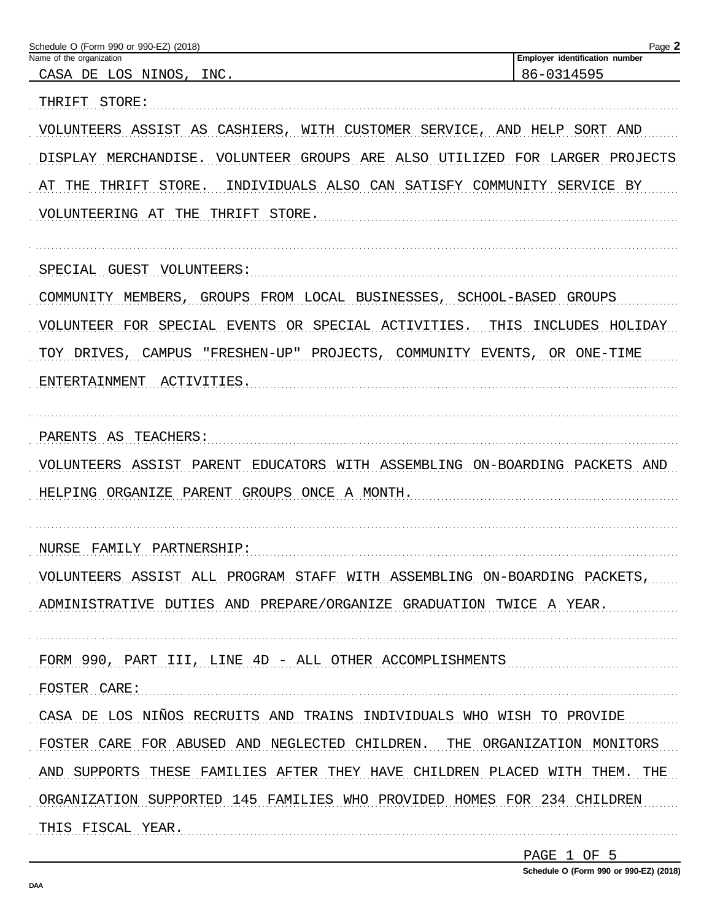| Schedule O (Form 990 or 990-EZ) (2018)<br>Name of the organization              | Page 2<br>Employer identification number |
|---------------------------------------------------------------------------------|------------------------------------------|
| CASA DE LOS NINOS,<br>INC.                                                      | 86-0314595                               |
| THRIFT STORE:                                                                   |                                          |
| VOLUNTEERS ASSIST AS CASHIERS,<br>WITH CUSTOMER SERVICE,                        | AND HELP SORT AND                        |
| VOLUNTEER GROUPS ARE ALSO UTILIZED FOR LARGER PROJECTS<br>DISPLAY MERCHANDISE.  |                                          |
| THRIFT STORE.<br>INDIVIDUALS ALSO CAN SATISFY COMMUNITY SERVICE BY<br>THE<br>AТ |                                          |
| VOLUNTEERING AT THE<br>THRIFT STORE.                                            |                                          |
| SPECIAL GUEST VOLUNTEERS:                                                       |                                          |
| COMMUNITY MEMBERS, GROUPS FROM LOCAL BUSINESSES, SCHOOL-BASED GROUPS            |                                          |
| VOLUNTEER FOR SPECIAL EVENTS OR SPECIAL ACTIVITIES.                             | INCLUDES HOLIDAY<br>THIS                 |
| CAMPUS<br>"FRESHEN-UP" PROJECTS, COMMUNITY EVENTS, OR ONE-TIME<br>TOY DRIVES,   |                                          |
| ENTERTAINMENT<br>ACTIVITIES.                                                    |                                          |
| TEACHERS:<br>PARENTS AS                                                         |                                          |
| EDUCATORS WITH ASSEMBLING ON-BOARDING PACKETS AND<br>VOLUNTEERS ASSIST PARENT   |                                          |
| HELPING ORGANIZE PARENT GROUPS ONCE A MONTH.                                    |                                          |
|                                                                                 |                                          |
| NURSE<br>FAMILY PARTNERSHIP:                                                    |                                          |
| VOLUNTEERS ASSIST ALL PROGRAM STAFF WITH ASSEMBLING ON-BOARDING PACKETS,        |                                          |
| ADMINISTRATIVE DUTIES AND PREPARE/ORGANIZE GRADUATION TWICE A YEAR.             |                                          |
| FORM 990, PART III, LINE 4D - ALL OTHER ACCOMPLISHMENTS                         |                                          |
| FOSTER CARE:                                                                    |                                          |
| CASA DE LOS NIÑOS RECRUITS AND TRAINS INDIVIDUALS WHO WISH TO PROVIDE           |                                          |
| FOSTER CARE FOR ABUSED AND NEGLECTED CHILDREN. THE ORGANIZATION MONITORS        |                                          |
| AND SUPPORTS THESE FAMILIES AFTER THEY HAVE CHILDREN PLACED WITH THEM. THE      |                                          |
| ORGANIZATION SUPPORTED 145 FAMILIES WHO PROVIDED HOMES FOR 234 CHILDREN         |                                          |
| THIS FISCAL YEAR.                                                               |                                          |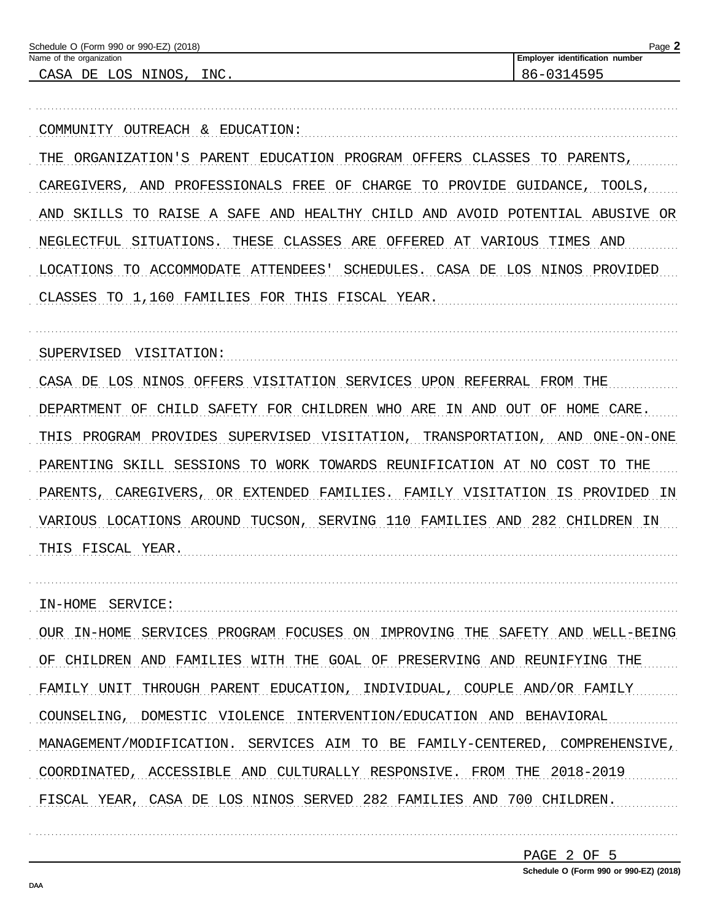| Schedule O (Form 990 or 990-EZ) (2018) | Page $\blacktriangle$                 |
|----------------------------------------|---------------------------------------|
| Name of the organization               | <b>Employer identification number</b> |
| INC.<br>NINOS<br>CASA<br>DE<br>LOS     | 14595<br>$86 - 6$                     |

COMMUNITY OUTREACH & EDUCATION: THE ORGANIZATION'S PARENT EDUCATION PROGRAM OFFERS CLASSES TO PARENTS, CAREGIVERS, AND PROFESSIONALS FREE OF CHARGE TO PROVIDE GUIDANCE, TOOLS,

AND SKILLS TO RAISE A SAFE AND HEALTHY CHILD AND AVOID POTENTIAL ABUSIVE OR NEGLECTFUL SITUATIONS. THESE CLASSES ARE OFFERED AT VARIOUS TIMES AND LOCATIONS TO ACCOMMODATE ATTENDEES' SCHEDULES. CASA DE LOS NINOS PROVIDED CLASSES TO 1,160 FAMILIES FOR THIS FISCAL YEAR.

SUPERVISED VISITATION:

CASA DE LOS NINOS OFFERS VISITATION SERVICES UPON REFERRAL FROM THE DEPARTMENT OF CHILD SAFETY FOR CHILDREN WHO ARE IN AND OUT OF HOME CARE. THIS PROGRAM PROVIDES SUPERVISED VISITATION, TRANSPORTATION, AND ONE-ON-ONE PARENTING SKILL SESSIONS TO WORK TOWARDS REUNIFICATION AT NO COST TO THE PARENTS, CAREGIVERS, OR EXTENDED FAMILIES. FAMILY VISITATION IS PROVIDED IN VARIOUS LOCATIONS AROUND TUCSON, SERVING 110 FAMILIES AND 282 CHILDREN IN THIS FISCAL YEAR.

 $IN-HOME$   $SERVICE:$ 

OUR IN-HOME SERVICES PROGRAM FOCUSES ON IMPROVING THE SAFETY AND WELL-BEING OF CHILDREN AND FAMILIES WITH THE GOAL OF PRESERVING AND REUNIFYING THE FAMILY UNIT THROUGH PARENT EDUCATION, INDIVIDUAL, COUPLE AND/OR FAMILY COUNSELING, DOMESTIC VIOLENCE INTERVENTION/EDUCATION AND BEHAVIORAL MANAGEMENT/MODIFICATION. SERVICES AIM TO BE FAMILY-CENTERED, COMPREHENSIVE, COORDINATED, ACCESSIBLE AND CULTURALLY RESPONSIVE. FROM THE 2018-2019 FISCAL YEAR, CASA DE LOS NINOS SERVED 282 FAMILIES AND 700 CHILDREN.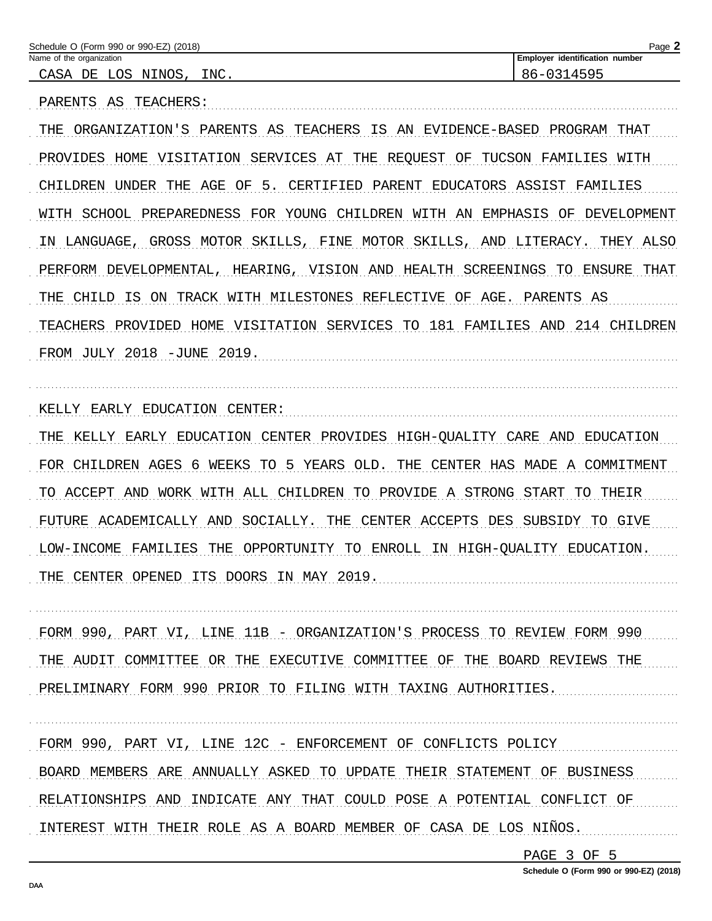| Schedule O (Form 990 or 990-EZ) (2018) | $P$ aqe $\blacktriangle$              |
|----------------------------------------|---------------------------------------|
| Name of the organization               | <b>Employer identification number</b> |
| INC.<br>NINOS<br>CASA<br>LOS.<br>DE    | 14595<br>86–1                         |

PARENTS AS TEACHERS: Marian March 1999 (1999) ARENTS AS TEACHERS:

THE ORGANIZATION'S PARENTS AS TEACHERS IS AN EVIDENCE-BASED PROGRAM THAT PROVIDES HOME VISITATION SERVICES AT THE REQUEST OF TUCSON FAMILIES WITH CHILDREN UNDER THE AGE OF 5. CERTIFIED PARENT EDUCATORS ASSIST FAMILIES WITH SCHOOL PREPAREDNESS FOR YOUNG CHILDREN WITH AN EMPHASIS OF DEVELOPMENT IN LANGUAGE, GROSS MOTOR SKILLS, FINE MOTOR SKILLS, AND LITERACY. THEY ALSO PERFORM DEVELOPMENTAL, HEARING, VISION AND HEALTH SCREENINGS TO ENSURE THAT THE CHILD IS ON TRACK WITH MILESTONES REFLECTIVE OF AGE. PARENTS AS TEACHERS PROVIDED HOME VISITATION SERVICES TO 181 FAMILIES AND 214 CHILDREN FROM JULY 2018 -JUNE 2019.

KELLY EARLY EDUCATION CENTER: MARIE AND ARRIVE AND ARRIVE AND ARRIVE AND ARRIVE AND ARRIVE AND ARRIVE AND ARRIVE AND ARRIVE AND ARRIVE AND ARRIVE AND ARRIVE AND ARRIVE AND ARRIVE AND ARRIVE AND ARRIVE AND ARRIVE AND ARRIVE

THE KELLY EARLY EDUCATION CENTER PROVIDES HIGH-QUALITY CARE AND EDUCATION FOR CHILDREN AGES 6 WEEKS TO 5 YEARS OLD. THE CENTER HAS MADE A COMMITMENT TO ACCEPT AND WORK WITH ALL CHILDREN TO PROVIDE A STRONG START TO THEIR FUTURE ACADEMICALLY AND SOCIALLY. THE CENTER ACCEPTS DES SUBSIDY TO GIVE LOW-INCOME FAMILIES THE OPPORTUNITY TO ENROLL IN HIGH-QUALITY EDUCATION. THE CENTER OPENED ITS DOORS IN MAY 2019.

FORM 990, PART VI, LINE 11B - ORGANIZATION'S PROCESS TO REVIEW FORM 990 THE AUDIT COMMITTEE OR THE EXECUTIVE COMMITTEE OF THE BOARD REVIEWS THE PRELIMINARY FORM 990 PRIOR TO FILING WITH TAXING AUTHORITIES.

FORM 990, PART VI, LINE 12C - ENFORCEMENT OF CONFLICTS POLICY BOARD MEMBERS ARE ANNUALLY ASKED TO UPDATE THEIR STATEMENT OF BUSINESS RELATIONSHIPS AND INDICATE ANY THAT COULD POSE A POTENTIAL CONFLICT OF INTEREST WITH THEIR ROLE AS A BOARD MEMBER OF CASA DE LOS NIÑOS.

PAGE 3 OF 5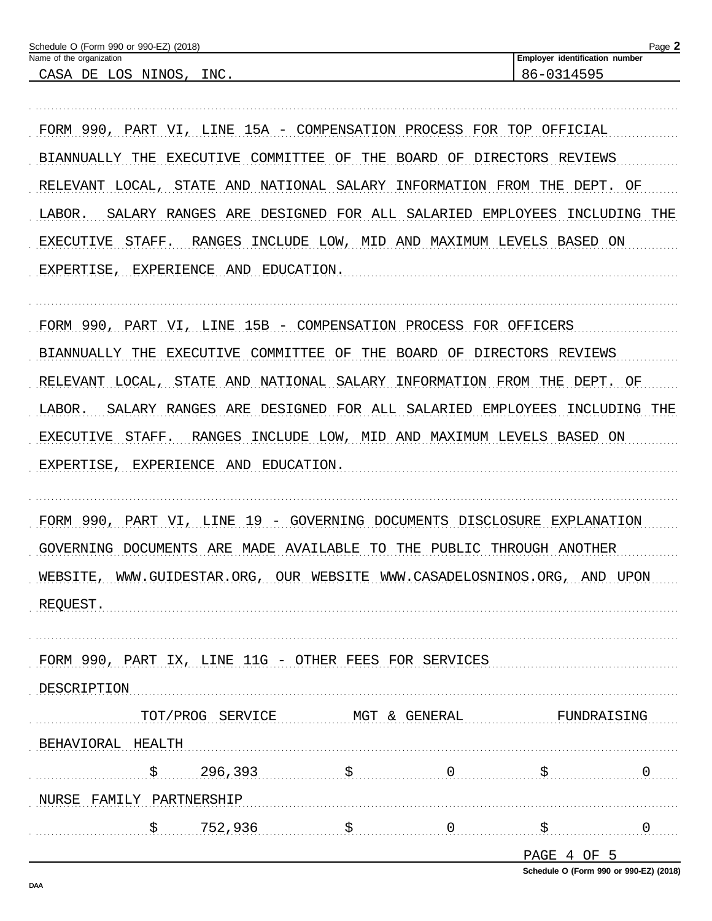| Schedule O (Form 990 or 990-EZ) (2018)<br>Name of the organization                   | Page 2<br>Employer identification number |
|--------------------------------------------------------------------------------------|------------------------------------------|
| INC.<br>CASA DE LOS NINOS,                                                           | 86-0314595                               |
|                                                                                      |                                          |
| FORM 990, PART VI, LINE 15A - COMPENSATION PROCESS FOR TOP OFFICIAL                  |                                          |
| EXECUTIVE<br>COMMITTEE<br>ΟF<br>THE<br>BOARD<br><b>BIANNUALLY</b><br>THE<br>OF       | DIRECTORS REVIEWS                        |
| RELEVANT LOCAL,<br>STATE AND NATIONAL<br>SALARY                                      | INFORMATION FROM THE<br>DEPT. OF         |
| LABOR.<br>SALARY RANGES ARE<br>DESIGNED<br>FOR ALL                                   | SALARIED EMPLOYEES<br>INCLUDING THE      |
| <b>EXECUTIVE</b><br>STAFF.<br>RANGES<br>INCLUDE LOW, MID AND MAXIMUM LEVELS BASED ON |                                          |
| EXPERIENCE AND EDUCATION.<br>EXPERTISE.                                              |                                          |
|                                                                                      |                                          |
| FORM 990, PART VI, LINE<br>15B - COMPENSATION PROCESS FOR OFFICERS                   |                                          |
| BIANNUALLY<br>THE<br>EXECUTIVE<br>COMMITTEE<br>ΟF<br>THE<br>BOARD<br>OF              | DIRECTORS REVIEWS                        |
| RELEVANT LOCAL,<br>STATE AND<br>NATIONAL<br>SALARY<br>INFORMATION                    | DEPT. OF<br>FROM<br>THE                  |
| LABOR.<br>SALARY RANGES<br>ARE<br>DESIGNED<br>FOR ALL<br>SALARIED                    | EMPLOYEES<br>INCLUDING THE               |
| EXECUTIVE<br>STAFF.<br>RANGES<br>INCLUDE LOW, MID AND MAXIMUM LEVELS BASED ON        |                                          |
| EXPERTISE, EXPERIENCE AND EDUCATION.                                                 |                                          |
|                                                                                      |                                          |
| FORM 990, PART VI, LINE 19 - GOVERNING DOCUMENTS DISCLOSURE EXPLANATION              |                                          |
| GOVERNING DOCUMENTS ARE MADE AVAILABLE TO THE PUBLIC THROUGH ANOTHER                 |                                          |
| WEBSITE, WWW.GUIDESTAR.ORG, OUR WEBSITE WWW.CASADELOSNINOS.ORG, AND UPON             |                                          |
| REQUEST.                                                                             |                                          |
|                                                                                      |                                          |
| FORM 990, PART IX, LINE 11G - OTHER FEES FOR SERVICES                                |                                          |
| DESCRIPTION                                                                          |                                          |
| TOT/PROG SERVICE MGT & GENERAL                                                       | FUNDRAISING                              |
| BEHAVIORAL HEALTH                                                                    |                                          |
|                                                                                      |                                          |

NURSE FAMILY PARTNERSHIP  $\frac{1}{5}$  752,936 5 0 5 0

> PAGE 4 OF 5 Schedule O (Form 990 or 990-EZ) (2018)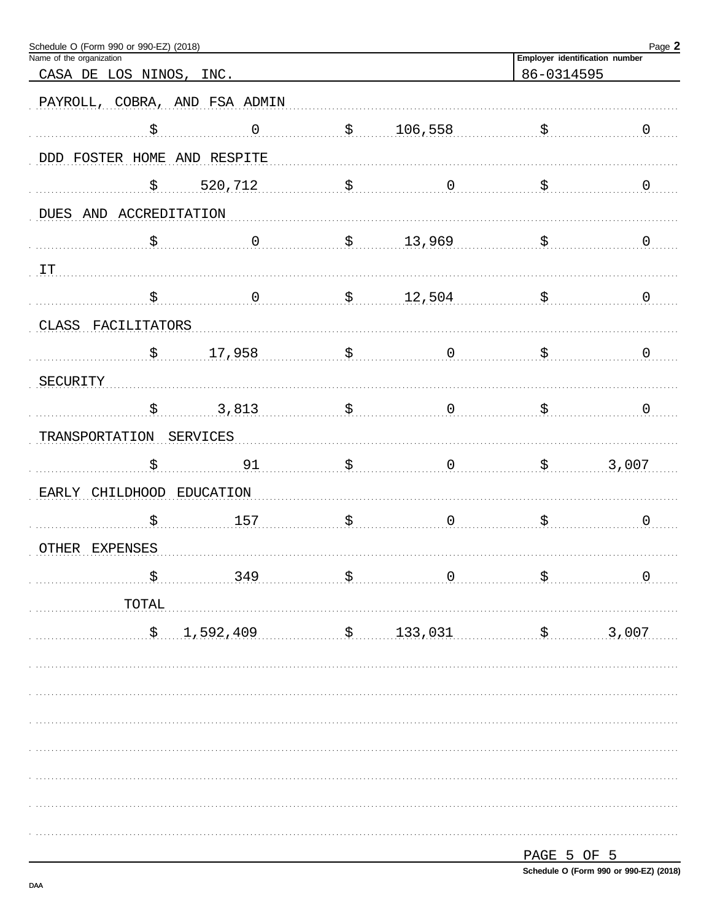| Schedule O (Form 990 or 990-EZ) (2018) |             |                  |                | Page 2                         |
|----------------------------------------|-------------|------------------|----------------|--------------------------------|
| Name of the organization               |             |                  |                | Employer identification number |
| CASA DE LOS NINOS, INC.                |             |                  |                | 86-0314595                     |
| PAYROLL, COBRA, AND FSA ADMIN          |             |                  |                |                                |
| \$                                     | $\mathsf 0$ | \$               | 106,558        | \$<br>$\overline{0}$           |
| DDD FOSTER HOME AND RESPITE            |             |                  |                |                                |
| \$                                     | 520,712     | \$               | $\mathsf 0$    | \$<br>$\overline{0}$           |
| DUES AND ACCREDITATION                 |             |                  |                |                                |
| \$                                     | 0           | \$               | 13,969         | \$<br>$\overline{0}$           |
| IT.                                    |             |                  |                |                                |
| \$                                     | $\mathsf 0$ | \$               | 12,504         | \$<br>$\mathbf 0$              |
| CLASS<br>FACILITATORS                  |             |                  |                |                                |
| \$                                     | 17,958      | \$               | $\mathbf 0$    | \$<br>$\overline{0}$           |
| SECURITY                               |             |                  |                |                                |
| \$                                     | 3,813       | \$               | $\mathsf 0$    | \$<br>$\overline{0}$           |
| TRANSPORTATION                         | SERVICES    |                  |                |                                |
| \$                                     | 91          | \$               | $\mathbf 0$    | \$<br>3,007                    |
| EARLY CHILDHOOD EDUCATION              |             |                  |                |                                |
| \$                                     | 157         | \$               | $\overline{0}$ | $\overline{0}$                 |
| OTHER EXPENSES                         |             |                  |                |                                |
| \$                                     | 349         | \$               | $\mathbf 0$    | \$<br>0                        |
| TOTAL                                  |             |                  |                |                                |
| $\boldsymbol{\mathsf{S}}$              | 1,592,409   | $\mathfrak{S}_1$ | 133,031        | \$<br>3,007                    |
|                                        |             |                  |                |                                |
|                                        |             |                  |                |                                |
|                                        |             |                  |                |                                |
|                                        |             |                  |                |                                |
|                                        |             |                  |                |                                |
|                                        |             |                  |                |                                |
|                                        |             |                  |                |                                |
|                                        |             |                  |                |                                |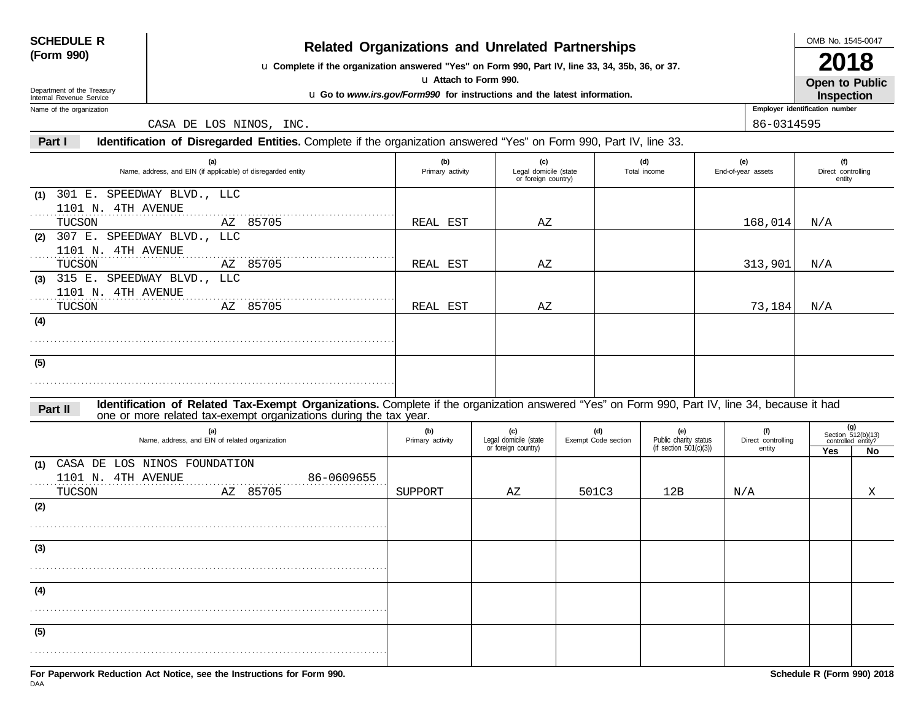# **SCHEDULE R**

# **(Form 990) Related Organizations and Unrelated Partnerships**

u **Complete if the organization answered "Yes" on Form 990, Part IV, line 33, 34, 35b, 36, or 37.**

u **Attach to Form 990.**

u **Go to** *www.irs.gov/Form990* **for instructions and the latest information.**

Department of the Treasury Internal Revenue Service Name of the organization

CASA DE LOS NINOS, INC. 86-0314595

## **Part I Identification of Disregarded Entities.** Complete if the organization answered "Yes" on Form 990, Part IV, line 33.

| (a)<br>Name, address, and EIN (if applicable) of disregarded entity                                                                                                                                                           | (b)<br>Primary activity | (c)<br>Legal domicile (state<br>or foreign country) |                            | (d)<br>Total income                                       | (e)<br>End-of-year assets           | (f)<br>Direct controlling<br>entity |                                                 |
|-------------------------------------------------------------------------------------------------------------------------------------------------------------------------------------------------------------------------------|-------------------------|-----------------------------------------------------|----------------------------|-----------------------------------------------------------|-------------------------------------|-------------------------------------|-------------------------------------------------|
| (1) 301 E. SPEEDWAY BLVD., LLC                                                                                                                                                                                                |                         |                                                     |                            |                                                           |                                     |                                     |                                                 |
| 1101 N. 4TH AVENUE<br>TUCSON<br>AZ 85705                                                                                                                                                                                      | REAL EST                |                                                     |                            |                                                           |                                     | N/A                                 |                                                 |
| (2) 307 E. SPEEDWAY BLVD., LLC                                                                                                                                                                                                |                         | ΑZ                                                  |                            |                                                           | 168,014                             |                                     |                                                 |
| 1101 N. 4TH AVENUE                                                                                                                                                                                                            |                         |                                                     |                            |                                                           |                                     |                                     |                                                 |
| TUCSON<br>AZ 85705                                                                                                                                                                                                            | REAL EST                | ΑZ                                                  |                            |                                                           | 313,901                             | N/A                                 |                                                 |
| (3) 315 E. SPEEDWAY BLVD., LLC<br>1101 N. 4TH AVENUE                                                                                                                                                                          |                         |                                                     |                            |                                                           |                                     |                                     |                                                 |
| TUCSON<br>AZ 85705                                                                                                                                                                                                            | REAL EST                | AZ                                                  |                            |                                                           | 73,184                              | N/A                                 |                                                 |
| (4)                                                                                                                                                                                                                           |                         |                                                     |                            |                                                           |                                     |                                     |                                                 |
| (5)                                                                                                                                                                                                                           |                         |                                                     |                            |                                                           |                                     |                                     |                                                 |
| Identification of Related Tax-Exempt Organizations. Complete if the organization answered "Yes" on Form 990, Part IV, line 34, because it had<br>Part II<br>one or more related tax-exempt organizations during the tax year. |                         |                                                     |                            |                                                           |                                     |                                     |                                                 |
| (a)<br>Name, address, and EIN of related organization                                                                                                                                                                         | (b)<br>Primary activity | (c)<br>Legal domicile (state<br>or foreign country) | (d)<br>Exempt Code section | (e)<br>Public charity status<br>(if section $501(c)(3)$ ) | (f)<br>Direct controlling<br>entity |                                     | (g)<br>Section 512(b)(13)<br>controlled entity? |
| (1) CASA DE LOS NINOS FOUNDATION                                                                                                                                                                                              |                         |                                                     |                            |                                                           |                                     | Yes                                 | <b>No</b>                                       |
| 1101 N. 4TH AVENUE<br>$\frac{86-0609655}{}$<br>AZ 85705<br>TUCSON                                                                                                                                                             | SUPPORT                 |                                                     |                            |                                                           |                                     |                                     |                                                 |
|                                                                                                                                                                                                                               |                         | ΑZ                                                  | 501C3                      | 12B                                                       | N/A                                 |                                     | X                                               |
| (2)                                                                                                                                                                                                                           |                         |                                                     |                            |                                                           |                                     |                                     |                                                 |
|                                                                                                                                                                                                                               |                         |                                                     |                            |                                                           |                                     |                                     |                                                 |
| (3)                                                                                                                                                                                                                           |                         |                                                     |                            |                                                           |                                     |                                     |                                                 |
|                                                                                                                                                                                                                               |                         |                                                     |                            |                                                           |                                     |                                     |                                                 |
| (4)                                                                                                                                                                                                                           |                         |                                                     |                            |                                                           |                                     |                                     |                                                 |
|                                                                                                                                                                                                                               |                         |                                                     |                            |                                                           |                                     |                                     |                                                 |
| (5)                                                                                                                                                                                                                           |                         |                                                     |                            |                                                           |                                     |                                     |                                                 |

OMB No. 1545-0047

**Open to Public 2018**

**Employer identification number Inspection**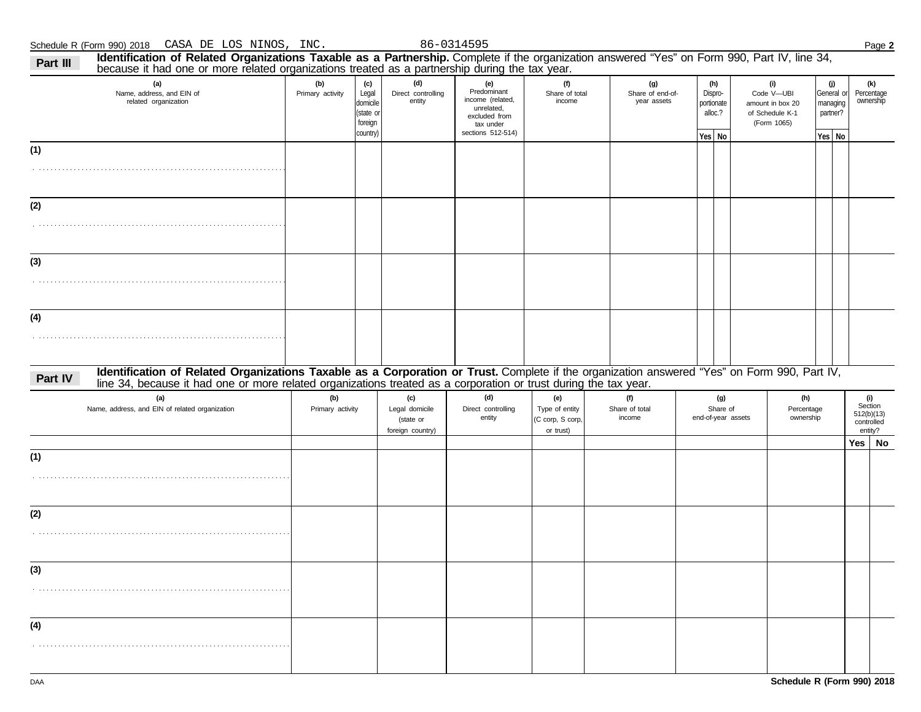| Part III | Identification of Related Organizations Taxable as a Partnership. Complete if the organization answered "Yes" on Form 990, Part IV, line 34,<br>because it had one or more related organizations treated as a partnership during the tax year.                   |                         |                                                             |                                                        |                                                                                                         |                                                        |                                        |                                                   |  |                                                                         |          |                                                |                                |
|----------|------------------------------------------------------------------------------------------------------------------------------------------------------------------------------------------------------------------------------------------------------------------|-------------------------|-------------------------------------------------------------|--------------------------------------------------------|---------------------------------------------------------------------------------------------------------|--------------------------------------------------------|----------------------------------------|---------------------------------------------------|--|-------------------------------------------------------------------------|----------|------------------------------------------------|--------------------------------|
|          | (a)<br>Name, address, and EIN of<br>related organization                                                                                                                                                                                                         | (b)<br>Primary activity | (c)<br>Legal<br>domicile<br>state or<br>foreign<br>country) | (d)<br>Direct controlling<br>entity                    | (e)<br>Predominant<br>income (related,<br>unrelated,<br>excluded from<br>tax under<br>sections 512-514) | (f)<br>Share of total<br>income                        | (g)<br>Share of end-of-<br>year assets | (h)<br>Dispro-<br>portionate<br>alloc.?<br>Yes No |  | (i)<br>Code V-UBI<br>amount in box 20<br>of Schedule K-1<br>(Form 1065) |          | General or<br>managing<br>partner?             | (k)<br>Percentage<br>ownership |
| (1)      |                                                                                                                                                                                                                                                                  |                         |                                                             |                                                        |                                                                                                         |                                                        |                                        |                                                   |  |                                                                         | Yes   No |                                                |                                |
|          |                                                                                                                                                                                                                                                                  |                         |                                                             |                                                        |                                                                                                         |                                                        |                                        |                                                   |  |                                                                         |          |                                                |                                |
| (2)      |                                                                                                                                                                                                                                                                  |                         |                                                             |                                                        |                                                                                                         |                                                        |                                        |                                                   |  |                                                                         |          |                                                |                                |
|          |                                                                                                                                                                                                                                                                  |                         |                                                             |                                                        |                                                                                                         |                                                        |                                        |                                                   |  |                                                                         |          |                                                |                                |
| (3)      |                                                                                                                                                                                                                                                                  |                         |                                                             |                                                        |                                                                                                         |                                                        |                                        |                                                   |  |                                                                         |          |                                                |                                |
|          |                                                                                                                                                                                                                                                                  |                         |                                                             |                                                        |                                                                                                         |                                                        |                                        |                                                   |  |                                                                         |          |                                                |                                |
| (4)      |                                                                                                                                                                                                                                                                  |                         |                                                             |                                                        |                                                                                                         |                                                        |                                        |                                                   |  |                                                                         |          |                                                |                                |
|          |                                                                                                                                                                                                                                                                  |                         |                                                             |                                                        |                                                                                                         |                                                        |                                        |                                                   |  |                                                                         |          |                                                |                                |
| Part IV  | Identification of Related Organizations Taxable as a Corporation or Trust. Complete if the organization answered "Yes" on Form 990, Part IV,<br>line 34, because it had one or more related organizations treated as a corporation or trust during the tax year. |                         |                                                             |                                                        |                                                                                                         |                                                        |                                        |                                                   |  |                                                                         |          |                                                |                                |
|          | (a)<br>Name, address, and EIN of related organization                                                                                                                                                                                                            | (b)<br>Primary activity |                                                             | (c)<br>Legal domicile<br>(state or<br>foreign country) | (d)<br>Direct controlling<br>entity                                                                     | (e)<br>Type of entity<br>(C corp, S corp,<br>or trust) | (f)<br>Share of total<br>income        | (g)<br>Share of<br>end-of-year assets             |  | (h)<br>Percentage<br>ownership                                          |          | Section<br>512(b)(13)<br>controlled<br>entity? | (i)                            |
| (1)      |                                                                                                                                                                                                                                                                  |                         |                                                             |                                                        |                                                                                                         |                                                        |                                        |                                                   |  |                                                                         |          | Yes   No                                       |                                |
|          |                                                                                                                                                                                                                                                                  |                         |                                                             |                                                        |                                                                                                         |                                                        |                                        |                                                   |  |                                                                         |          |                                                |                                |
|          |                                                                                                                                                                                                                                                                  |                         |                                                             |                                                        |                                                                                                         |                                                        |                                        |                                                   |  |                                                                         |          |                                                |                                |
| (2)      |                                                                                                                                                                                                                                                                  |                         |                                                             |                                                        |                                                                                                         |                                                        |                                        |                                                   |  |                                                                         |          |                                                |                                |
|          |                                                                                                                                                                                                                                                                  |                         |                                                             |                                                        |                                                                                                         |                                                        |                                        |                                                   |  |                                                                         |          |                                                |                                |
| (3)      |                                                                                                                                                                                                                                                                  |                         |                                                             |                                                        |                                                                                                         |                                                        |                                        |                                                   |  |                                                                         |          |                                                |                                |
|          |                                                                                                                                                                                                                                                                  |                         |                                                             |                                                        |                                                                                                         |                                                        |                                        |                                                   |  |                                                                         |          |                                                |                                |
| (4)      |                                                                                                                                                                                                                                                                  |                         |                                                             |                                                        |                                                                                                         |                                                        |                                        |                                                   |  |                                                                         |          |                                                |                                |
|          |                                                                                                                                                                                                                                                                  |                         |                                                             |                                                        |                                                                                                         |                                                        |                                        |                                                   |  |                                                                         |          |                                                |                                |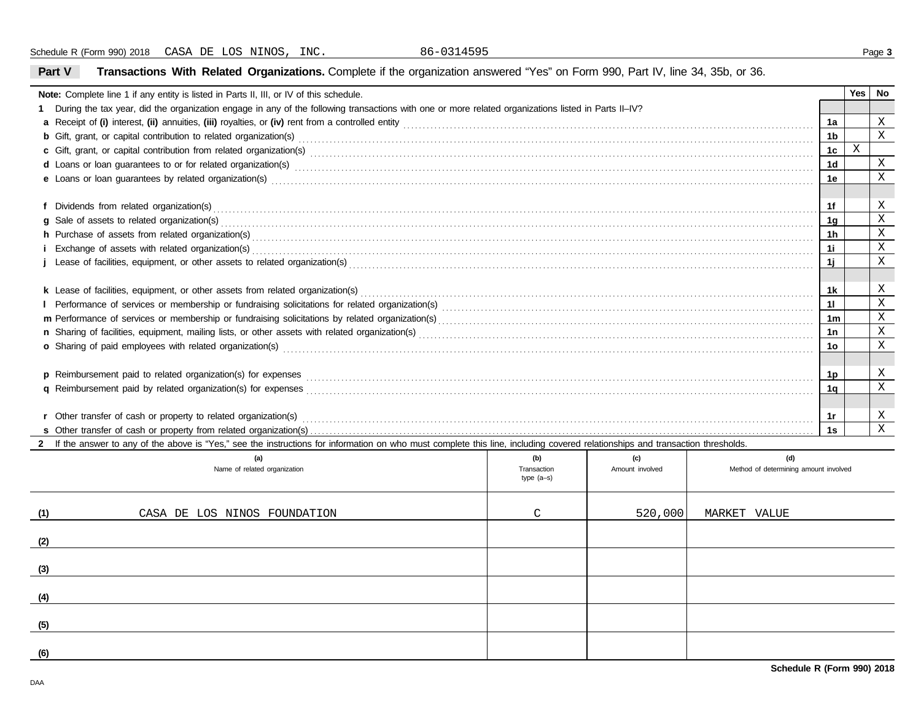## **Part V Transactions With Related Organizations.** Complete if the organization answered "Yes" on Form 990, Part IV, line 34, 35b, or 36.

|                                                                                                                                                                                                                                    | Note: Complete line 1 if any entity is listed in Parts II, III, or IV of this schedule.                                                                                                                                        |  |                        |              |                                  | Yes | <b>No</b>               |
|------------------------------------------------------------------------------------------------------------------------------------------------------------------------------------------------------------------------------------|--------------------------------------------------------------------------------------------------------------------------------------------------------------------------------------------------------------------------------|--|------------------------|--------------|----------------------------------|-----|-------------------------|
|                                                                                                                                                                                                                                    | During the tax year, did the organization engage in any of the following transactions with one or more related organizations listed in Parts II-IV?                                                                            |  |                        |              |                                  |     |                         |
|                                                                                                                                                                                                                                    |                                                                                                                                                                                                                                |  |                        |              |                                  |     |                         |
|                                                                                                                                                                                                                                    | b Gift, grant, or capital contribution to related organization(s) encourance contained and contained and contribution to related organization(s) encourance and contained and contained and contained and contained and contai |  |                        |              |                                  |     |                         |
|                                                                                                                                                                                                                                    |                                                                                                                                                                                                                                |  |                        |              | 1 <sub>b</sub><br>1 <sub>c</sub> | X   |                         |
|                                                                                                                                                                                                                                    | d Loans or loan guarantees to or for related organization(s) encourance contained and contained and contained and contained and contained and contained and contained and contained and contained and contained and contained  |  |                        |              |                                  |     |                         |
|                                                                                                                                                                                                                                    |                                                                                                                                                                                                                                |  |                        |              |                                  |     | $\,$ X                  |
|                                                                                                                                                                                                                                    |                                                                                                                                                                                                                                |  |                        |              |                                  |     |                         |
|                                                                                                                                                                                                                                    | f Dividends from related organization(s) encourance contains and contained a series of the Dividends from related organization(s) and contains a series of the Dividends from related organization(s) and contains a series of |  |                        |              | 1f                               |     | X                       |
|                                                                                                                                                                                                                                    | g Sale of assets to related organization(s) encourance contains and contains a set of assets to related organization(s) encourance contains a set of assets to related organization(s) encourance contains a set of a set of a |  |                        |              | 1q                               |     | $\mathbf X$             |
| h Purchase of assets from related organization(s) encourance contained and contained a set of assets from related organization(s)                                                                                                  |                                                                                                                                                                                                                                |  |                        |              |                                  |     | $\mathbf{X}$            |
|                                                                                                                                                                                                                                    |                                                                                                                                                                                                                                |  |                        |              | 1i                               |     | $\mathbf X$             |
|                                                                                                                                                                                                                                    |                                                                                                                                                                                                                                |  |                        |              |                                  |     | X                       |
|                                                                                                                                                                                                                                    |                                                                                                                                                                                                                                |  |                        |              |                                  |     |                         |
|                                                                                                                                                                                                                                    |                                                                                                                                                                                                                                |  |                        |              |                                  |     | $\mathbf{X}$            |
|                                                                                                                                                                                                                                    |                                                                                                                                                                                                                                |  |                        |              |                                  |     | $\mathbf{X}$            |
|                                                                                                                                                                                                                                    |                                                                                                                                                                                                                                |  |                        |              |                                  |     | $\,$ X                  |
|                                                                                                                                                                                                                                    |                                                                                                                                                                                                                                |  |                        |              |                                  |     | $\rm X$                 |
| o Sharing of paid employees with related organization(s) contact the contract contact the contract contact contract contract contract contract contract contract contract contact contract contract contract contract contract     |                                                                                                                                                                                                                                |  |                        |              | 10                               |     | X                       |
|                                                                                                                                                                                                                                    |                                                                                                                                                                                                                                |  |                        |              |                                  |     |                         |
| p Reimbursement paid to related organization(s) for expenses <b>construction and construction</b> construction and a reference or construction of the set of the set of the set of the set of the set of the set of the set of the |                                                                                                                                                                                                                                |  |                        |              |                                  |     | Χ                       |
|                                                                                                                                                                                                                                    |                                                                                                                                                                                                                                |  |                        |              | 1α                               |     | $\overline{\mathbf{x}}$ |
|                                                                                                                                                                                                                                    |                                                                                                                                                                                                                                |  |                        |              |                                  |     |                         |
|                                                                                                                                                                                                                                    |                                                                                                                                                                                                                                |  |                        |              |                                  |     | $\mathbf{X}$            |
|                                                                                                                                                                                                                                    |                                                                                                                                                                                                                                |  |                        |              |                                  |     | $\mathbf X$             |
|                                                                                                                                                                                                                                    | 2 If the answer to any of the above is "Yes," see the instructions for information on who must complete this line, including covered relationships and transaction thresholds.                                                 |  |                        |              |                                  |     |                         |
|                                                                                                                                                                                                                                    | (a)<br>(b)                                                                                                                                                                                                                     |  | (c)<br>Amount involved | (d)          |                                  |     |                         |
| Name of related organization<br>Method of determining amount involved<br>Transaction<br>type $(a-s)$                                                                                                                               |                                                                                                                                                                                                                                |  |                        |              |                                  |     |                         |
|                                                                                                                                                                                                                                    |                                                                                                                                                                                                                                |  |                        |              |                                  |     |                         |
| (1)                                                                                                                                                                                                                                | CASA DE LOS NINOS FOUNDATION<br>C                                                                                                                                                                                              |  | 520,000                | MARKET VALUE |                                  |     |                         |

|  | Schedule R (Form 990) 2018 |
|--|----------------------------|
|  |                            |
|  |                            |
|  |                            |
|  |                            |

DAA

**(2)**

**(3)**

**(4)**

**(5)**

**(6)**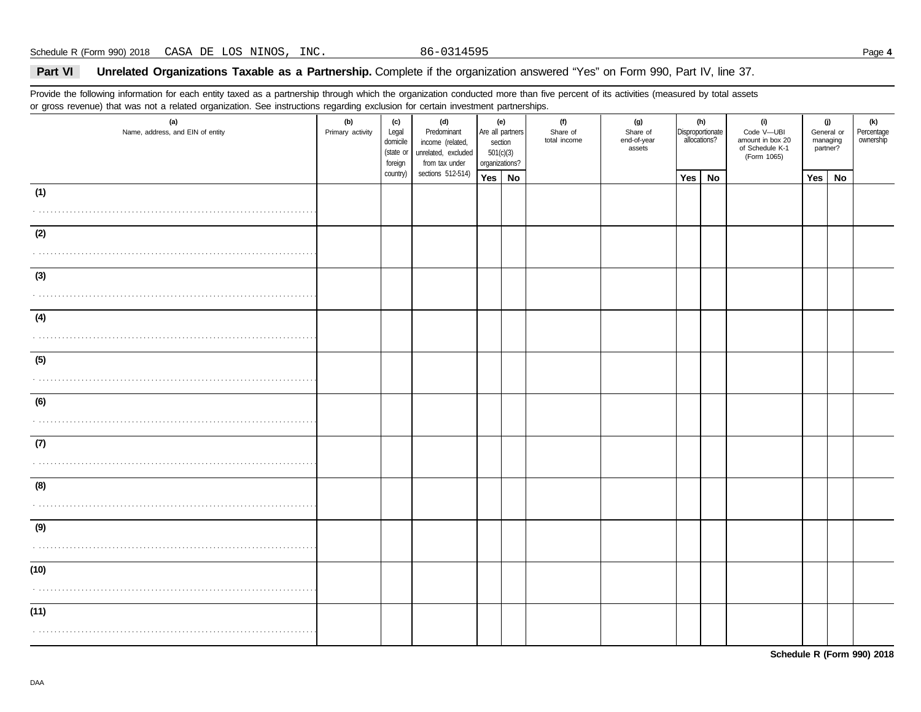## Part VI Unrelated Organizations Taxable as a Partnership. Complete if the organization answered "Yes" on Form 990, Part IV, line 37.

Provide the following information for each entity taxed as a partnership through which the organization conducted more than five percent of its activities (measured by total assets or gross revenue) that was not a related organization. See instructions regarding exclusion for certain investment partnerships.

| $\tilde{\phantom{a}}$<br>ັ<br>(a)<br>Name, address, and EIN of entity | ັ<br>ັ<br>(b)<br>Primary activity | (c)<br>(d)<br>Predominant<br>Legal<br>domicile<br>income (related,<br>(state or<br>unrelated, excluded<br>foreign<br>from tax under |                   | (e)<br>Are all partners<br>section<br>501(c)(3)<br>organizations? |  | (f)<br>Share of<br>total income | (g)<br>Share of<br>end-of-year<br>assets | (h)<br>Disproportionate<br>allocations? |           | (i)<br>Code V-UBI<br>amount in box 20<br>of Schedule K-1<br>(Form 1065) | (j)<br>General or<br>managing<br>partner? |    | (k)<br>Percentage<br>ownership |
|-----------------------------------------------------------------------|-----------------------------------|-------------------------------------------------------------------------------------------------------------------------------------|-------------------|-------------------------------------------------------------------|--|---------------------------------|------------------------------------------|-----------------------------------------|-----------|-------------------------------------------------------------------------|-------------------------------------------|----|--------------------------------|
|                                                                       |                                   | country)                                                                                                                            | sections 512-514) | Yes   No                                                          |  |                                 |                                          | Yes                                     | <b>No</b> |                                                                         | Yes                                       | No |                                |
| (1)                                                                   |                                   |                                                                                                                                     |                   |                                                                   |  |                                 |                                          |                                         |           |                                                                         |                                           |    |                                |
|                                                                       |                                   |                                                                                                                                     |                   |                                                                   |  |                                 |                                          |                                         |           |                                                                         |                                           |    |                                |
| (2)                                                                   |                                   |                                                                                                                                     |                   |                                                                   |  |                                 |                                          |                                         |           |                                                                         |                                           |    |                                |
|                                                                       |                                   |                                                                                                                                     |                   |                                                                   |  |                                 |                                          |                                         |           |                                                                         |                                           |    |                                |
| (3)                                                                   |                                   |                                                                                                                                     |                   |                                                                   |  |                                 |                                          |                                         |           |                                                                         |                                           |    |                                |
|                                                                       |                                   |                                                                                                                                     |                   |                                                                   |  |                                 |                                          |                                         |           |                                                                         |                                           |    |                                |
| (4)                                                                   |                                   |                                                                                                                                     |                   |                                                                   |  |                                 |                                          |                                         |           |                                                                         |                                           |    |                                |
|                                                                       |                                   |                                                                                                                                     |                   |                                                                   |  |                                 |                                          |                                         |           |                                                                         |                                           |    |                                |
| (5)                                                                   |                                   |                                                                                                                                     |                   |                                                                   |  |                                 |                                          |                                         |           |                                                                         |                                           |    |                                |
|                                                                       |                                   |                                                                                                                                     |                   |                                                                   |  |                                 |                                          |                                         |           |                                                                         |                                           |    |                                |
| (6)                                                                   |                                   |                                                                                                                                     |                   |                                                                   |  |                                 |                                          |                                         |           |                                                                         |                                           |    |                                |
|                                                                       |                                   |                                                                                                                                     |                   |                                                                   |  |                                 |                                          |                                         |           |                                                                         |                                           |    |                                |
| (7)                                                                   |                                   |                                                                                                                                     |                   |                                                                   |  |                                 |                                          |                                         |           |                                                                         |                                           |    |                                |
|                                                                       |                                   |                                                                                                                                     |                   |                                                                   |  |                                 |                                          |                                         |           |                                                                         |                                           |    |                                |
| (8)                                                                   |                                   |                                                                                                                                     |                   |                                                                   |  |                                 |                                          |                                         |           |                                                                         |                                           |    |                                |
|                                                                       |                                   |                                                                                                                                     |                   |                                                                   |  |                                 |                                          |                                         |           |                                                                         |                                           |    |                                |
| (9)                                                                   |                                   |                                                                                                                                     |                   |                                                                   |  |                                 |                                          |                                         |           |                                                                         |                                           |    |                                |
|                                                                       |                                   |                                                                                                                                     |                   |                                                                   |  |                                 |                                          |                                         |           |                                                                         |                                           |    |                                |
| (10)                                                                  |                                   |                                                                                                                                     |                   |                                                                   |  |                                 |                                          |                                         |           |                                                                         |                                           |    |                                |
|                                                                       |                                   |                                                                                                                                     |                   |                                                                   |  |                                 |                                          |                                         |           |                                                                         |                                           |    |                                |
| (11)                                                                  |                                   |                                                                                                                                     |                   |                                                                   |  |                                 |                                          |                                         |           |                                                                         |                                           |    |                                |
|                                                                       |                                   |                                                                                                                                     |                   |                                                                   |  |                                 |                                          |                                         |           |                                                                         |                                           |    |                                |

**Schedule R (Form 990) 2018**